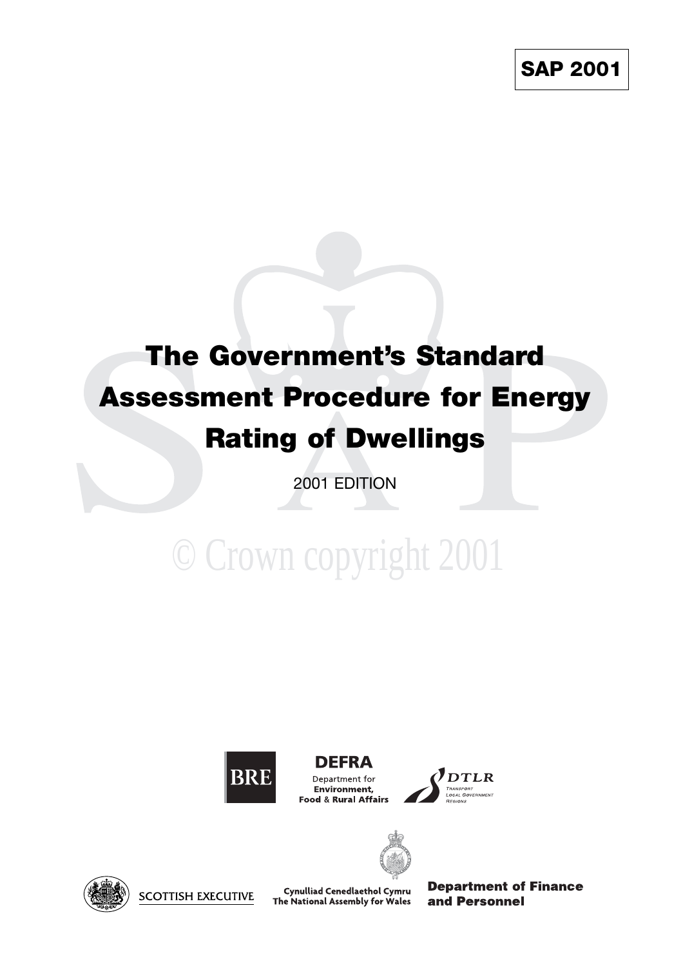## **The Government's Standard Assessment Procedure for Energy Rating of Dwellings**

2001 EDITION

# © Crown copyright 2001



**DEFRA** Department for Environment, Food & Rural Affairs





**SCOTTISH EXECUTIVE** 

Cynulliad Cenedlaethol Cymru The National Assembly for Wales **Department of Finance** and Personnel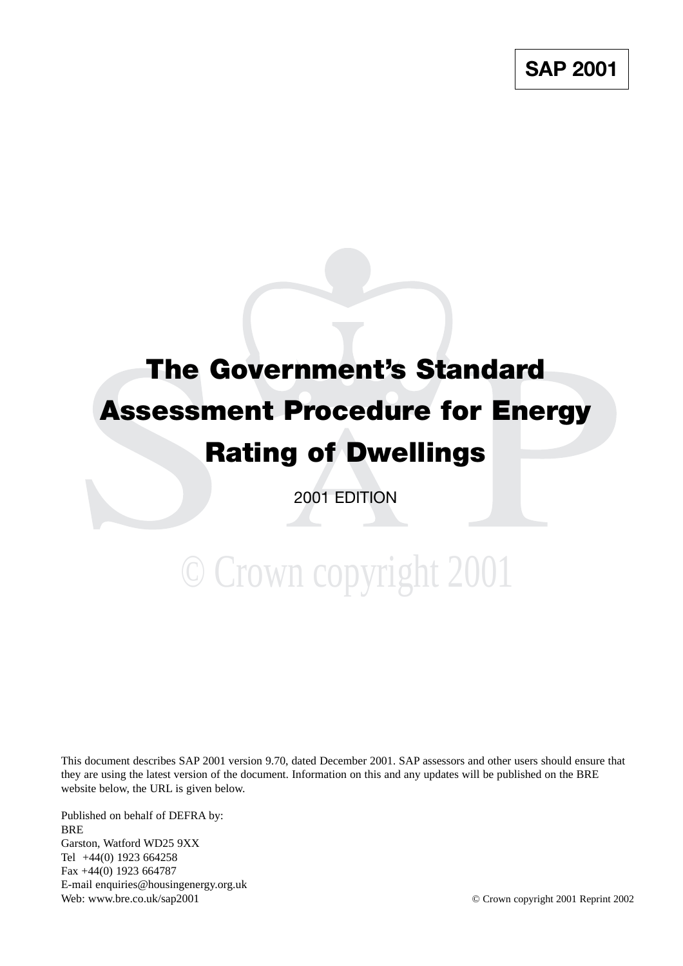## **The Government's Standard Assessment Procedure for Energy Rating of Dwellings**

2001 EDITION

# © Crown copyright 2001

This document describes SAP 2001 version 9.70, dated December 2001. SAP assessors and other users should ensure that they are using the latest version of the document. Information on this and any updates will be published on the BRE website below, the URL is given below.

Published on behalf of DEFRA by: **BRE** Garston, Watford WD25 9XX Tel +44(0) 1923 664258 Fax +44(0) 1923 664787 E-mail enquiries@housingenergy.org.uk Web: www.bre.co.uk/sap2001 **Departies** Crown copyright 2001 Reprint 2002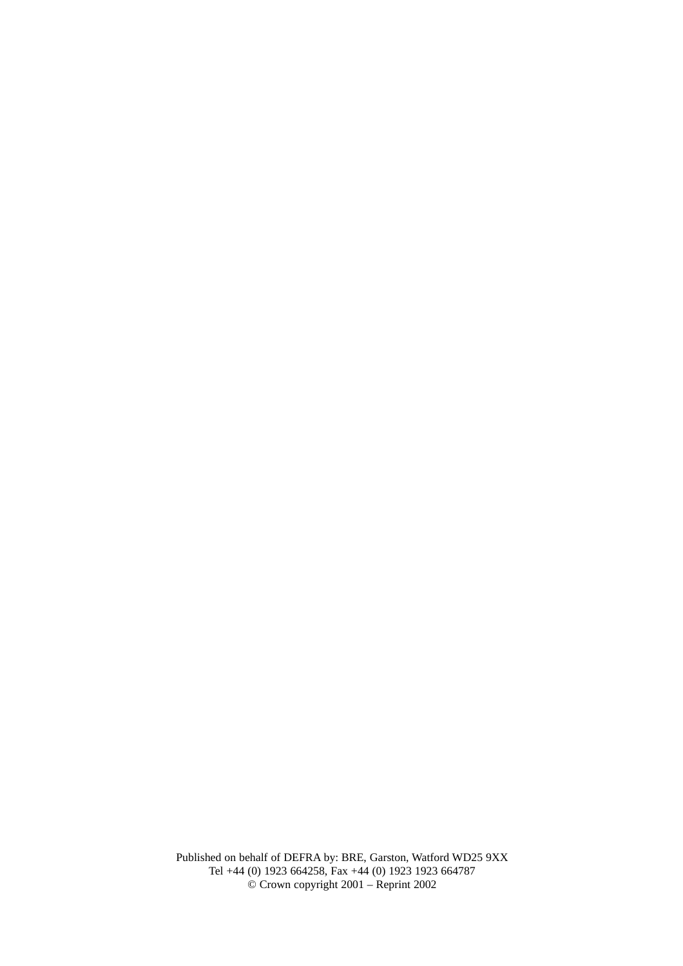Published on behalf of DEFRA by: BRE, Garston, Watford WD25 9XX Tel +44 (0) 1923 664258, Fax +44 (0) 1923 1923 664787 © Crown copyright 2001 – Reprint 2002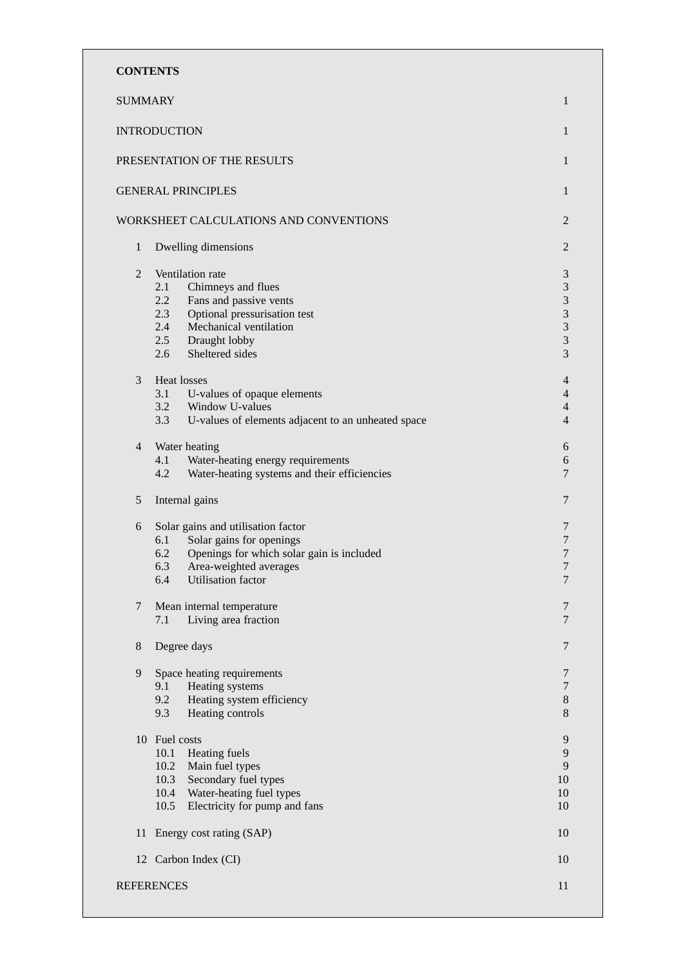| <b>CONTENTS</b> |                                                                                                                                                                                                          |                                                                                                                    |
|-----------------|----------------------------------------------------------------------------------------------------------------------------------------------------------------------------------------------------------|--------------------------------------------------------------------------------------------------------------------|
| <b>SUMMARY</b>  |                                                                                                                                                                                                          | 1                                                                                                                  |
|                 | <b>INTRODUCTION</b>                                                                                                                                                                                      | 1                                                                                                                  |
|                 | PRESENTATION OF THE RESULTS                                                                                                                                                                              | 1                                                                                                                  |
|                 | <b>GENERAL PRINCIPLES</b>                                                                                                                                                                                | 1                                                                                                                  |
|                 | WORKSHEET CALCULATIONS AND CONVENTIONS                                                                                                                                                                   | 2                                                                                                                  |
| $\mathbf{1}$    | Dwelling dimensions                                                                                                                                                                                      | 2                                                                                                                  |
| $\overline{2}$  | Ventilation rate<br>2.1<br>Chimneys and flues<br>2.2<br>Fans and passive vents<br>2.3<br>Optional pressurisation test<br>2.4<br>Mechanical ventilation<br>Draught lobby<br>2.5<br>Sheltered sides<br>2.6 | $\ensuremath{\mathfrak{Z}}$<br>$\sqrt{3}$<br>$\mathfrak{Z}$<br>$\mathfrak{Z}$<br>$\sqrt{3}$<br>$\mathfrak{Z}$<br>3 |
| 3               | Heat losses<br>3.1<br>U-values of opaque elements<br>3.2<br>Window U-values<br>U-values of elements adjacent to an unheated space<br>3.3                                                                 | $\overline{4}$<br>4<br>$\overline{4}$<br>$\overline{4}$                                                            |
| $\overline{4}$  | Water heating<br>4.1<br>Water-heating energy requirements<br>Water-heating systems and their efficiencies<br>4.2                                                                                         | 6<br>$\boldsymbol{6}$<br>$\overline{7}$                                                                            |
| 5               | Internal gains                                                                                                                                                                                           | $\overline{7}$                                                                                                     |
| 6               | Solar gains and utilisation factor<br>Solar gains for openings<br>6.1<br>Openings for which solar gain is included<br>6.2<br>6.3<br>Area-weighted averages<br>6.4<br><b>Utilisation</b> factor           | 7<br>7<br>7<br>7<br>$\overline{7}$                                                                                 |
| 7               | Mean internal temperature<br>7.1<br>Living area fraction                                                                                                                                                 | 7<br>$\overline{7}$                                                                                                |
| $8\,$           | Degree days                                                                                                                                                                                              | $\overline{7}$                                                                                                     |
| 9               | Space heating requirements<br>9.1<br>Heating systems<br>9.2<br>Heating system efficiency<br>9.3<br>Heating controls                                                                                      | $\overline{7}$<br>$\boldsymbol{7}$<br>$8\,$<br>$8\,$                                                               |
|                 | 10 Fuel costs<br>Heating fuels<br>10.1<br>Main fuel types<br>10.2<br>10.3<br>Secondary fuel types<br>10.4<br>Water-heating fuel types<br>10.5<br>Electricity for pump and fans                           | 9<br>9<br>9<br>10<br>10<br>10                                                                                      |
| 11              | Energy cost rating (SAP)                                                                                                                                                                                 | 10                                                                                                                 |
|                 | 12 Carbon Index (CI)                                                                                                                                                                                     | 10                                                                                                                 |
|                 | <b>REFERENCES</b>                                                                                                                                                                                        | 11                                                                                                                 |
|                 |                                                                                                                                                                                                          |                                                                                                                    |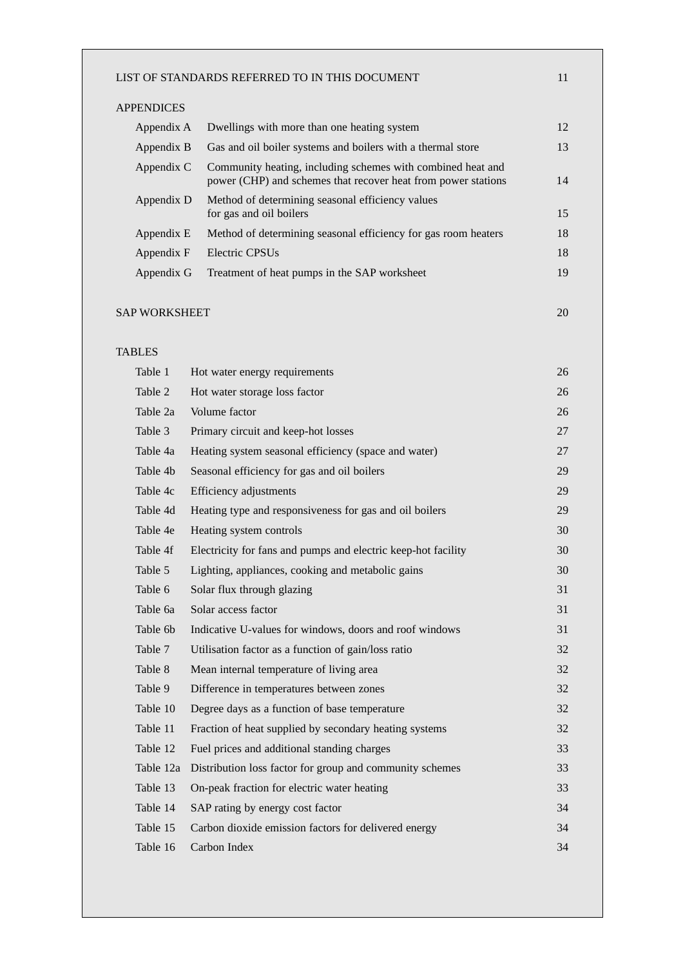| <b>APPENDICES</b>    |                                                                                                                              |    |
|----------------------|------------------------------------------------------------------------------------------------------------------------------|----|
| Appendix A           | Dwellings with more than one heating system                                                                                  | 12 |
| Appendix B           | Gas and oil boiler systems and boilers with a thermal store                                                                  | 13 |
| Appendix C           | Community heating, including schemes with combined heat and<br>power (CHP) and schemes that recover heat from power stations | 14 |
| Appendix D           | Method of determining seasonal efficiency values<br>for gas and oil boilers                                                  | 15 |
| Appendix E           | Method of determining seasonal efficiency for gas room heaters                                                               | 18 |
| Appendix F           | Electric CPSU <sub>s</sub>                                                                                                   | 18 |
| Appendix G           | Treatment of heat pumps in the SAP worksheet                                                                                 | 19 |
| <b>SAP WORKSHEET</b> |                                                                                                                              | 20 |
| <b>TABLES</b>        |                                                                                                                              |    |
| Table 1              | Hot water energy requirements                                                                                                | 26 |
| Table 2              | Hot water storage loss factor                                                                                                | 26 |
| Table 2a             | Volume factor                                                                                                                | 26 |
| Table 3              | Primary circuit and keep-hot losses                                                                                          | 27 |
| Table 4a             | Heating system seasonal efficiency (space and water)                                                                         | 27 |
| Table 4b             | Seasonal efficiency for gas and oil boilers                                                                                  | 29 |
| Table 4c             | Efficiency adjustments                                                                                                       | 29 |
| Table 4d             | Heating type and responsiveness for gas and oil boilers                                                                      | 29 |
| Table 4e             | Heating system controls                                                                                                      | 30 |
| Table 4f             | Electricity for fans and pumps and electric keep-hot facility                                                                | 30 |
| Table 5              | Lighting, appliances, cooking and metabolic gains                                                                            | 30 |
| Table 6              | Solar flux through glazing                                                                                                   | 31 |
| Table 6a             | Solar access factor                                                                                                          | 31 |
| Table 6b             | Indicative U-values for windows, doors and roof windows                                                                      | 31 |
| Table 7              | Utilisation factor as a function of gain/loss ratio                                                                          | 32 |
| Table 8              | Mean internal temperature of living area                                                                                     | 32 |
| Table 9              | Difference in temperatures between zones                                                                                     | 32 |
| Table 10             | Degree days as a function of base temperature                                                                                | 32 |
| Table 11             | Fraction of heat supplied by secondary heating systems                                                                       | 32 |
| Table 12             | Fuel prices and additional standing charges                                                                                  | 33 |
| Table 12a            | Distribution loss factor for group and community schemes                                                                     | 33 |
| Table 13             | On-peak fraction for electric water heating                                                                                  | 33 |
| Table 14             | SAP rating by energy cost factor                                                                                             | 34 |
| Table 15             | Carbon dioxide emission factors for delivered energy                                                                         | 34 |
|                      | Carbon Index                                                                                                                 | 34 |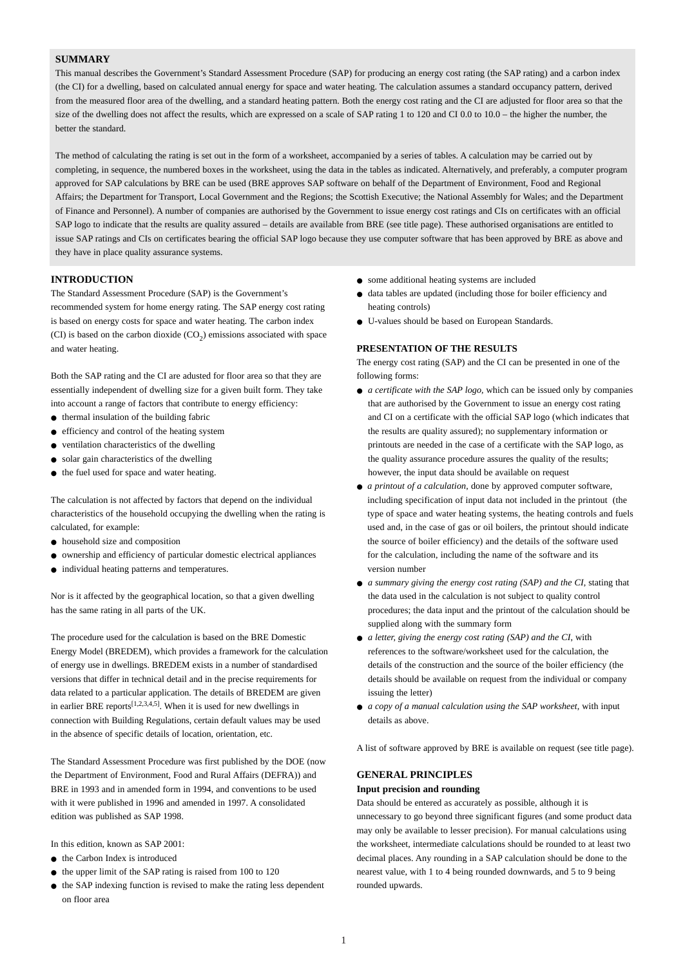## **SUMMARY**

This manual describes the Government's Standard Assessment Procedure (SAP) for producing an energy cost rating (the SAP rating) and a carbon index (the CI) for a dwelling, based on calculated annual energy for space and water heating. The calculation assumes a standard occupancy pattern, derived from the measured floor area of the dwelling, and a standard heating pattern. Both the energy cost rating and the CI are adjusted for floor area so that the size of the dwelling does not affect the results, which are expressed on a scale of SAP rating 1 to 120 and CI 0.0 to 10.0 – the higher the number, the better the standard.

The method of calculating the rating is set out in the form of a worksheet, accompanied by a series of tables. A calculation may be carried out by completing, in sequence, the numbered boxes in the worksheet, using the data in the tables as indicated. Alternatively, and preferably, a computer program approved for SAP calculations by BRE can be used (BRE approves SAP software on behalf of the Department of Environment, Food and Regional Affairs; the Department for Transport, Local Government and the Regions; the Scottish Executive; the National Assembly for Wales; and the Department of Finance and Personnel). A number of companies are authorised by the Government to issue energy cost ratings and CIs on certificates with an official SAP logo to indicate that the results are quality assured – details are available from BRE (see title page). These authorised organisations are entitled to issue SAP ratings and CIs on certificates bearing the official SAP logo because they use computer software that has been approved by BRE as above and they have in place quality assurance systems.

#### **INTRODUCTION**

The Standard Assessment Procedure (SAP) is the Government's recommended system for home energy rating. The SAP energy cost rating is based on energy costs for space and water heating. The carbon index (CI) is based on the carbon dioxide  $(CO<sub>2</sub>)$  emissions associated with space and water heating.

Both the SAP rating and the CI are adusted for floor area so that they are essentially independent of dwelling size for a given built form. They take into account a range of factors that contribute to energy efficiency:

- thermal insulation of the building fabric
- efficiency and control of the heating system
- ventilation characteristics of the dwelling
- solar gain characteristics of the dwelling
- the fuel used for space and water heating.

The calculation is not affected by factors that depend on the individual characteristics of the household occupying the dwelling when the rating is calculated, for example:

- household size and composition
- ownership and efficiency of particular domestic electrical appliances
- individual heating patterns and temperatures.

Nor is it affected by the geographical location, so that a given dwelling has the same rating in all parts of the UK.

The procedure used for the calculation is based on the BRE Domestic Energy Model (BREDEM), which provides a framework for the calculation of energy use in dwellings. BREDEM exists in a number of standardised versions that differ in technical detail and in the precise requirements for data related to a particular application. The details of BREDEM are given in earlier BRE reports<sup>[1,2,3,4,5]</sup>. When it is used for new dwellings in connection with Building Regulations, certain default values may be used in the absence of specific details of location, orientation, etc.

The Standard Assessment Procedure was first published by the DOE (now the Department of Environment, Food and Rural Affairs (DEFRA)) and BRE in 1993 and in amended form in 1994, and conventions to be used with it were published in 1996 and amended in 1997. A consolidated edition was published as SAP 1998.

In this edition, known as SAP 2001:

- the Carbon Index is introduced
- the upper limit of the SAP rating is raised from 100 to 120
- the SAP indexing function is revised to make the rating less dependent on floor area
- some additional heating systems are included
- data tables are updated (including those for boiler efficiency and heating controls)
- U-values should be based on European Standards.

#### **PRESENTATION OF THE RESULTS**

The energy cost rating (SAP) and the CI can be presented in one of the following forms:

- *a certificate with the SAP logo*, which can be issued only by companies that are authorised by the Government to issue an energy cost rating and CI on a certificate with the official SAP logo (which indicates that the results are quality assured); no supplementary information or printouts are needed in the case of a certificate with the SAP logo, as the quality assurance procedure assures the quality of the results; however, the input data should be available on request
- *a printout of a calculation*, done by approved computer software, including specification of input data not included in the printout (the type of space and water heating systems, the heating controls and fuels used and, in the case of gas or oil boilers, the printout should indicate the source of boiler efficiency) and the details of the software used for the calculation, including the name of the software and its version number
- *a summary giving the energy cost rating (SAP) and the CI*, stating that the data used in the calculation is not subject to quality control procedures; the data input and the printout of the calculation should be supplied along with the summary form
- *a letter, giving the energy cost rating (SAP) and the CI, with* references to the software/worksheet used for the calculation, the details of the construction and the source of the boiler efficiency (the details should be available on request from the individual or company issuing the letter)
- *a copy of a manual calculation using the SAP worksheet,* with input details as above.

A list of software approved by BRE is available on request (see title page).

## **GENERAL PRINCIPLES**

#### **Input precision and rounding**

Data should be entered as accurately as possible, although it is unnecessary to go beyond three significant figures (and some product data may only be available to lesser precision). For manual calculations using the worksheet, intermediate calculations should be rounded to at least two decimal places. Any rounding in a SAP calculation should be done to the nearest value, with 1 to 4 being rounded downwards, and 5 to 9 being rounded upwards.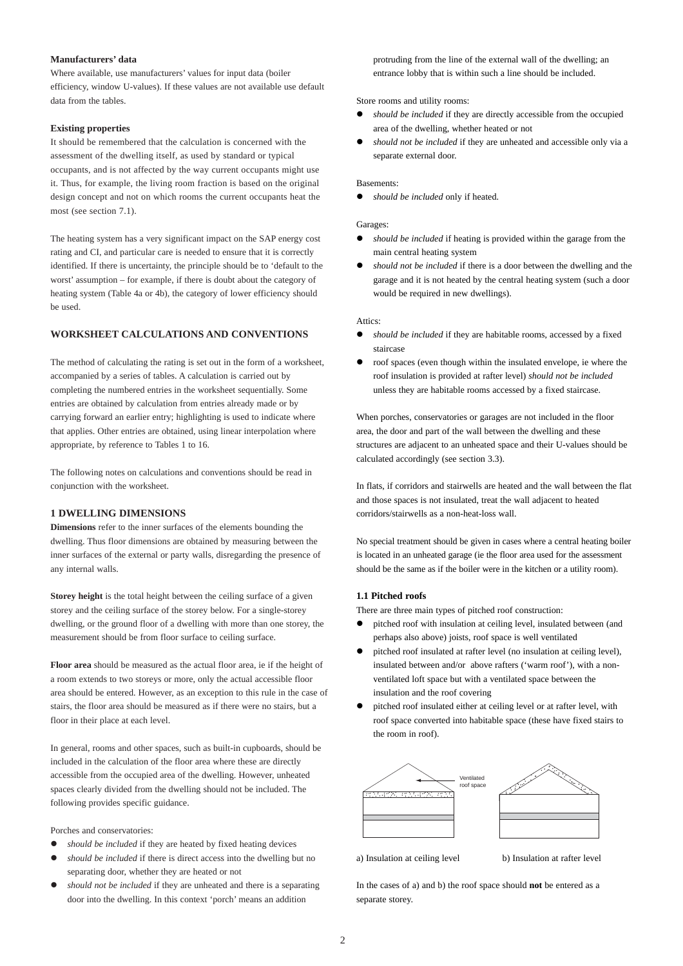## **Manufacturers' data**

Where available, use manufacturers' values for input data (boiler efficiency, window U-values). If these values are not available use default data from the tables.

#### **Existing properties**

It should be remembered that the calculation is concerned with the assessment of the dwelling itself, as used by standard or typical occupants, and is not affected by the way current occupants might use it. Thus, for example, the living room fraction is based on the original design concept and not on which rooms the current occupants heat the most (see section 7.1).

The heating system has a very significant impact on the SAP energy cost rating and CI, and particular care is needed to ensure that it is correctly identified. If there is uncertainty, the principle should be to 'default to the worst' assumption – for example, if there is doubt about the category of heating system (Table 4a or 4b), the category of lower efficiency should be used.

## **WORKSHEET CALCULATIONS AND CONVENTIONS**

The method of calculating the rating is set out in the form of a worksheet, accompanied by a series of tables. A calculation is carried out by completing the numbered entries in the worksheet sequentially. Some entries are obtained by calculation from entries already made or by carrying forward an earlier entry; highlighting is used to indicate where that applies. Other entries are obtained, using linear interpolation where appropriate, by reference to Tables 1 to 16.

The following notes on calculations and conventions should be read in conjunction with the worksheet.

## **1 DWELLING DIMENSIONS**

**Dimensions** refer to the inner surfaces of the elements bounding the dwelling. Thus floor dimensions are obtained by measuring between the inner surfaces of the external or party walls, disregarding the presence of any internal walls.

**Storey height** is the total height between the ceiling surface of a given storey and the ceiling surface of the storey below. For a single-storey dwelling, or the ground floor of a dwelling with more than one storey, the measurement should be from floor surface to ceiling surface.

**Floor area** should be measured as the actual floor area, ie if the height of a room extends to two storeys or more, only the actual accessible floor area should be entered. However, as an exception to this rule in the case of stairs, the floor area should be measured as if there were no stairs, but a floor in their place at each level.

In general, rooms and other spaces, such as built-in cupboards, should be included in the calculation of the floor area where these are directly accessible from the occupied area of the dwelling. However, unheated spaces clearly divided from the dwelling should not be included. The following provides specific guidance.

Porches and conservatories:

- should be included if they are heated by fixed heating devices
- should be included if there is direct access into the dwelling but no separating door, whether they are heated or not
- should not be included if they are unheated and there is a separating door into the dwelling. In this context 'porch' means an addition

protruding from the line of the external wall of the dwelling; an entrance lobby that is within such a line should be included.

Store rooms and utility rooms:

- should be included if they are directly accessible from the occupied area of the dwelling, whether heated or not
- should not be included if they are unheated and accessible only via a separate external door.

#### Basements:

• *should be included* only if heated.

#### Garages:

- should be *included* if heating is provided within the garage from the main central heating system
- should not be included if there is a door between the dwelling and the garage and it is not heated by the central heating system (such a door would be required in new dwellings).

#### Attics:

- *should be included* if they are habitable rooms, accessed by a fixed staircase
- roof spaces (even though within the insulated envelope, ie where the roof insulation is provided at rafter level) *should not be included* unless they are habitable rooms accessed by a fixed staircase.

When porches, conservatories or garages are not included in the floor area, the door and part of the wall between the dwelling and these structures are adjacent to an unheated space and their U-values should be calculated accordingly (see section 3.3).

In flats, if corridors and stairwells are heated and the wall between the flat and those spaces is not insulated, treat the wall adjacent to heated corridors/stairwells as a non-heat-loss wall.

No special treatment should be given in cases where a central heating boiler is located in an unheated garage (ie the floor area used for the assessment should be the same as if the boiler were in the kitchen or a utility room).

## **1.1 Pitched roofs**

There are three main types of pitched roof construction:

- pitched roof with insulation at ceiling level, insulated between (and perhaps also above) joists, roof space is well ventilated
- pitched roof insulated at rafter level (no insulation at ceiling level), insulated between and/or above rafters ('warm roof'), with a nonventilated loft space but with a ventilated space between the insulation and the roof covering
- pitched roof insulated either at ceiling level or at rafter level, with roof space converted into habitable space (these have fixed stairs to the room in roof).



a) Insulation at ceiling level b) Insulation at rafter level

In the cases of a) and b) the roof space should **not** be entered as a separate storey.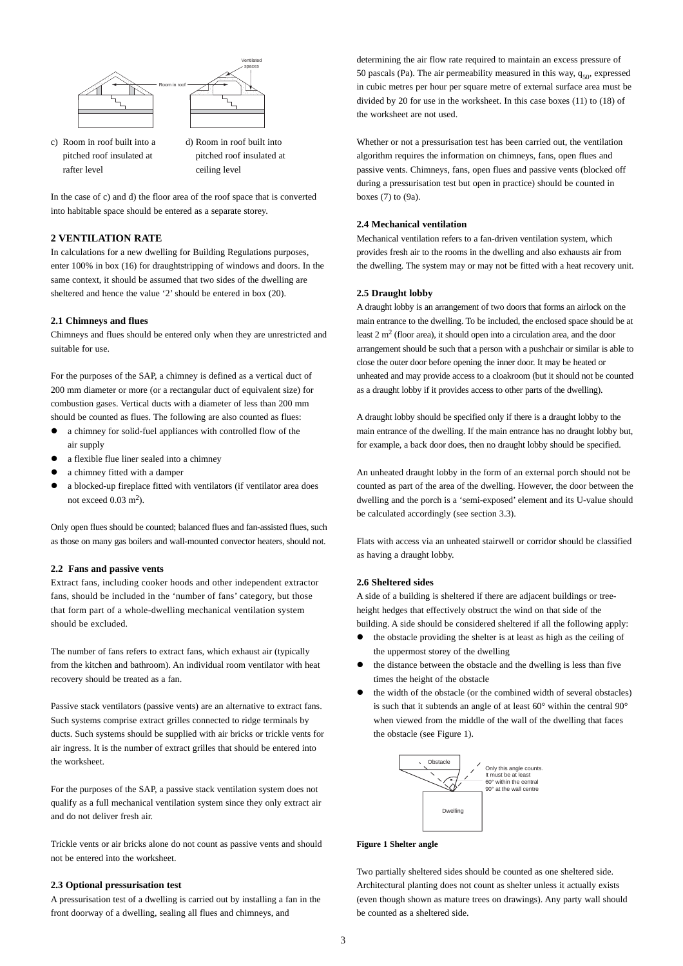

- rafter level ceiling level
- c) Room in roof built into a d) Room in roof built into pitched roof insulated at pitched roof insulated at

In the case of c) and d) the floor area of the roof space that is converted into habitable space should be entered as a separate storey.

## **2 VENTILATION RATE**

In calculations for a new dwelling for Building Regulations purposes, enter 100% in box (16) for draughtstripping of windows and doors. In the same context, it should be assumed that two sides of the dwelling are sheltered and hence the value '2' should be entered in box (20).

#### **2.1 Chimneys and flues**

Chimneys and flues should be entered only when they are unrestricted and suitable for use.

For the purposes of the SAP, a chimney is defined as a vertical duct of 200 mm diameter or more (or a rectangular duct of equivalent size) for combustion gases. Vertical ducts with a diameter of less than 200 mm should be counted as flues. The following are also counted as flues:

- a chimney for solid-fuel appliances with controlled flow of the air supply
- a flexible flue liner sealed into a chimney
- a chimney fitted with a damper
- a blocked-up fireplace fitted with ventilators (if ventilator area does not exceed  $0.03$  m<sup>2</sup>).

Only open flues should be counted; balanced flues and fan-assisted flues, such as those on many gas boilers and wall-mounted convector heaters, should not.

#### **2.2 Fans and passive vents**

Extract fans, including cooker hoods and other independent extractor fans, should be included in the 'number of fans' category, but those that form part of a whole-dwelling mechanical ventilation system should be excluded.

The number of fans refers to extract fans, which exhaust air (typically from the kitchen and bathroom). An individual room ventilator with heat recovery should be treated as a fan.

Passive stack ventilators (passive vents) are an alternative to extract fans. Such systems comprise extract grilles connected to ridge terminals by ducts. Such systems should be supplied with air bricks or trickle vents for air ingress. It is the number of extract grilles that should be entered into the worksheet.

For the purposes of the SAP, a passive stack ventilation system does not qualify as a full mechanical ventilation system since they only extract air and do not deliver fresh air.

Trickle vents or air bricks alone do not count as passive vents and should not be entered into the worksheet.

## **2.3 Optional pressurisation test**

A pressurisation test of a dwelling is carried out by installing a fan in the front doorway of a dwelling, sealing all flues and chimneys, and

determining the air flow rate required to maintain an excess pressure of 50 pascals (Pa). The air permeability measured in this way,  $q_{50}$ , expressed in cubic metres per hour per square metre of external surface area must be divided by 20 for use in the worksheet. In this case boxes (11) to (18) of the worksheet are not used.

Whether or not a pressurisation test has been carried out, the ventilation algorithm requires the information on chimneys, fans, open flues and passive vents. Chimneys, fans, open flues and passive vents (blocked off during a pressurisation test but open in practice) should be counted in boxes (7) to (9a).

## **2.4 Mechanical ventilation**

Mechanical ventilation refers to a fan-driven ventilation system, which provides fresh air to the rooms in the dwelling and also exhausts air from the dwelling. The system may or may not be fitted with a heat recovery unit.

## **2.5 Draught lobby**

A draught lobby is an arrangement of two doors that forms an airlock on the main entrance to the dwelling. To be included, the enclosed space should be at least  $2 \text{ m}^2$  (floor area), it should open into a circulation area, and the door arrangement should be such that a person with a pushchair or similar is able to close the outer door before opening the inner door. It may be heated or unheated and may provide access to a cloakroom (but it should not be counted as a draught lobby if it provides access to other parts of the dwelling).

A draught lobby should be specified only if there is a draught lobby to the main entrance of the dwelling. If the main entrance has no draught lobby but, for example, a back door does, then no draught lobby should be specified.

An unheated draught lobby in the form of an external porch should not be counted as part of the area of the dwelling. However, the door between the dwelling and the porch is a 'semi-exposed' element and its U-value should be calculated accordingly (see section 3.3).

Flats with access via an unheated stairwell or corridor should be classified as having a draught lobby.

## **2.6 Sheltered sides**

A side of a building is sheltered if there are adjacent buildings or treeheight hedges that effectively obstruct the wind on that side of the building. A side should be considered sheltered if all the following apply:

- the obstacle providing the shelter is at least as high as the ceiling of the uppermost storey of the dwelling
- the distance between the obstacle and the dwelling is less than five times the height of the obstacle
- the width of the obstacle (or the combined width of several obstacles) is such that it subtends an angle of at least 60° within the central 90° when viewed from the middle of the wall of the dwelling that faces the obstacle (see Figure 1).



### **Figure 1 Shelter angle**

Two partially sheltered sides should be counted as one sheltered side. Architectural planting does not count as shelter unless it actually exists (even though shown as mature trees on drawings). Any party wall should be counted as a sheltered side.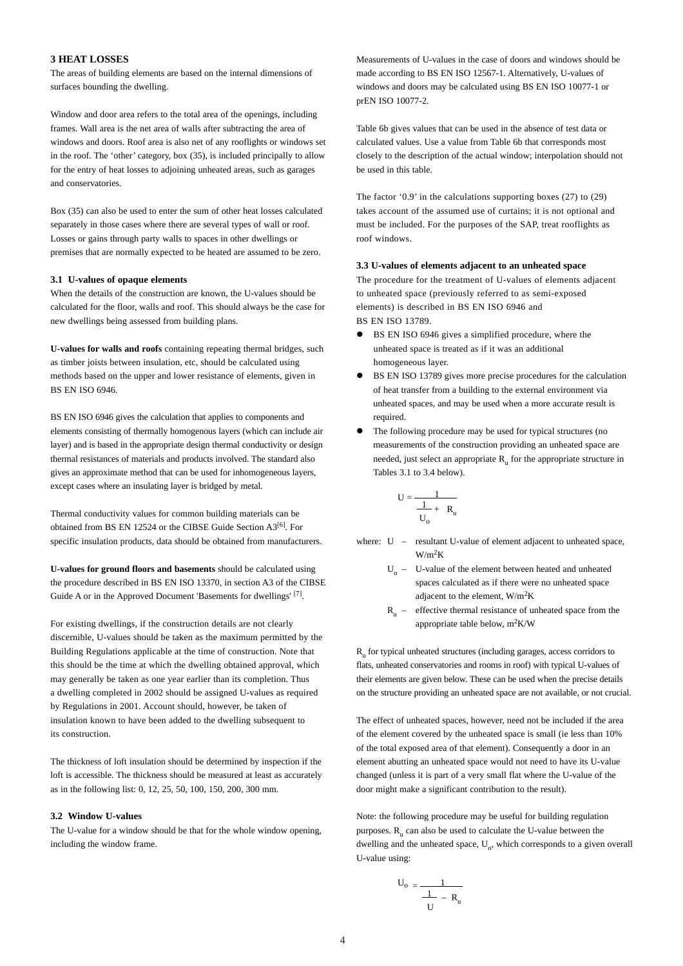## **3 HEAT LOSSES**

The areas of building elements are based on the internal dimensions of surfaces bounding the dwelling.

Window and door area refers to the total area of the openings, including frames. Wall area is the net area of walls after subtracting the area of windows and doors. Roof area is also net of any rooflights or windows set in the roof. The 'other' category, box (35), is included principally to allow for the entry of heat losses to adjoining unheated areas, such as garages and conservatories.

Box (35) can also be used to enter the sum of other heat losses calculated separately in those cases where there are several types of wall or roof. Losses or gains through party walls to spaces in other dwellings or premises that are normally expected to be heated are assumed to be zero.

#### **3.1 U-values of opaque elements**

When the details of the construction are known, the U-values should be calculated for the floor, walls and roof. This should always be the case for new dwellings being assessed from building plans.

**U-values for walls and roofs** containing repeating thermal bridges, such as timber joists between insulation, etc, should be calculated using methods based on the upper and lower resistance of elements, given in BS EN ISO 6946.

BS EN ISO 6946 gives the calculation that applies to components and elements consisting of thermally homogenous layers (which can include air layer) and is based in the appropriate design thermal conductivity or design thermal resistances of materials and products involved. The standard also gives an approximate method that can be used for inhomogeneous layers, except cases where an insulating layer is bridged by metal.

Thermal conductivity values for common building materials can be obtained from BS EN 12524 or the CIBSE Guide Section A3<sup>[6]</sup>. For specific insulation products, data should be obtained from manufacturers.

**U-values for ground floors and basements** should be calculated using the procedure described in BS EN ISO 13370, in section A3 of the CIBSE Guide A or in the Approved Document 'Basements for dwellings' [7].

For existing dwellings, if the construction details are not clearly discernible, U-values should be taken as the maximum permitted by the Building Regulations applicable at the time of construction. Note that this should be the time at which the dwelling obtained approval, which may generally be taken as one year earlier than its completion. Thus a dwelling completed in 2002 should be assigned U-values as required by Regulations in 2001. Account should, however, be taken of insulation known to have been added to the dwelling subsequent to its construction.

The thickness of loft insulation should be determined by inspection if the loft is accessible. The thickness should be measured at least as accurately as in the following list: 0, 12, 25, 50, 100, 150, 200, 300 mm.

#### **3.2 Window U-values**

The U-value for a window should be that for the whole window opening, including the window frame.

Measurements of U-values in the case of doors and windows should be made according to BS EN ISO 12567-1. Alternatively, U-values of windows and doors may be calculated using BS EN ISO 10077-1 or prEN ISO 10077-2.

Table 6b gives values that can be used in the absence of test data or calculated values. Use a value from Table 6b that corresponds most closely to the description of the actual window; interpolation should not be used in this table.

The factor '0.9' in the calculations supporting boxes (27) to (29) takes account of the assumed use of curtains; it is not optional and must be included. For the purposes of the SAP, treat rooflights as roof windows.

#### **3.3 U-values of elements adjacent to an unheated space**

The procedure for the treatment of U-values of elements adjacent to unheated space (previously referred to as semi-exposed elements) is described in BS EN ISO 6946 and BS EN ISO 13789.

- BS EN ISO 6946 gives a simplified procedure, where the unheated space is treated as if it was an additional homogeneous layer.
- BS EN ISO 13789 gives more precise procedures for the calculation of heat transfer from a building to the external environment via unheated spaces, and may be used when a more accurate result is required.
- The following procedure may be used for typical structures (no measurements of the construction providing an unheated space are needed, just select an appropriate  $R_{\mu}$  for the appropriate structure in Tables 3.1 to 3.4 below).

$$
U = \frac{1}{\frac{1}{U_o} + R_u}
$$

- where: U resultant U-value of element adjacent to unheated space,  $W/m^2K$ 
	- $U_0$  U-value of the element between heated and unheated spaces calculated as if there were no unheated space adjacent to the element, W/m2K
	- $R_{\text{u}}$  effective thermal resistance of unheated space from the appropriate table below,  $m^2K/W$

R<sub>u</sub> for typical unheated structures (including garages, access corridors to flats, unheated conservatories and rooms in roof) with typical U-values of their elements are given below. These can be used when the precise details on the structure providing an unheated space are not available, or not crucial.

The effect of unheated spaces, however, need not be included if the area of the element covered by the unheated space is small (ie less than 10% of the total exposed area of that element). Consequently a door in an element abutting an unheated space would not need to have its U-value changed (unless it is part of a very small flat where the U-value of the door might make a significant contribution to the result).

Note: the following procedure may be useful for building regulation purposes.  $R_{u}$  can also be used to calculate the U-value between the dwelling and the unheated space,  $U_0$ , which corresponds to a given overall U-value using:

$$
U_o = \frac{1}{\frac{1}{U} - R_u}
$$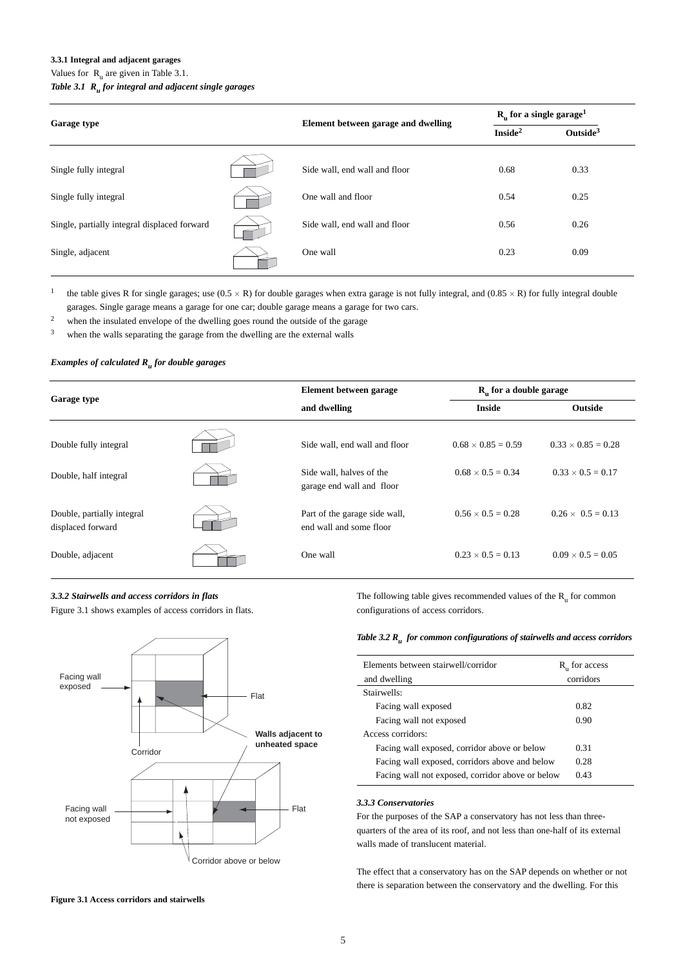#### **3.3.1 Integral and adjacent garages**

Values for  $R_{u}$  are given in Table 3.1.

## *Table 3.1 Ru for integral and adjacent single garages*

|                                              |  |                                     | $R_n$ for a single garage <sup>1</sup> |                      |  |
|----------------------------------------------|--|-------------------------------------|----------------------------------------|----------------------|--|
| <b>Garage type</b>                           |  | Element between garage and dwelling | Inside <sup>2</sup>                    | Outside <sup>3</sup> |  |
| Single fully integral                        |  | Side wall, end wall and floor       | 0.68                                   | 0.33                 |  |
| Single fully integral                        |  | One wall and floor                  | 0.54                                   | 0.25                 |  |
| Single, partially integral displaced forward |  | Side wall, end wall and floor       | 0.56                                   | 0.26                 |  |
| Single, adjacent                             |  | One wall                            | 0.23                                   | 0.09                 |  |

<sup>1</sup> the table gives R for single garages; use  $(0.5 \times R)$  for double garages when extra garage is not fully integral, and  $(0.85 \times R)$  for fully integral double garages. Single garage means a garage for one car; double garage means a garage for two cars.

<sup>2</sup> when the insulated envelope of the dwelling goes round the outside of the garage

<sup>3</sup> when the walls separating the garage from the dwelling are the external walls

#### *Examples of calculated Ru for double garages*

| Garage type                                     |  | Element between garage                                   | $R_n$ for a double garage |                           |  |
|-------------------------------------------------|--|----------------------------------------------------------|---------------------------|---------------------------|--|
|                                                 |  | and dwelling                                             | <b>Inside</b>             | Outside                   |  |
| Double fully integral                           |  | Side wall, end wall and floor                            | $0.68 \times 0.85 = 0.59$ | $0.33 \times 0.85 = 0.28$ |  |
| Double, half integral                           |  | Side wall, halves of the<br>garage end wall and floor    | $0.68 \times 0.5 = 0.34$  | $0.33 \times 0.5 = 0.17$  |  |
| Double, partially integral<br>displaced forward |  | Part of the garage side wall,<br>end wall and some floor | $0.56 \times 0.5 = 0.28$  | $0.26 \times 0.5 = 0.13$  |  |
| Double, adjacent                                |  | One wall                                                 | $0.23 \times 0.5 = 0.13$  | $0.09 \times 0.5 = 0.05$  |  |

## *3.3.2 Stairwells and access corridors in flats* Figure 3.1 shows examples of access corridors in flats.



The following table gives recommended values of the  $R_{\text{u}}$  for common configurations of access corridors.

## *Table 3.2 Ru for common configurations of stairwells and access corridors*

| Elements between stairwell/corridor              | R <sub>u</sub> for access |
|--------------------------------------------------|---------------------------|
| and dwelling                                     | corridors                 |
| Stairwells:                                      |                           |
| Facing wall exposed                              | 0.82                      |
| Facing wall not exposed                          | 0.90                      |
| Access corridors:                                |                           |
| Facing wall exposed, corridor above or below     | 0.31                      |
| Facing wall exposed, corridors above and below   | 0.28                      |
| Facing wall not exposed, corridor above or below | 0.43                      |

## *3.3.3 Conservatories*

For the purposes of the SAP a conservatory has not less than threequarters of the area of its roof, and not less than one-half of its external walls made of translucent material.

The effect that a conservatory has on the SAP depends on whether or not there is separation between the conservatory and the dwelling. For this

**Figure 3.1 Access corridors and stairwells**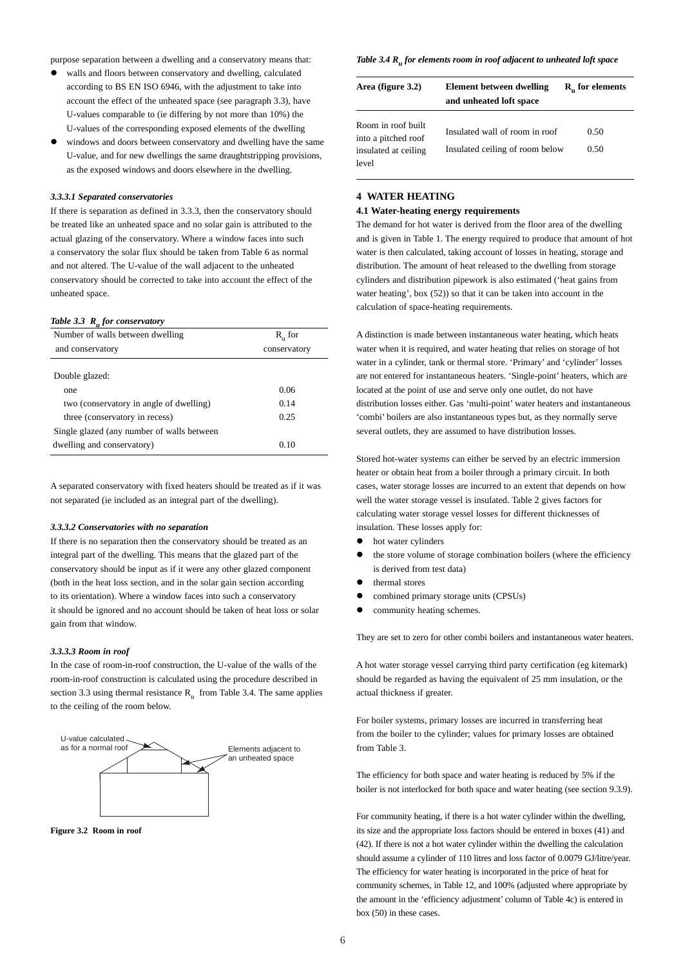purpose separation between a dwelling and a conservatory means that:

- walls and floors between conservatory and dwelling, calculated according to BS EN ISO 6946, with the adjustment to take into account the effect of the unheated space (see paragraph 3.3), have U-values comparable to (ie differing by not more than 10%) the U-values of the corresponding exposed elements of the dwelling
- windows and doors between conservatory and dwelling have the same U-value, and for new dwellings the same draughtstripping provisions, as the exposed windows and doors elsewhere in the dwelling.

#### *3.3.3.1 Separated conservatories*

If there is separation as defined in 3.3.3, then the conservatory should be treated like an unheated space and no solar gain is attributed to the actual glazing of the conservatory. Where a window faces into such a conservatory the solar flux should be taken from Table 6 as normal and not altered. The U-value of the wall adjacent to the unheated conservatory should be corrected to take into account the effect of the unheated space.

#### *Table 3.3 Ru for conservatory*

| Number of walls between dwelling           | $R_{n}$ for  |  |  |
|--------------------------------------------|--------------|--|--|
| and conservatory                           | conservatory |  |  |
|                                            |              |  |  |
| Double glazed:                             |              |  |  |
| one                                        | 0.06         |  |  |
| two (conservatory in angle of dwelling)    | 0.14         |  |  |
| three (conservatory in recess)             | 0.25         |  |  |
| Single glazed (any number of walls between |              |  |  |
| dwelling and conservatory)                 | 0.10         |  |  |

A separated conservatory with fixed heaters should be treated as if it was not separated (ie included as an integral part of the dwelling).

#### *3.3.3.2 Conservatories with no separation*

If there is no separation then the conservatory should be treated as an integral part of the dwelling. This means that the glazed part of the conservatory should be input as if it were any other glazed component (both in the heat loss section, and in the solar gain section according to its orientation). Where a window faces into such a conservatory it should be ignored and no account should be taken of heat loss or solar gain from that window.

#### *3.3.3.3 Room in roof*

In the case of room-in-roof construction, the U-value of the walls of the room-in-roof construction is calculated using the procedure described in section 3.3 using thermal resistance  $R_{\text{u}}$  from Table 3.4. The same applies to the ceiling of the room below.



**Figure 3.2 Room in roof** 

#### *Table 3.4 R<sub>u</sub> for elements room in roof adjacent to unheated loft space*

| Area (figure 3.2)                                                          | Element between dwelling<br>and unheated loft space               | $R_{n}$ for elements |  |  |  |
|----------------------------------------------------------------------------|-------------------------------------------------------------------|----------------------|--|--|--|
| Room in roof built<br>into a pitched roof<br>insulated at ceiling<br>level | Insulated wall of room in roof<br>Insulated ceiling of room below | 0.50<br>0.50         |  |  |  |

#### **4 WATER HEATING**

#### **4.1 Water-heating energy requirements**

The demand for hot water is derived from the floor area of the dwelling and is given in Table 1. The energy required to produce that amount of hot water is then calculated, taking account of losses in heating, storage and distribution. The amount of heat released to the dwelling from storage cylinders and distribution pipework is also estimated ('heat gains from water heating', box (52)) so that it can be taken into account in the calculation of space-heating requirements.

A distinction is made between instantaneous water heating, which heats water when it is required, and water heating that relies on storage of hot water in a cylinder, tank or thermal store. 'Primary' and 'cylinder' losses are not entered for instantaneous heaters. 'Single-point' heaters, which are located at the point of use and serve only one outlet, do not have distribution losses either. Gas 'multi-point' water heaters and instantaneous 'combi' boilers are also instantaneous types but, as they normally serve several outlets, they are assumed to have distribution losses.

Stored hot-water systems can either be served by an electric immersion heater or obtain heat from a boiler through a primary circuit. In both cases, water storage losses are incurred to an extent that depends on how well the water storage vessel is insulated. Table 2 gives factors for calculating water storage vessel losses for different thicknesses of insulation. These losses apply for:

- hot water cylinders
- the store volume of storage combination boilers (where the efficiency is derived from test data)
- thermal stores
- combined primary storage units (CPSUs)
- community heating schemes.

They are set to zero for other combi boilers and instantaneous water heaters.

A hot water storage vessel carrying third party certification (eg kitemark) should be regarded as having the equivalent of 25 mm insulation, or the actual thickness if greater.

For boiler systems, primary losses are incurred in transferring heat from the boiler to the cylinder; values for primary losses are obtained from Table 3.

The efficiency for both space and water heating is reduced by 5% if the boiler is not interlocked for both space and water heating (see section 9.3.9).

For community heating, if there is a hot water cylinder within the dwelling, its size and the appropriate loss factors should be entered in boxes (41) and (42). If there is not a hot water cylinder within the dwelling the calculation should assume a cylinder of 110 litres and loss factor of 0.0079 GJ/litre/year. The efficiency for water heating is incorporated in the price of heat for community schemes, in Table 12, and 100% (adjusted where appropriate by the amount in the 'efficiency adjustment' column of Table 4c) is entered in box (50) in these cases.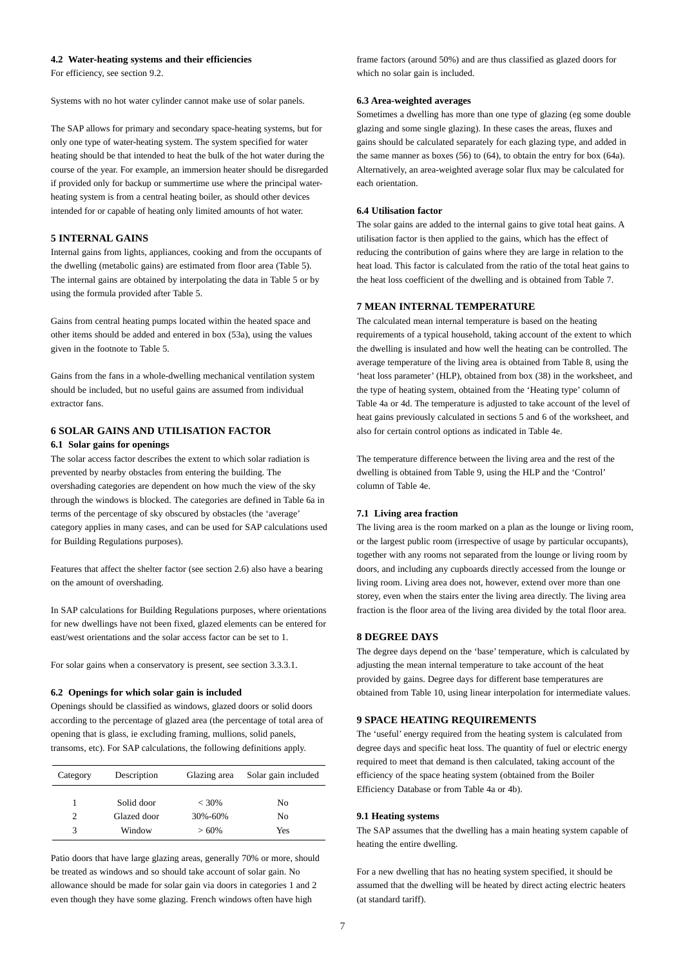#### **4.2 Water-heating systems and their efficiencies**

For efficiency, see section 9.2.

Systems with no hot water cylinder cannot make use of solar panels.

The SAP allows for primary and secondary space-heating systems, but for only one type of water-heating system. The system specified for water heating should be that intended to heat the bulk of the hot water during the course of the year. For example, an immersion heater should be disregarded if provided only for backup or summertime use where the principal waterheating system is from a central heating boiler, as should other devices intended for or capable of heating only limited amounts of hot water.

#### **5 INTERNAL GAINS**

Internal gains from lights, appliances, cooking and from the occupants of the dwelling (metabolic gains) are estimated from floor area (Table 5). The internal gains are obtained by interpolating the data in Table 5 or by using the formula provided after Table 5.

Gains from central heating pumps located within the heated space and other items should be added and entered in box (53a), using the values given in the footnote to Table 5.

Gains from the fans in a whole-dwelling mechanical ventilation system should be included, but no useful gains are assumed from individual extractor fans.

## **6 SOLAR GAINS AND UTILISATION FACTOR 6.1 Solar gains for openings**

The solar access factor describes the extent to which solar radiation is prevented by nearby obstacles from entering the building. The overshading categories are dependent on how much the view of the sky through the windows is blocked. The categories are defined in Table 6a in terms of the percentage of sky obscured by obstacles (the 'average' category applies in many cases, and can be used for SAP calculations used for Building Regulations purposes).

Features that affect the shelter factor (see section 2.6) also have a bearing on the amount of overshading.

In SAP calculations for Building Regulations purposes, where orientations for new dwellings have not been fixed, glazed elements can be entered for east/west orientations and the solar access factor can be set to 1.

For solar gains when a conservatory is present, see section 3.3.3.1.

#### **6.2 Openings for which solar gain is included**

Openings should be classified as windows, glazed doors or solid doors according to the percentage of glazed area (the percentage of total area of opening that is glass, ie excluding framing, mullions, solid panels, transoms, etc). For SAP calculations, the following definitions apply.

| Category | Description<br>Glazing area |          | Solar gain included |
|----------|-----------------------------|----------|---------------------|
| 1        | Solid door                  | $< 30\%$ | No                  |
| 2        | Glazed door                 | 30%-60%  | No.                 |
| 3        | Window                      | $>60\%$  | Yes                 |

Patio doors that have large glazing areas, generally 70% or more, should be treated as windows and so should take account of solar gain. No allowance should be made for solar gain via doors in categories 1 and 2 even though they have some glazing. French windows often have high

frame factors (around 50%) and are thus classified as glazed doors for which no solar gain is included.

#### **6.3 Area-weighted averages**

Sometimes a dwelling has more than one type of glazing (eg some double glazing and some single glazing). In these cases the areas, fluxes and gains should be calculated separately for each glazing type, and added in the same manner as boxes (56) to (64), to obtain the entry for box (64a). Alternatively, an area-weighted average solar flux may be calculated for each orientation.

#### **6.4 Utilisation factor**

The solar gains are added to the internal gains to give total heat gains. A utilisation factor is then applied to the gains, which has the effect of reducing the contribution of gains where they are large in relation to the heat load. This factor is calculated from the ratio of the total heat gains to the heat loss coefficient of the dwelling and is obtained from Table 7.

## **7 MEAN INTERNAL TEMPERATURE**

The calculated mean internal temperature is based on the heating requirements of a typical household, taking account of the extent to which the dwelling is insulated and how well the heating can be controlled. The average temperature of the living area is obtained from Table 8, using the 'heat loss parameter' (HLP), obtained from box (38) in the worksheet, and the type of heating system, obtained from the 'Heating type' column of Table 4a or 4d. The temperature is adjusted to take account of the level of heat gains previously calculated in sections 5 and 6 of the worksheet, and also for certain control options as indicated in Table 4e.

The temperature difference between the living area and the rest of the dwelling is obtained from Table 9, using the HLP and the 'Control' column of Table 4e.

#### **7.1 Living area fraction**

The living area is the room marked on a plan as the lounge or living room, or the largest public room (irrespective of usage by particular occupants), together with any rooms not separated from the lounge or living room by doors, and including any cupboards directly accessed from the lounge or living room. Living area does not, however, extend over more than one storey, even when the stairs enter the living area directly. The living area fraction is the floor area of the living area divided by the total floor area.

#### **8 DEGREE DAYS**

The degree days depend on the 'base' temperature, which is calculated by adjusting the mean internal temperature to take account of the heat provided by gains. Degree days for different base temperatures are obtained from Table 10, using linear interpolation for intermediate values.

#### **9 SPACE HEATING REQUIREMENTS**

The 'useful' energy required from the heating system is calculated from degree days and specific heat loss. The quantity of fuel or electric energy required to meet that demand is then calculated, taking account of the efficiency of the space heating system (obtained from the Boiler Efficiency Database or from Table 4a or 4b).

#### **9.1 Heating systems**

The SAP assumes that the dwelling has a main heating system capable of heating the entire dwelling.

For a new dwelling that has no heating system specified, it should be assumed that the dwelling will be heated by direct acting electric heaters (at standard tariff).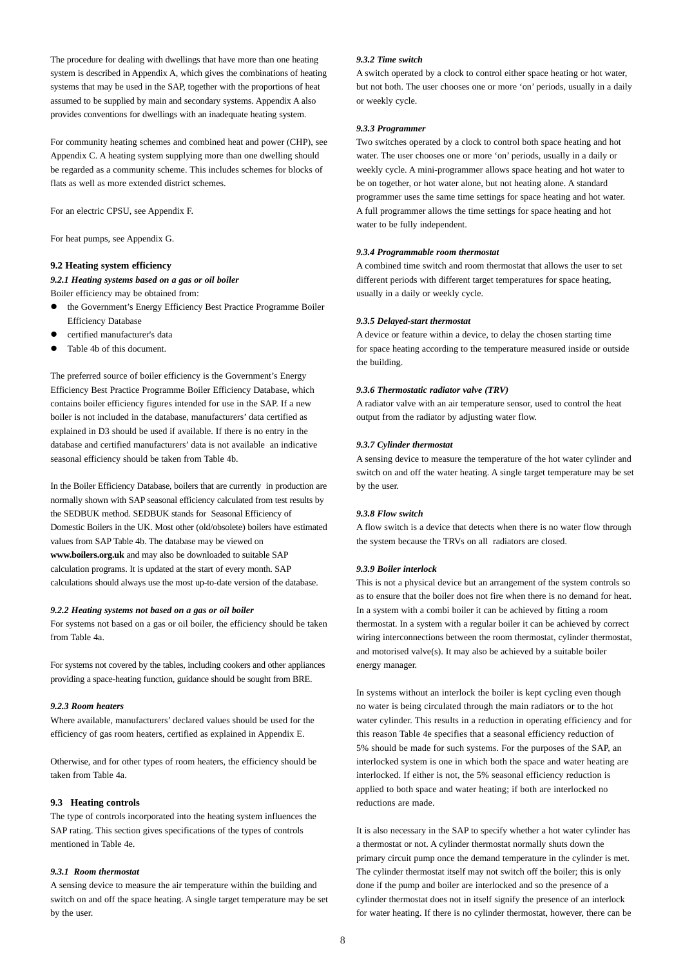The procedure for dealing with dwellings that have more than one heating system is described in Appendix A, which gives the combinations of heating systems that may be used in the SAP, together with the proportions of heat assumed to be supplied by main and secondary systems. Appendix A also provides conventions for dwellings with an inadequate heating system.

For community heating schemes and combined heat and power (CHP), see Appendix C. A heating system supplying more than one dwelling should be regarded as a community scheme. This includes schemes for blocks of flats as well as more extended district schemes.

For an electric CPSU, see Appendix F.

For heat pumps, see Appendix G.

#### **9.2 Heating system efficiency**

*9.2.1 Heating systems based on a gas or oil boiler*

Boiler efficiency may be obtained from:

- the Government's Energy Efficiency Best Practice Programme Boiler Efficiency Database
- certified manufacturer's data
- Table 4b of this document.

The preferred source of boiler efficiency is the Government's Energy Efficiency Best Practice Programme Boiler Efficiency Database, which contains boiler efficiency figures intended for use in the SAP. If a new boiler is not included in the database, manufacturers' data certified as explained in D3 should be used if available. If there is no entry in the database and certified manufacturers' data is not available an indicative seasonal efficiency should be taken from Table 4b.

In the Boiler Efficiency Database, boilers that are currently in production are normally shown with SAP seasonal efficiency calculated from test results by the SEDBUK method. SEDBUK stands for Seasonal Efficiency of Domestic Boilers in the UK. Most other (old/obsolete) boilers have estimated values from SAP Table 4b. The database may be viewed on **www.boilers.org.uk** and may also be downloaded to suitable SAP calculation programs. It is updated at the start of every month. SAP calculations should always use the most up-to-date version of the database.

#### *9.2.2 Heating systems not based on a gas or oil boiler*

For systems not based on a gas or oil boiler, the efficiency should be taken from Table 4a.

For systems not covered by the tables, including cookers and other appliances providing a space-heating function, guidance should be sought from BRE.

#### *9.2.3 Room heaters*

Where available, manufacturers' declared values should be used for the efficiency of gas room heaters, certified as explained in Appendix E.

Otherwise, and for other types of room heaters, the efficiency should be taken from Table 4a.

## **9.3 Heating controls**

The type of controls incorporated into the heating system influences the SAP rating. This section gives specifications of the types of controls mentioned in Table 4e.

#### *9.3.1 Room thermostat*

A sensing device to measure the air temperature within the building and switch on and off the space heating. A single target temperature may be set by the user.

#### *9.3.2 Time switch*

A switch operated by a clock to control either space heating or hot water, but not both. The user chooses one or more 'on' periods, usually in a daily or weekly cycle.

#### *9.3.3 Programmer*

Two switches operated by a clock to control both space heating and hot water. The user chooses one or more 'on' periods, usually in a daily or weekly cycle. A mini-programmer allows space heating and hot water to be on together, or hot water alone, but not heating alone. A standard programmer uses the same time settings for space heating and hot water. A full programmer allows the time settings for space heating and hot water to be fully independent.

#### *9.3.4 Programmable room thermostat*

A combined time switch and room thermostat that allows the user to set different periods with different target temperatures for space heating, usually in a daily or weekly cycle.

#### *9.3.5 Delayed-start thermostat*

A device or feature within a device, to delay the chosen starting time for space heating according to the temperature measured inside or outside the building.

#### *9.3.6 Thermostatic radiator valve (TRV)*

A radiator valve with an air temperature sensor, used to control the heat output from the radiator by adjusting water flow.

#### *9.3.7 Cylinder thermostat*

A sensing device to measure the temperature of the hot water cylinder and switch on and off the water heating. A single target temperature may be set by the user.

#### *9.3.8 Flow switch*

A flow switch is a device that detects when there is no water flow through the system because the TRVs on all radiators are closed.

#### *9.3.9 Boiler interlock*

This is not a physical device but an arrangement of the system controls so as to ensure that the boiler does not fire when there is no demand for heat. In a system with a combi boiler it can be achieved by fitting a room thermostat. In a system with a regular boiler it can be achieved by correct wiring interconnections between the room thermostat, cylinder thermostat, and motorised valve(s). It may also be achieved by a suitable boiler energy manager.

In systems without an interlock the boiler is kept cycling even though no water is being circulated through the main radiators or to the hot water cylinder. This results in a reduction in operating efficiency and for this reason Table 4e specifies that a seasonal efficiency reduction of 5% should be made for such systems. For the purposes of the SAP, an interlocked system is one in which both the space and water heating are interlocked. If either is not, the 5% seasonal efficiency reduction is applied to both space and water heating; if both are interlocked no reductions are made.

It is also necessary in the SAP to specify whether a hot water cylinder has a thermostat or not. A cylinder thermostat normally shuts down the primary circuit pump once the demand temperature in the cylinder is met. The cylinder thermostat itself may not switch off the boiler; this is only done if the pump and boiler are interlocked and so the presence of a cylinder thermostat does not in itself signify the presence of an interlock for water heating. If there is no cylinder thermostat, however, there can be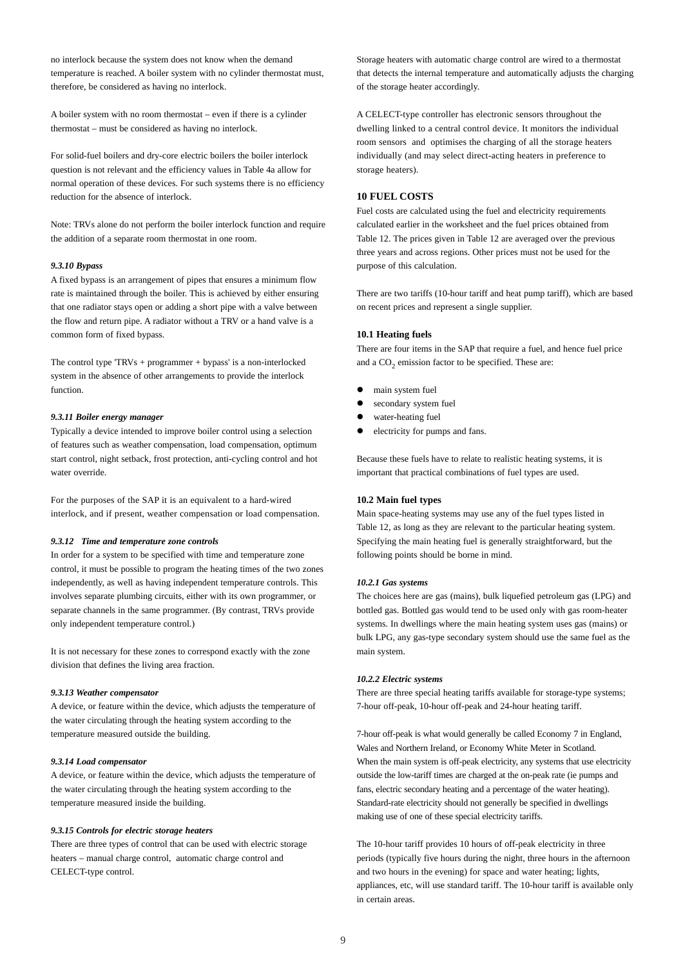no interlock because the system does not know when the demand temperature is reached. A boiler system with no cylinder thermostat must, therefore, be considered as having no interlock.

A boiler system with no room thermostat – even if there is a cylinder thermostat – must be considered as having no interlock.

For solid-fuel boilers and dry-core electric boilers the boiler interlock question is not relevant and the efficiency values in Table 4a allow for normal operation of these devices. For such systems there is no efficiency reduction for the absence of interlock.

Note: TRVs alone do not perform the boiler interlock function and require the addition of a separate room thermostat in one room.

#### *9.3.10 Bypass*

A fixed bypass is an arrangement of pipes that ensures a minimum flow rate is maintained through the boiler. This is achieved by either ensuring that one radiator stays open or adding a short pipe with a valve between the flow and return pipe. A radiator without a TRV or a hand valve is a common form of fixed bypass.

The control type 'TRVs + programmer + bypass' is a non-interlocked system in the absence of other arrangements to provide the interlock function.

#### *9.3.11 Boiler energy manager*

Typically a device intended to improve boiler control using a selection of features such as weather compensation, load compensation, optimum start control, night setback, frost protection, anti-cycling control and hot water override.

For the purposes of the SAP it is an equivalent to a hard-wired interlock, and if present, weather compensation or load compensation.

#### *9.3.12 Time and temperature zone controls*

In order for a system to be specified with time and temperature zone control, it must be possible to program the heating times of the two zones independently, as well as having independent temperature controls. This involves separate plumbing circuits, either with its own programmer, or separate channels in the same programmer. (By contrast, TRVs provide only independent temperature control.)

It is not necessary for these zones to correspond exactly with the zone division that defines the living area fraction.

#### *9.3.13 Weather compensator*

A device, or feature within the device, which adjusts the temperature of the water circulating through the heating system according to the temperature measured outside the building.

#### *9.3.14 Load compensator*

A device, or feature within the device, which adjusts the temperature of the water circulating through the heating system according to the temperature measured inside the building.

#### *9.3.15 Controls for electric storage heaters*

There are three types of control that can be used with electric storage heaters – manual charge control, automatic charge control and CELECT-type control.

Storage heaters with automatic charge control are wired to a thermostat that detects the internal temperature and automatically adjusts the charging of the storage heater accordingly.

A CELECT-type controller has electronic sensors throughout the dwelling linked to a central control device. It monitors the individual room sensors and optimises the charging of all the storage heaters individually (and may select direct-acting heaters in preference to storage heaters).

### **10 FUEL COSTS**

Fuel costs are calculated using the fuel and electricity requirements calculated earlier in the worksheet and the fuel prices obtained from Table 12. The prices given in Table 12 are averaged over the previous three years and across regions. Other prices must not be used for the purpose of this calculation.

There are two tariffs (10-hour tariff and heat pump tariff), which are based on recent prices and represent a single supplier.

#### **10.1 Heating fuels**

There are four items in the SAP that require a fuel, and hence fuel price and a  $CO<sub>2</sub>$  emission factor to be specified. These are:

- main system fuel
- secondary system fuel
- water-heating fuel
- electricity for pumps and fans.

Because these fuels have to relate to realistic heating systems, it is important that practical combinations of fuel types are used.

#### **10.2 Main fuel types**

Main space-heating systems may use any of the fuel types listed in Table 12, as long as they are relevant to the particular heating system. Specifying the main heating fuel is generally straightforward, but the following points should be borne in mind.

#### *10.2.1 Gas systems*

The choices here are gas (mains), bulk liquefied petroleum gas (LPG) and bottled gas. Bottled gas would tend to be used only with gas room-heater systems. In dwellings where the main heating system uses gas (mains) or bulk LPG, any gas-type secondary system should use the same fuel as the main system.

#### *10.2.2 Electric systems*

There are three special heating tariffs available for storage-type systems; 7-hour off-peak, 10-hour off-peak and 24-hour heating tariff.

7-hour off-peak is what would generally be called Economy 7 in England, Wales and Northern Ireland, or Economy White Meter in Scotland. When the main system is off-peak electricity, any systems that use electricity outside the low-tariff times are charged at the on-peak rate (ie pumps and fans, electric secondary heating and a percentage of the water heating). Standard-rate electricity should not generally be specified in dwellings making use of one of these special electricity tariffs.

The 10-hour tariff provides 10 hours of off-peak electricity in three periods (typically five hours during the night, three hours in the afternoon and two hours in the evening) for space and water heating; lights, appliances, etc, will use standard tariff. The 10-hour tariff is available only in certain areas.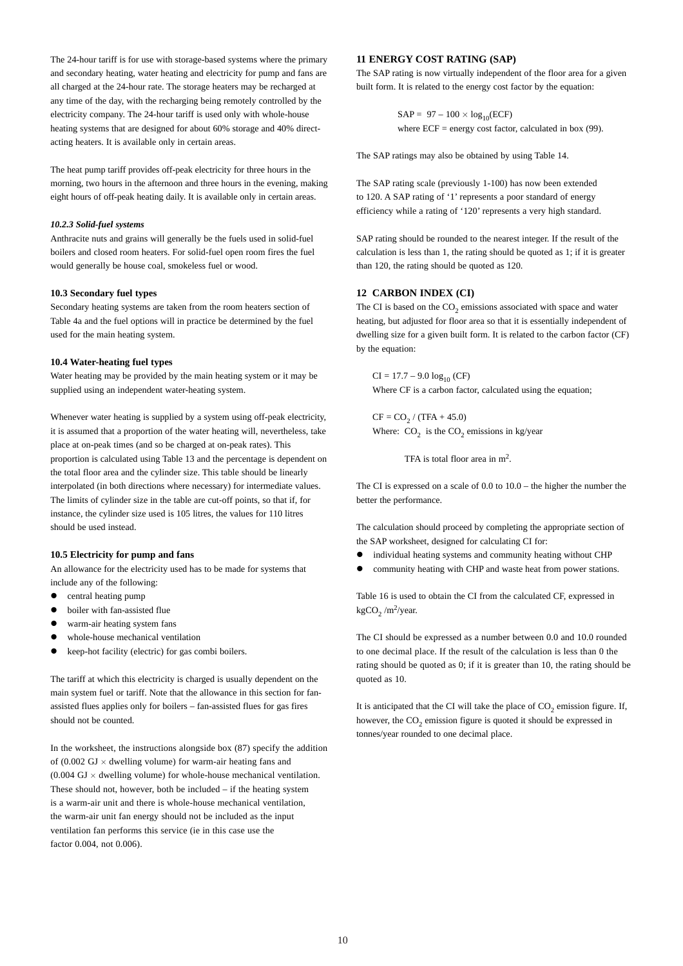The 24-hour tariff is for use with storage-based systems where the primary and secondary heating, water heating and electricity for pump and fans are all charged at the 24-hour rate. The storage heaters may be recharged at any time of the day, with the recharging being remotely controlled by the electricity company. The 24-hour tariff is used only with whole-house heating systems that are designed for about 60% storage and 40% directacting heaters. It is available only in certain areas.

The heat pump tariff provides off-peak electricity for three hours in the morning, two hours in the afternoon and three hours in the evening, making eight hours of off-peak heating daily. It is available only in certain areas.

#### *10.2.3 Solid-fuel systems*

Anthracite nuts and grains will generally be the fuels used in solid-fuel boilers and closed room heaters. For solid-fuel open room fires the fuel would generally be house coal, smokeless fuel or wood.

## **10.3 Secondary fuel types**

Secondary heating systems are taken from the room heaters section of Table 4a and the fuel options will in practice be determined by the fuel used for the main heating system.

#### **10.4 Water-heating fuel types**

Water heating may be provided by the main heating system or it may be supplied using an independent water-heating system.

Whenever water heating is supplied by a system using off-peak electricity, it is assumed that a proportion of the water heating will, nevertheless, take place at on-peak times (and so be charged at on-peak rates). This proportion is calculated using Table 13 and the percentage is dependent on the total floor area and the cylinder size. This table should be linearly interpolated (in both directions where necessary) for intermediate values. The limits of cylinder size in the table are cut-off points, so that if, for instance, the cylinder size used is 105 litres, the values for 110 litres should be used instead.

#### **10.5 Electricity for pump and fans**

An allowance for the electricity used has to be made for systems that include any of the following:

- $\bullet$  central heating pump
- boiler with fan-assisted flue
- $\bullet$  warm-air heating system fans
- whole-house mechanical ventilation
- keep-hot facility (electric) for gas combi boilers.

The tariff at which this electricity is charged is usually dependent on the main system fuel or tariff. Note that the allowance in this section for fanassisted flues applies only for boilers – fan-assisted flues for gas fires should not be counted.

In the worksheet, the instructions alongside box (87) specify the addition of (0.002 GJ  $\times$  dwelling volume) for warm-air heating fans and  $(0.004 \text{ GJ} \times$  dwelling volume) for whole-house mechanical ventilation. These should not, however, both be included – if the heating system is a warm-air unit and there is whole-house mechanical ventilation, the warm-air unit fan energy should not be included as the input ventilation fan performs this service (ie in this case use the factor 0.004, not 0.006).

## **11 ENERGY COST RATING (SAP)**

The SAP rating is now virtually independent of the floor area for a given built form. It is related to the energy cost factor by the equation:

> $SAP = 97 - 100 \times log_{10}(ECF)$ where  $ECF = energy cost factor, calculated in box (99).$

The SAP ratings may also be obtained by using Table 14.

The SAP rating scale (previously 1-100) has now been extended to 120. A SAP rating of '1' represents a poor standard of energy efficiency while a rating of '120' represents a very high standard.

SAP rating should be rounded to the nearest integer. If the result of the calculation is less than 1, the rating should be quoted as 1; if it is greater than 120, the rating should be quoted as 120.

## **12 CARBON INDEX (CI)**

The CI is based on the  $CO<sub>2</sub>$  emissions associated with space and water heating, but adjusted for floor area so that it is essentially independent of dwelling size for a given built form. It is related to the carbon factor (CF) by the equation:

 $CI = 17.7 - 9.0 \log_{10} (CF)$ Where CF is a carbon factor, calculated using the equation;

 $CF = CO<sub>2</sub> / (TFA + 45.0)$ Where:  $CO<sub>2</sub>$  is the  $CO<sub>2</sub>$  emissions in kg/year

TFA is total floor area in m2.

The CI is expressed on a scale of 0.0 to 10.0 – the higher the number the better the performance.

The calculation should proceed by completing the appropriate section of the SAP worksheet, designed for calculating CI for:

- individual heating systems and community heating without CHP
- community heating with CHP and waste heat from power stations.

Table 16 is used to obtain the CI from the calculated CF, expressed in kgCO<sub>2</sub> /m<sup>2</sup>/year.

The CI should be expressed as a number between 0.0 and 10.0 rounded to one decimal place. If the result of the calculation is less than 0 the rating should be quoted as 0; if it is greater than 10, the rating should be quoted as 10.

It is anticipated that the CI will take the place of  $CO<sub>2</sub>$  emission figure. If, however, the  $CO<sub>2</sub>$  emission figure is quoted it should be expressed in tonnes/year rounded to one decimal place.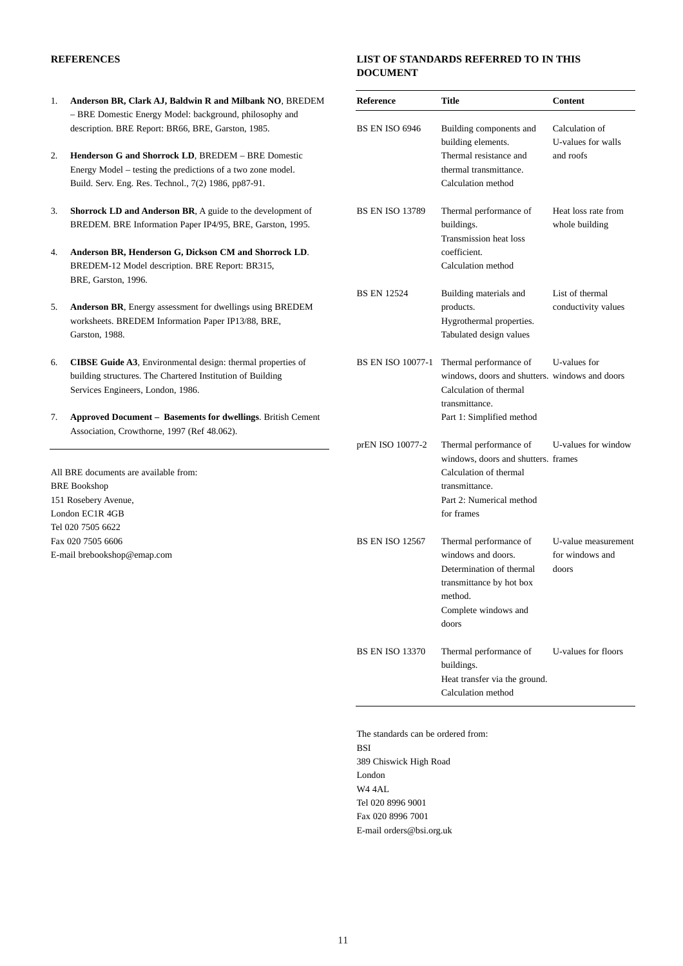## **REFERENCES**

- 1. **Anderson BR, Clark AJ, Baldwin R and Milbank NO**, BREDEM – BRE Domestic Energy Model: background, philosophy and description. BRE Report: BR66, BRE, Garston, 1985.
- 2. **Henderson G and Shorrock LD**, BREDEM BRE Domestic Energy Model – testing the predictions of a two zone model. Build. Serv. Eng. Res. Technol., 7(2) 1986, pp87-91.
- 3. **Shorrock LD and Anderson BR**, A guide to the development of BREDEM. BRE Information Paper IP4/95, BRE, Garston, 1995.
- 4. **Anderson BR, Henderson G, Dickson CM and Shorrock LD**. BREDEM-12 Model description. BRE Report: BR315, BRE, Garston, 1996.
- 5. **Anderson BR**, Energy assessment for dwellings using BREDEM worksheets. BREDEM Information Paper IP13/88, BRE, Garston, 1988.
- 6. **CIBSE Guide A3**, Environmental design: thermal properties of building structures. The Chartered Institution of Building Services Engineers, London, 1986.
- 7. **Approved Document Basements for dwellings**. British Cement Association, Crowthorne, 1997 (Ref 48.062).

All BRE documents are available from: BRE Bookshop 151 Rosebery Avenue, London EC1R 4GB Tel 020 7505 6622 Fax 020 7505 6606 E-mail brebookshop@emap.com

## **LIST OF STANDARDS REFERRED TO IN THIS DOCUMENT**

| <b>Reference</b>         | <b>Title</b>                                                                                                                                        | <b>Content</b>                                    |
|--------------------------|-----------------------------------------------------------------------------------------------------------------------------------------------------|---------------------------------------------------|
| <b>BS EN ISO 6946</b>    | Building components and<br>building elements.<br>Thermal resistance and<br>thermal transmittance.<br>Calculation method                             | Calculation of<br>U-values for walls<br>and roofs |
| <b>BS EN ISO 13789</b>   | Thermal performance of<br>buildings.<br>Transmission heat loss<br>coefficient.<br>Calculation method                                                | Heat loss rate from<br>whole building             |
| <b>BS EN 12524</b>       | Building materials and<br>products.<br>Hygrothermal properties.<br>Tabulated design values                                                          | List of thermal<br>conductivity values            |
| <b>BS EN ISO 10077-1</b> | Thermal performance of<br>windows, doors and shutters. windows and doors<br>Calculation of thermal<br>transmittance.<br>Part 1: Simplified method   | U-values for                                      |
| prEN ISO 10077-2         | Thermal performance of<br>windows, doors and shutters. frames<br>Calculation of thermal<br>transmittance.<br>Part 2: Numerical method<br>for frames | U-values for window                               |
| <b>BS EN ISO 12567</b>   | Thermal performance of<br>windows and doors.<br>Determination of thermal<br>transmittance by hot box<br>method.<br>Complete windows and<br>doors    | U-value measurement<br>for windows and<br>doors   |
| <b>BS EN ISO 13370</b>   | Thermal performance of<br>buildings.<br>Heat transfer via the ground.<br>Calculation method                                                         | U-values for floors                               |

The standards can be ordered from: BSI 389 Chiswick High Road London W4 4AL Tel 020 8996 9001 Fax 020 8996 7001 E-mail orders@bsi.org.uk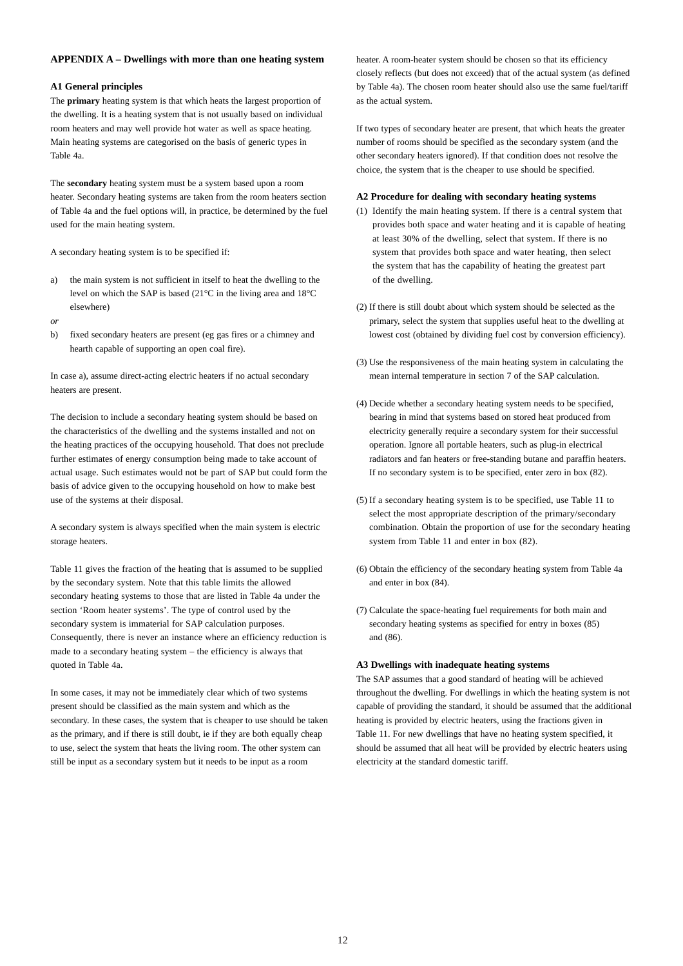#### **APPENDIX A – Dwellings with more than one heating system**

#### **A1 General principles**

The **primary** heating system is that which heats the largest proportion of the dwelling. It is a heating system that is not usually based on individual room heaters and may well provide hot water as well as space heating. Main heating systems are categorised on the basis of generic types in Table 4a.

The **secondary** heating system must be a system based upon a room heater. Secondary heating systems are taken from the room heaters section of Table 4a and the fuel options will, in practice, be determined by the fuel used for the main heating system.

A secondary heating system is to be specified if:

- a) the main system is not sufficient in itself to heat the dwelling to the level on which the SAP is based (21°C in the living area and 18°C elsewhere)
- *or*
- b) fixed secondary heaters are present (eg gas fires or a chimney and hearth capable of supporting an open coal fire).

In case a), assume direct-acting electric heaters if no actual secondary heaters are present.

The decision to include a secondary heating system should be based on the characteristics of the dwelling and the systems installed and not on the heating practices of the occupying household. That does not preclude further estimates of energy consumption being made to take account of actual usage. Such estimates would not be part of SAP but could form the basis of advice given to the occupying household on how to make best use of the systems at their disposal.

A secondary system is always specified when the main system is electric storage heaters.

Table 11 gives the fraction of the heating that is assumed to be supplied by the secondary system. Note that this table limits the allowed secondary heating systems to those that are listed in Table 4a under the section 'Room heater systems'. The type of control used by the secondary system is immaterial for SAP calculation purposes. Consequently, there is never an instance where an efficiency reduction is made to a secondary heating system – the efficiency is always that quoted in Table 4a.

In some cases, it may not be immediately clear which of two systems present should be classified as the main system and which as the secondary. In these cases, the system that is cheaper to use should be taken as the primary, and if there is still doubt, ie if they are both equally cheap to use, select the system that heats the living room. The other system can still be input as a secondary system but it needs to be input as a room

heater. A room-heater system should be chosen so that its efficiency closely reflects (but does not exceed) that of the actual system (as defined by Table 4a). The chosen room heater should also use the same fuel/tariff as the actual system.

If two types of secondary heater are present, that which heats the greater number of rooms should be specified as the secondary system (and the other secondary heaters ignored). If that condition does not resolve the choice, the system that is the cheaper to use should be specified.

## **A2 Procedure for dealing with secondary heating systems**

- (1) Identify the main heating system. If there is a central system that provides both space and water heating and it is capable of heating at least 30% of the dwelling, select that system. If there is no system that provides both space and water heating, then select the system that has the capability of heating the greatest part of the dwelling.
- (2) If there is still doubt about which system should be selected as the primary, select the system that supplies useful heat to the dwelling at lowest cost (obtained by dividing fuel cost by conversion efficiency).
- (3) Use the responsiveness of the main heating system in calculating the mean internal temperature in section 7 of the SAP calculation.
- (4) Decide whether a secondary heating system needs to be specified, bearing in mind that systems based on stored heat produced from electricity generally require a secondary system for their successful operation. Ignore all portable heaters, such as plug-in electrical radiators and fan heaters or free-standing butane and paraffin heaters. If no secondary system is to be specified, enter zero in box (82).
- (5) If a secondary heating system is to be specified, use Table 11 to select the most appropriate description of the primary/secondary combination. Obtain the proportion of use for the secondary heating system from Table 11 and enter in box (82).
- (6) Obtain the efficiency of the secondary heating system from Table 4a and enter in box (84).
- (7) Calculate the space-heating fuel requirements for both main and secondary heating systems as specified for entry in boxes (85) and (86).

#### **A3 Dwellings with inadequate heating systems**

The SAP assumes that a good standard of heating will be achieved throughout the dwelling. For dwellings in which the heating system is not capable of providing the standard, it should be assumed that the additional heating is provided by electric heaters, using the fractions given in Table 11. For new dwellings that have no heating system specified, it should be assumed that all heat will be provided by electric heaters using electricity at the standard domestic tariff.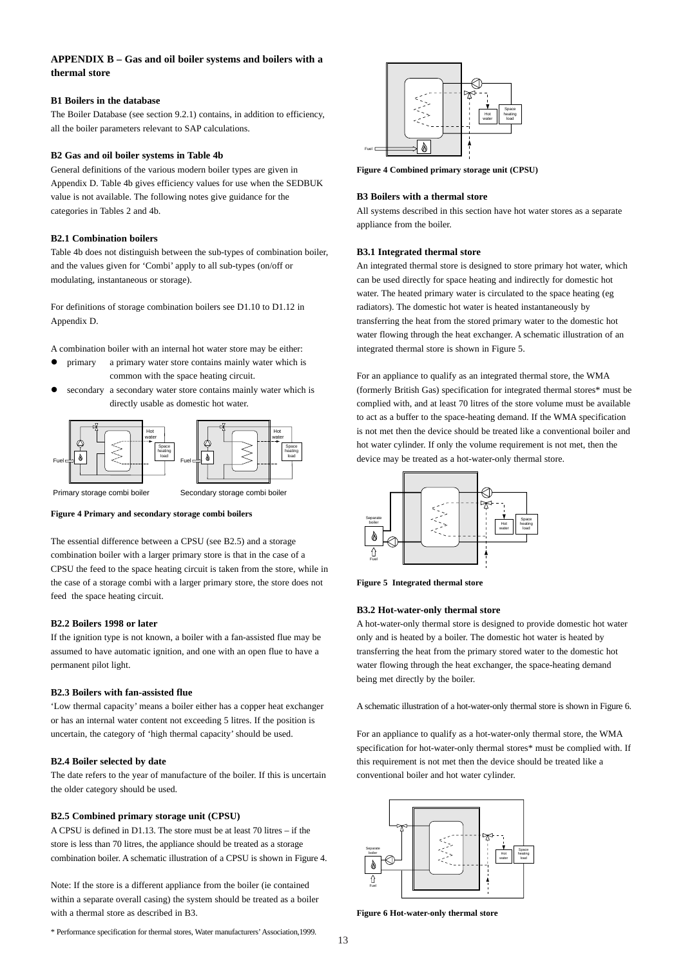## **APPENDIX B – Gas and oil boiler systems and boilers with a thermal store**

#### **B1 Boilers in the database**

The Boiler Database (see section 9.2.1) contains, in addition to efficiency, all the boiler parameters relevant to SAP calculations.

## **B2 Gas and oil boiler systems in Table 4b**

General definitions of the various modern boiler types are given in Appendix D. Table 4b gives efficiency values for use when the SEDBUK value is not available. The following notes give guidance for the categories in Tables 2 and 4b.

#### **B2.1 Combination boilers**

Table 4b does not distinguish between the sub-types of combination boiler, and the values given for 'Combi' apply to all sub-types (on/off or modulating, instantaneous or storage).

For definitions of storage combination boilers see D1.10 to D1.12 in Appendix D.

A combination boiler with an internal hot water store may be either:

- primary a primary water store contains mainly water which is common with the space heating circuit.
- secondary a secondary water store contains mainly water which is directly usable as domestic hot water.



Primary storage combi boiler

**Figure 4 Primary and secondary storage combi boilers**

The essential difference between a CPSU (see B2.5) and a storage combination boiler with a larger primary store is that in the case of a CPSU the feed to the space heating circuit is taken from the store, while in the case of a storage combi with a larger primary store, the store does not feed the space heating circuit.

#### **B2.2 Boilers 1998 or later**

If the ignition type is not known, a boiler with a fan-assisted flue may be assumed to have automatic ignition, and one with an open flue to have a permanent pilot light.

#### **B2.3 Boilers with fan-assisted flue**

'Low thermal capacity' means a boiler either has a copper heat exchanger or has an internal water content not exceeding 5 litres. If the position is uncertain, the category of 'high thermal capacity' should be used.

#### **B2.4 Boiler selected by date**

The date refers to the year of manufacture of the boiler. If this is uncertain the older category should be used.

#### **B2.5 Combined primary storage unit (CPSU)**

A CPSU is defined in D1.13. The store must be at least 70 litres – if the store is less than 70 litres, the appliance should be treated as a storage combination boiler. A schematic illustration of a CPSU is shown in Figure 4.

Note: If the store is a different appliance from the boiler (ie contained within a separate overall casing) the system should be treated as a boiler with a thermal store as described in B3.

\* Performance specification for thermal stores, Water manufacturers'Association,1999.



**Figure 4 Combined primary storage unit (CPSU)**

#### **B3 Boilers with a thermal store**

All systems described in this section have hot water stores as a separate appliance from the boiler.

#### **B3.1 Integrated thermal store**

An integrated thermal store is designed to store primary hot water, which can be used directly for space heating and indirectly for domestic hot water. The heated primary water is circulated to the space heating (eg radiators). The domestic hot water is heated instantaneously by transferring the heat from the stored primary water to the domestic hot water flowing through the heat exchanger. A schematic illustration of an integrated thermal store is shown in Figure 5.

For an appliance to qualify as an integrated thermal store, the WMA (formerly British Gas) specification for integrated thermal stores\* must be complied with, and at least 70 litres of the store volume must be available to act as a buffer to the space-heating demand. If the WMA specification is not met then the device should be treated like a conventional boiler and hot water cylinder. If only the volume requirement is not met, then the device may be treated as a hot-water-only thermal store.



**Figure 5 Integrated thermal store**

#### **B3.2 Hot-water-only thermal store**

A hot-water-only thermal store is designed to provide domestic hot water only and is heated by a boiler. The domestic hot water is heated by transferring the heat from the primary stored water to the domestic hot water flowing through the heat exchanger, the space-heating demand being met directly by the boiler.

A schematic illustration of a hot-water-only thermal store is shown in Figure 6.

For an appliance to qualify as a hot-water-only thermal store, the WMA specification for hot-water-only thermal stores\* must be complied with. If this requirement is not met then the device should be treated like a conventional boiler and hot water cylinder.



**Figure 6 Hot-water-only thermal store**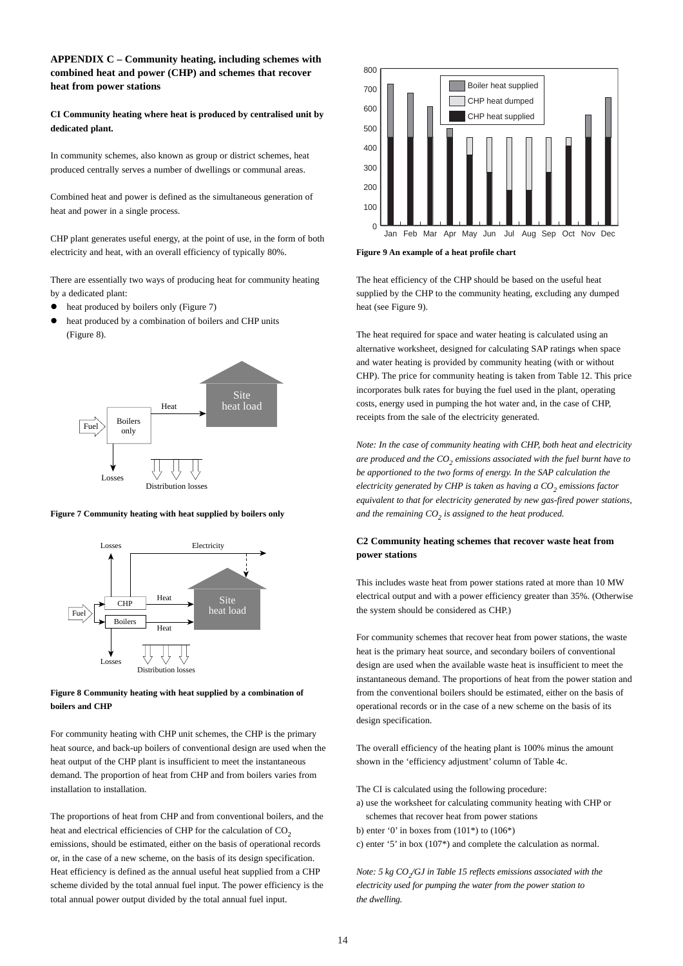## **APPENDIX C – Community heating, including schemes with combined heat and power (CHP) and schemes that recover heat from power stations**

**CI Community heating where heat is produced by centralised unit by dedicated plant.**

In community schemes, also known as group or district schemes, heat produced centrally serves a number of dwellings or communal areas.

Combined heat and power is defined as the simultaneous generation of heat and power in a single process.

CHP plant generates useful energy, at the point of use, in the form of both electricity and heat, with an overall efficiency of typically 80%.

There are essentially two ways of producing heat for community heating by a dedicated plant:

- heat produced by boilers only (Figure 7)
- heat produced by a combination of boilers and CHP units (Figure 8).



**Figure 7 Community heating with heat supplied by boilers only**



## **Figure 8 Community heating with heat supplied by a combination of boilers and CHP**

For community heating with CHP unit schemes, the CHP is the primary heat source, and back-up boilers of conventional design are used when the heat output of the CHP plant is insufficient to meet the instantaneous demand. The proportion of heat from CHP and from boilers varies from installation to installation.

The proportions of heat from CHP and from conventional boilers, and the heat and electrical efficiencies of CHP for the calculation of  $CO<sub>2</sub>$ emissions, should be estimated, either on the basis of operational records or, in the case of a new scheme, on the basis of its design specification. Heat efficiency is defined as the annual useful heat supplied from a CHP scheme divided by the total annual fuel input. The power efficiency is the total annual power output divided by the total annual fuel input.



**Figure 9 An example of a heat profile chart**

The heat efficiency of the CHP should be based on the useful heat supplied by the CHP to the community heating, excluding any dumped heat (see Figure 9).

The heat required for space and water heating is calculated using an alternative worksheet, designed for calculating SAP ratings when space and water heating is provided by community heating (with or without CHP). The price for community heating is taken from Table 12. This price incorporates bulk rates for buying the fuel used in the plant, operating costs, energy used in pumping the hot water and, in the case of CHP, receipts from the sale of the electricity generated.

*Note: In the case of community heating with CHP, both heat and electricity are produced and the CO2 emissions associated with the fuel burnt have to be apportioned to the two forms of energy. In the SAP calculation the electricity generated by CHP is taken as having a CO<sub>2</sub> emissions factor equivalent to that for electricity generated by new gas-fired power stations, and the remaining CO<sub>2</sub> is assigned to the heat produced.* 

## **C2 Community heating schemes that recover waste heat from power stations**

This includes waste heat from power stations rated at more than 10 MW electrical output and with a power efficiency greater than 35%. (Otherwise the system should be considered as CHP.)

For community schemes that recover heat from power stations, the waste heat is the primary heat source, and secondary boilers of conventional design are used when the available waste heat is insufficient to meet the instantaneous demand. The proportions of heat from the power station and from the conventional boilers should be estimated, either on the basis of operational records or in the case of a new scheme on the basis of its design specification.

The overall efficiency of the heating plant is 100% minus the amount shown in the 'efficiency adjustment' column of Table 4c.

The CI is calculated using the following procedure: a) use the worksheet for calculating community heating with CHP or

schemes that recover heat from power stations

b) enter '0' in boxes from  $(101^*)$  to  $(106^*)$ 

c) enter '5' in box (107\*) and complete the calculation as normal.

*Note: 5 kg CO<sub>2</sub>/GJ in Table 15 reflects emissions associated with the electricity used for pumping the water from the power station to the dwelling.*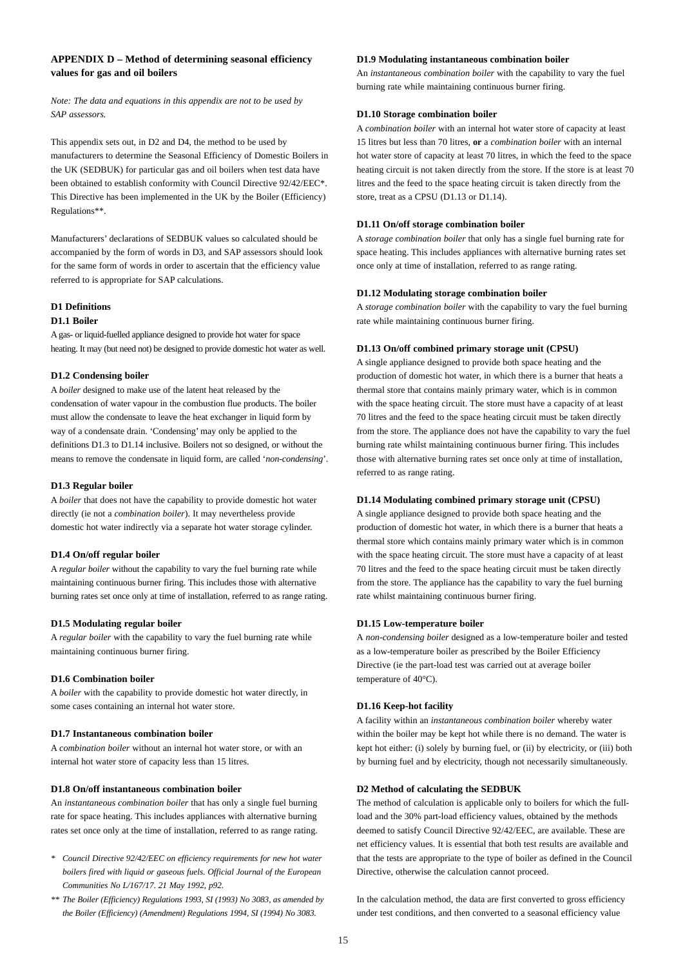## **APPENDIX D – Method of determining seasonal efficiency values for gas and oil boilers**

*Note: The data and equations in this appendix are not to be used by SAP assessors.*

This appendix sets out, in D2 and D4, the method to be used by manufacturers to determine the Seasonal Efficiency of Domestic Boilers in the UK (SEDBUK) for particular gas and oil boilers when test data have been obtained to establish conformity with Council Directive 92/42/EEC\*. This Directive has been implemented in the UK by the Boiler (Efficiency) Regulations\*\*.

Manufacturers' declarations of SEDBUK values so calculated should be accompanied by the form of words in D3, and SAP assessors should look for the same form of words in order to ascertain that the efficiency value referred to is appropriate for SAP calculations.

## **D1 Definitions**

#### **D1.1 Boiler**

A gas- or liquid-fuelled appliance designed to provide hot water for space heating. It may (but need not) be designed to provide domestic hot water as well.

#### **D1.2 Condensing boiler**

A *boiler* designed to make use of the latent heat released by the condensation of water vapour in the combustion flue products. The boiler must allow the condensate to leave the heat exchanger in liquid form by way of a condensate drain. 'Condensing' may only be applied to the definitions D1.3 to D1.14 inclusive. Boilers not so designed, or without the means to remove the condensate in liquid form, are called '*non-condensing*'.

#### **D1.3 Regular boiler**

A *boiler* that does not have the capability to provide domestic hot water directly (ie not a *combination boiler*). It may nevertheless provide domestic hot water indirectly via a separate hot water storage cylinder.

#### **D1.4 On/off regular boiler**

A *regular boiler* without the capability to vary the fuel burning rate while maintaining continuous burner firing. This includes those with alternative burning rates set once only at time of installation, referred to as range rating.

#### **D1.5 Modulating regular boiler**

A *regular boiler* with the capability to vary the fuel burning rate while maintaining continuous burner firing.

#### **D1.6 Combination boiler**

A *boiler* with the capability to provide domestic hot water directly, in some cases containing an internal hot water store.

## **D1.7 Instantaneous combination boiler**

A *combination boiler* without an internal hot water store, or with an internal hot water store of capacity less than 15 litres.

#### **D1.8 On/off instantaneous combination boiler**

An *instantaneous combination boiler* that has only a single fuel burning rate for space heating. This includes appliances with alternative burning rates set once only at the time of installation, referred to as range rating.

- *\* Council Directive 92/42/EEC on efficiency requirements for new hot water boilers fired with liquid or gaseous fuels. Official Journal of the European Communities No L/167/17. 21 May 1992, p92.*
- *\*\* The Boiler (Efficiency) Regulations 1993, SI (1993) No 3083, as amended by the Boiler (Efficiency) (Amendment) Regulations 1994, SI (1994) No 3083.*

#### **D1.9 Modulating instantaneous combination boiler**

An *instantaneous combination boiler* with the capability to vary the fuel burning rate while maintaining continuous burner firing.

#### **D1.10 Storage combination boiler**

A *combination boiler* with an internal hot water store of capacity at least 15 litres but less than 70 litres, **or** a *combination boiler* with an internal hot water store of capacity at least 70 litres, in which the feed to the space heating circuit is not taken directly from the store. If the store is at least 70 litres and the feed to the space heating circuit is taken directly from the store, treat as a CPSU (D1.13 or D1.14).

#### **D1.11 On/off storage combination boiler**

A *storage combination boiler* that only has a single fuel burning rate for space heating. This includes appliances with alternative burning rates set once only at time of installation, referred to as range rating.

#### **D1.12 Modulating storage combination boiler**

A *storage combination boiler* with the capability to vary the fuel burning rate while maintaining continuous burner firing.

#### **D1.13 On/off combined primary storage unit (CPSU)**

A single appliance designed to provide both space heating and the production of domestic hot water, in which there is a burner that heats a thermal store that contains mainly primary water, which is in common with the space heating circuit. The store must have a capacity of at least 70 litres and the feed to the space heating circuit must be taken directly from the store. The appliance does not have the capability to vary the fuel burning rate whilst maintaining continuous burner firing. This includes those with alternative burning rates set once only at time of installation, referred to as range rating.

#### **D1.14 Modulating combined primary storage unit (CPSU)**

A single appliance designed to provide both space heating and the production of domestic hot water, in which there is a burner that heats a thermal store which contains mainly primary water which is in common with the space heating circuit. The store must have a capacity of at least 70 litres and the feed to the space heating circuit must be taken directly from the store. The appliance has the capability to vary the fuel burning rate whilst maintaining continuous burner firing.

#### **D1.15 Low-temperature boiler**

A *non-condensing boiler* designed as a low-temperature boiler and tested as a low-temperature boiler as prescribed by the Boiler Efficiency Directive (ie the part-load test was carried out at average boiler temperature of 40°C).

#### **D1.16 Keep-hot facility**

A facility within an *instantaneous combination boiler* whereby water within the boiler may be kept hot while there is no demand. The water is kept hot either: (i) solely by burning fuel, or (ii) by electricity, or (iii) both by burning fuel and by electricity, though not necessarily simultaneously.

## **D2 Method of calculating the SEDBUK**

The method of calculation is applicable only to boilers for which the fullload and the 30% part-load efficiency values, obtained by the methods deemed to satisfy Council Directive 92/42/EEC, are available. These are net efficiency values. It is essential that both test results are available and that the tests are appropriate to the type of boiler as defined in the Council Directive, otherwise the calculation cannot proceed.

In the calculation method, the data are first converted to gross efficiency under test conditions, and then converted to a seasonal efficiency value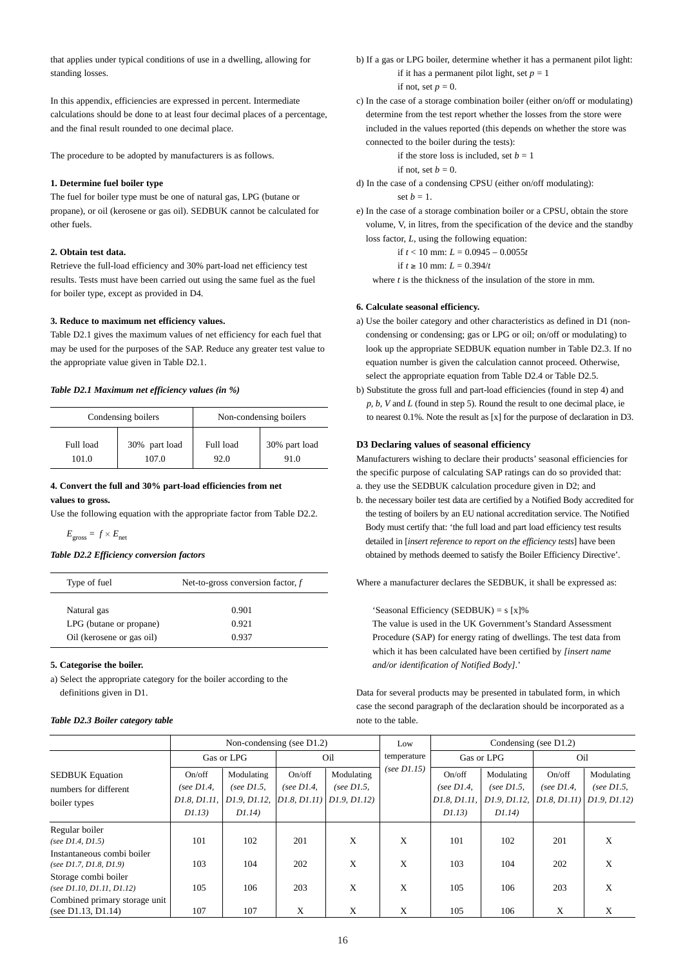that applies under typical conditions of use in a dwelling, allowing for standing losses.

In this appendix, efficiencies are expressed in percent. Intermediate calculations should be done to at least four decimal places of a percentage, and the final result rounded to one decimal place.

The procedure to be adopted by manufacturers is as follows.

## **1. Determine fuel boiler type**

The fuel for boiler type must be one of natural gas, LPG (butane or propane), or oil (kerosene or gas oil). SEDBUK cannot be calculated for other fuels.

## **2. Obtain test data.**

Retrieve the full-load efficiency and 30% part-load net efficiency test results. Tests must have been carried out using the same fuel as the fuel for boiler type, except as provided in D4.

#### **3. Reduce to maximum net efficiency values.**

Table D2.1 gives the maximum values of net efficiency for each fuel that may be used for the purposes of the SAP. Reduce any greater test value to the appropriate value given in Table D2.1.

#### *Table D2.1 Maximum net efficiency values (in %)*

|           | Condensing boilers |           | Non-condensing boilers |
|-----------|--------------------|-----------|------------------------|
| Full load | 30% part load      | Full load | 30% part load          |
| 101.0     | 107.0              | 92.0      | 91.0                   |

#### **4. Convert the full and 30% part-load efficiencies from net values to gross.**

Use the following equation with the appropriate factor from Table D2.2.

 $E_{\text{orose}} = f \times E_{\text{net}}$ 

## *Table D2.2 Efficiency conversion factors*

| Type of fuel              | Net-to-gross conversion factor, $f$ |
|---------------------------|-------------------------------------|
| Natural gas               | 0.901                               |
| LPG (butane or propane)   | 0.921                               |
| Oil (kerosene or gas oil) | 0.937                               |

#### **5. Categorise the boiler.**

a) Select the appropriate category for the boiler according to the definitions given in D1.

#### *Table D2.3 Boiler category table*

b) If a gas or LPG boiler, determine whether it has a permanent pilot light: if it has a permanent pilot light, set  $p = 1$ if not, set  $p = 0$ .

c) In the case of a storage combination boiler (either on/off or modulating) determine from the test report whether the losses from the store were included in the values reported (this depends on whether the store was connected to the boiler during the tests):

if the store loss is included, set  $b = 1$ 

if not, set  $b = 0$ .

d) In the case of a condensing CPSU (either on/off modulating): set  $b = 1$ .

e) In the case of a storage combination boiler or a CPSU, obtain the store volume, V, in litres, from the specification of the device and the standby loss factor, *L*, using the following equation:

if  $t < 10$  mm:  $L = 0.0945 - 0.0055t$ 

if *t* ≥ 10 mm: *L* = 0.394/*t*

where *t* is the thickness of the insulation of the store in mm.

## **6. Calculate seasonal efficiency.**

- a) Use the boiler category and other characteristics as defined in D1 (noncondensing or condensing; gas or LPG or oil; on/off or modulating) to look up the appropriate SEDBUK equation number in Table D2.3. If no equation number is given the calculation cannot proceed. Otherwise, select the appropriate equation from Table D2.4 or Table D2.5.
- b) Substitute the gross full and part-load efficiencies (found in step 4) and *p, b, V* and *L* (found in step 5). Round the result to one decimal place, ie to nearest 0.1%. Note the result as [x] for the purpose of declaration in D3.

## **D3 Declaring values of seasonal efficiency**

Manufacturers wishing to declare their products' seasonal efficiencies for the specific purpose of calculating SAP ratings can do so provided that:

- a. they use the SEDBUK calculation procedure given in D2; and
- b. the necessary boiler test data are certified by a Notified Body accredited for the testing of boilers by an EU national accreditation service. The Notified Body must certify that: 'the full load and part load efficiency test results detailed in [*insert reference to report on the efficiency tests*] have been obtained by methods deemed to satisfy the Boiler Efficiency Directive'.

Where a manufacturer declares the SEDBUK, it shall be expressed as:

'Seasonal Efficiency (SEDBUK) = s [x]%

The value is used in the UK Government's Standard Assessment Procedure (SAP) for energy rating of dwellings. The test data from which it has been calculated have been certified by *[insert name and/or identification of Notified Body]*.'

Data for several products may be presented in tabulated form, in which case the second paragraph of the declaration should be incorporated as a note to the table.

|                                                                 | Non-condensing (see $D1.2$ )                      |                                                       |                         | Low                                                                      | Condensing (see $D1.2$ ) |                                                  |                                                      |                                         |                                            |
|-----------------------------------------------------------------|---------------------------------------------------|-------------------------------------------------------|-------------------------|--------------------------------------------------------------------------|--------------------------|--------------------------------------------------|------------------------------------------------------|-----------------------------------------|--------------------------------------------|
|                                                                 |                                                   | Gas or LPG                                            |                         | Oil                                                                      | temperature              |                                                  | Gas or LPG                                           | Oil                                     |                                            |
| <b>SEDBUK</b> Equation<br>numbers for different<br>boiler types | On/off<br>(see $D1.4$ ,<br>D1.8, D1.11,<br>D1.13) | Modulating<br>(see $D1.5$ ,<br>D1.9, D1.12,<br>D1.14) | On/off<br>(see $D1.4$ , | Modulating<br>(see $D1.5$ ,<br>$ D1.8, D1.11\rangle  D1.9, D1.12\rangle$ | (see $D1.15$ )           | On/off<br>(see $D1.4$ ,<br>D1.8, D1.11,<br>D1.13 | Modulating<br>(see $D1.5$ ,<br>D1.9, D1.12,<br>D1.14 | On/off<br>(see $D1.4$ ,<br>DI.8, D1.11) | Modulating<br>(see $D1.5$ ,<br>D1.9, D1.12 |
| Regular boiler<br>(see $D1.4, D1.5$ )                           | 101                                               | 102                                                   | 201                     | X                                                                        | X                        | 101                                              | 102                                                  | 201                                     | X                                          |
| Instantaneous combi boiler<br>(see $D1.7, D1.8, D1.9$ )         | 103                                               | 104                                                   | 202                     | X                                                                        | X                        | 103                                              | 104                                                  | 202                                     | X                                          |
| Storage combi boiler<br>(see $D1.10, D1.11, D1.12$ )            | 105                                               | 106                                                   | 203                     | X                                                                        | X                        | 105                                              | 106                                                  | 203                                     | X                                          |
| Combined primary storage unit<br>(see $D1.13$ , $D1.14$ )       | 107                                               | 107                                                   | X                       | X                                                                        | X                        | 105                                              | 106                                                  | X                                       | X                                          |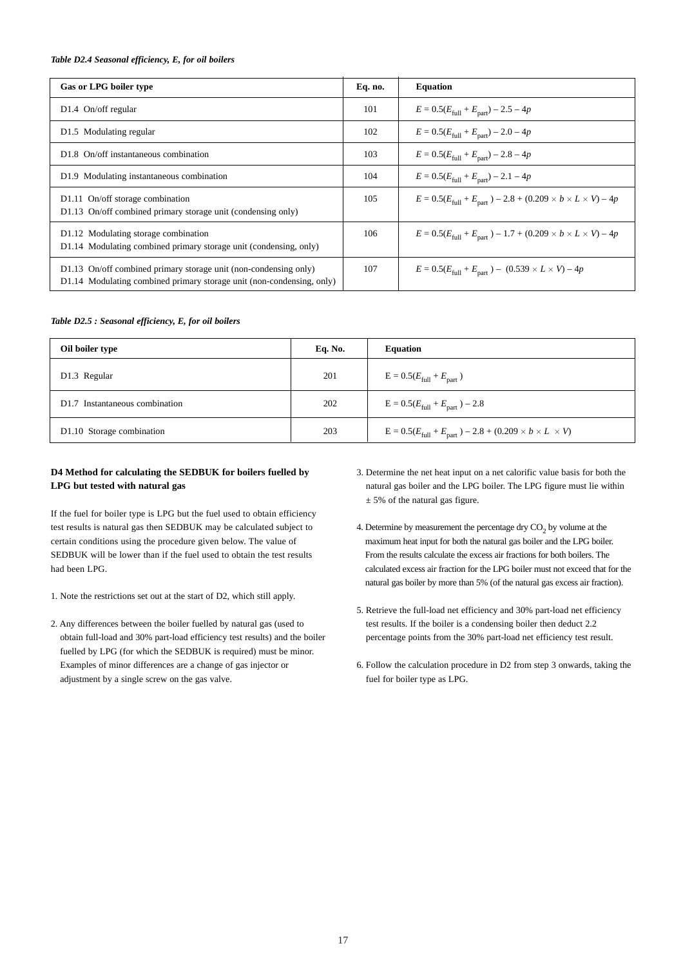## *Table D2.4 Seasonal efficiency, E, for oil boilers*

| Gas or LPG boiler type                                                                                                                    | Eq. no. | <b>Equation</b>                                                                              |
|-------------------------------------------------------------------------------------------------------------------------------------------|---------|----------------------------------------------------------------------------------------------|
| $D1.4$ On/off regular                                                                                                                     | 101     | $E = 0.5(E_{\text{full}} + E_{\text{part}}) - 2.5 - 4p$                                      |
| D1.5 Modulating regular                                                                                                                   | 102     | $E = 0.5(E_{\text{full}} + E_{\text{part}}) - 2.0 - 4p$                                      |
| D <sub>1.8</sub> On/off instantaneous combination                                                                                         | 103     | $E = 0.5(E_{\text{full}} + E_{\text{part}}) - 2.8 - 4p$                                      |
| D1.9 Modulating instantaneous combination                                                                                                 | 104     | $E = 0.5(E_{\text{full}} + E_{\text{part}}) - 2.1 - 4p$                                      |
| D1.11 On/off storage combination<br>D1.13 On/off combined primary storage unit (condensing only)                                          | 105     | $E = 0.5(E_{\text{full}} + E_{\text{part}}) - 2.8 + (0.209 \times b \times L \times V) - 4p$ |
| D1.12 Modulating storage combination<br>D1.14 Modulating combined primary storage unit (condensing, only)                                 | 106     | $E = 0.5(E_{\text{full}} + E_{\text{part}}) - 1.7 + (0.209 \times b \times L \times V) - 4p$ |
| D1.13 On/off combined primary storage unit (non-condensing only)<br>D1.14 Modulating combined primary storage unit (non-condensing, only) | 107     | $E = 0.5(E_{\text{full}} + E_{\text{part}}) - (0.539 \times L \times V) - 4p$                |

#### *Table D2.5 : Seasonal efficiency, E, for oil boilers*

| Oil boiler type                            | Eq. No. | <b>Equation</b>                                                                         |
|--------------------------------------------|---------|-----------------------------------------------------------------------------------------|
| D1.3 Regular                               | 201     | $E = 0.5(E_{\text{full}} + E_{\text{part}})$                                            |
| D <sub>1.7</sub> Instantaneous combination | 202     | $E = 0.5(E_{\text{full}} + E_{\text{part}}) - 2.8$                                      |
| D1.10 Storage combination                  | 203     | $E = 0.5(E_{\text{full}} + E_{\text{part}}) - 2.8 + (0.209 \times b \times L \times V)$ |

## **D4 Method for calculating the SEDBUK for boilers fuelled by LPG but tested with natural gas**

If the fuel for boiler type is LPG but the fuel used to obtain efficiency test results is natural gas then SEDBUK may be calculated subject to certain conditions using the procedure given below. The value of SEDBUK will be lower than if the fuel used to obtain the test results had been LPG.

- 1. Note the restrictions set out at the start of D2, which still apply.
- 2. Any differences between the boiler fuelled by natural gas (used to obtain full-load and 30% part-load efficiency test results) and the boiler fuelled by LPG (for which the SEDBUK is required) must be minor. Examples of minor differences are a change of gas injector or adjustment by a single screw on the gas valve.
- 3. Determine the net heat input on a net calorific value basis for both the natural gas boiler and the LPG boiler. The LPG figure must lie within  $± 5%$  of the natural gas figure.
- 4. Determine by measurement the percentage dry  $CO<sub>2</sub>$  by volume at the maximum heat input for both the natural gas boiler and the LPG boiler. From the results calculate the excess air fractions for both boilers. The calculated excess air fraction for the LPG boiler must not exceed that for the natural gas boiler by more than 5% (of the natural gas excess air fraction).
- 5. Retrieve the full-load net efficiency and 30% part-load net efficiency test results. If the boiler is a condensing boiler then deduct 2.2 percentage points from the 30% part-load net efficiency test result.
- 6. Follow the calculation procedure in D2 from step 3 onwards, taking the fuel for boiler type as LPG.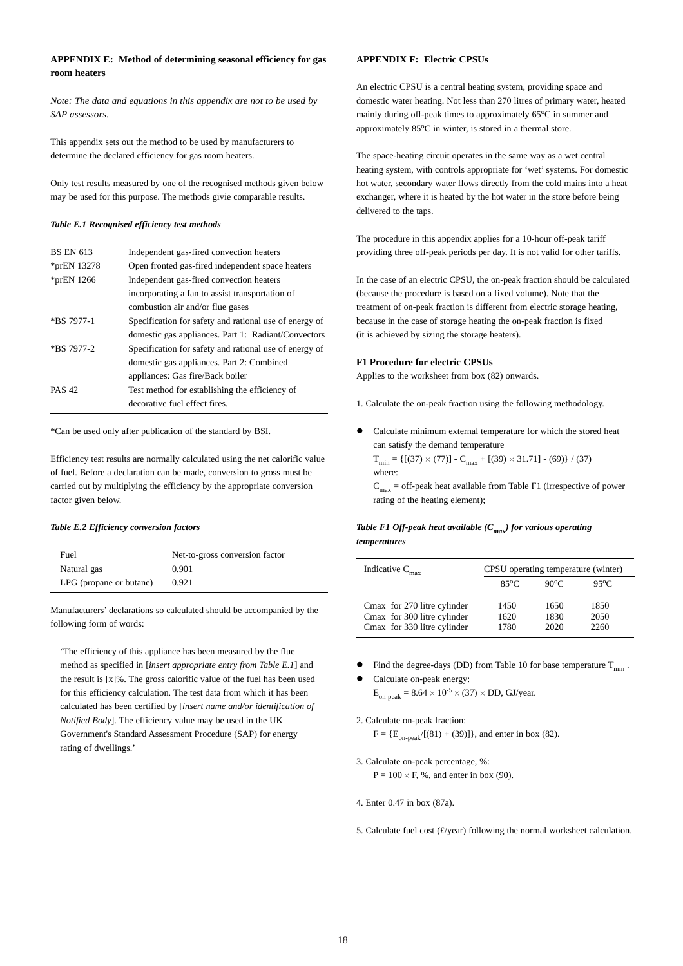## **APPENDIX E: Method of determining seasonal efficiency for gas room heaters**

*Note: The data and equations in this appendix are not to be used by SAP assessors.*

This appendix sets out the method to be used by manufacturers to determine the declared efficiency for gas room heaters.

Only test results measured by one of the recognised methods given below may be used for this purpose. The methods givie comparable results.

#### *Table E.1 Recognised efficiency test methods*

| <b>BS EN 613</b> | Independent gas-fired convection heaters               |
|------------------|--------------------------------------------------------|
| *prEN 13278      | Open fronted gas-fired independent space heaters       |
| $*$ prEN 1266    | Independent gas-fired convection heaters               |
|                  | incorporating a fan to assist transportation of        |
|                  | combustion air and/or flue gases                       |
| *BS 7977-1       | Specification for safety and rational use of energy of |
|                  | domestic gas appliances. Part 1: Radiant/Convectors    |
| *BS 7977-2       | Specification for safety and rational use of energy of |
|                  | domestic gas appliances. Part 2: Combined              |
|                  | appliances: Gas fire/Back boiler                       |
| <b>PAS 42</b>    | Test method for establishing the efficiency of         |
|                  | decorative fuel effect fires.                          |

\*Can be used only after publication of the standard by BSI.

Efficiency test results are normally calculated using the net calorific value of fuel. Before a declaration can be made, conversion to gross must be carried out by multiplying the efficiency by the appropriate conversion factor given below.

#### *Table E.2 Efficiency conversion factors*

| Fuel                    | Net-to-gross conversion factor |
|-------------------------|--------------------------------|
| Natural gas             | 0.901                          |
| LPG (propane or butane) | 0.921                          |

Manufacturers' declarations so calculated should be accompanied by the following form of words:

'The efficiency of this appliance has been measured by the flue method as specified in [*insert appropriate entry from Table E.1*] and the result is [x]%. The gross calorific value of the fuel has been used for this efficiency calculation. The test data from which it has been calculated has been certified by [*insert name and/or identification of Notified Body*]. The efficiency value may be used in the UK Government's Standard Assessment Procedure (SAP) for energy rating of dwellings.'

## **APPENDIX F: Electric CPSUs**

An electric CPSU is a central heating system, providing space and domestic water heating. Not less than 270 litres of primary water, heated mainly during off-peak times to approximately 65°C in summer and approximately 85°C in winter, is stored in a thermal store.

The space-heating circuit operates in the same way as a wet central heating system, with controls appropriate for 'wet' systems. For domestic hot water, secondary water flows directly from the cold mains into a heat exchanger, where it is heated by the hot water in the store before being delivered to the taps.

The procedure in this appendix applies for a 10-hour off-peak tariff providing three off-peak periods per day. It is not valid for other tariffs.

In the case of an electric CPSU, the on-peak fraction should be calculated (because the procedure is based on a fixed volume). Note that the treatment of on-peak fraction is different from electric storage heating, because in the case of storage heating the on-peak fraction is fixed (it is achieved by sizing the storage heaters).

## **F1 Procedure for electric CPSUs**

Applies to the worksheet from box (82) onwards.

1. Calculate the on-peak fraction using the following methodology.

Calculate minimum external temperature for which the stored heat can satisfy the demand temperature

 $T_{\text{min}} = \{[(37) \times (77)] - C_{\text{max}} + [(39) \times 31.71] - (69)\} / (37)$ where:

 $C_{\text{max}}$  = off-peak heat available from Table F1 (irrespective of power rating of the heating element);

## *Table F1 Off-peak heat available (Cmax) for various operating temperatures*

| Indicative $C_{\text{max}}$                                                               | CPSU operating temperature (winter) |                      |                      |
|-------------------------------------------------------------------------------------------|-------------------------------------|----------------------|----------------------|
|                                                                                           | $85^{\circ}$ C                      | $90^{\circ}$ C       | 95°C                 |
| Cmax for 270 litre cylinder<br>Cmax for 300 litre cylinder<br>Cmax for 330 litre cylinder | 1450<br>1620<br>1780                | 1650<br>1830<br>2020 | 1850<br>2050<br>2260 |

- Find the degree-days (DD) from Table 10 for base temperature  $T_{min}$ .
- Calculate on-peak energy:  $E_{\text{on-peak}} = 8.64 \times 10^{-5} \times (37) \times DD$ , GJ/year.

2. Calculate on-peak fraction:

 $F = {E_{on-peak}/[(81) + (39)]},$  and enter in box (82).

- 3. Calculate on-peak percentage, %:  $P = 100 \times F$ , %, and enter in box (90).
- 4. Enter 0.47 in box (87a).
- 5. Calculate fuel cost (£/year) following the normal worksheet calculation.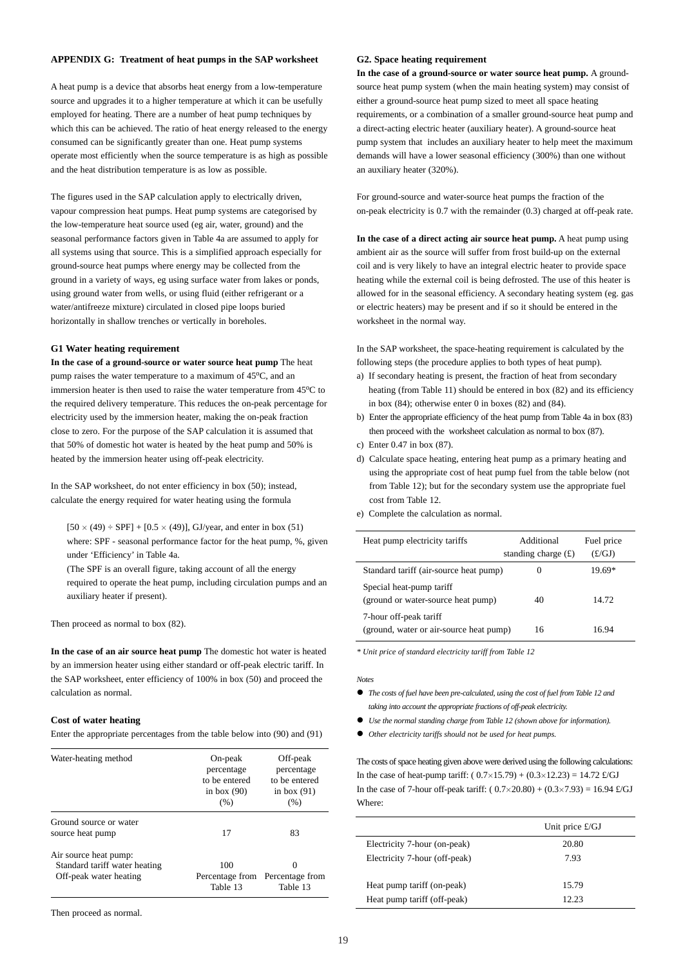## **APPENDIX G: Treatment of heat pumps in the SAP worksheet**

A heat pump is a device that absorbs heat energy from a low-temperature source and upgrades it to a higher temperature at which it can be usefully employed for heating. There are a number of heat pump techniques by which this can be achieved. The ratio of heat energy released to the energy consumed can be significantly greater than one. Heat pump systems operate most efficiently when the source temperature is as high as possible and the heat distribution temperature is as low as possible.

The figures used in the SAP calculation apply to electrically driven, vapour compression heat pumps. Heat pump systems are categorised by the low-temperature heat source used (eg air, water, ground) and the seasonal performance factors given in Table 4a are assumed to apply for all systems using that source. This is a simplified approach especially for ground-source heat pumps where energy may be collected from the ground in a variety of ways, eg using surface water from lakes or ponds, using ground water from wells, or using fluid (either refrigerant or a water/antifreeze mixture) circulated in closed pipe loops buried horizontally in shallow trenches or vertically in boreholes.

## **G1 Water heating requirement**

**In the case of a ground-source or water source heat pump** The heat pump raises the water temperature to a maximum of 45°C, and an immersion heater is then used to raise the water temperature from  $45^{\circ}$ C to the required delivery temperature. This reduces the on-peak percentage for electricity used by the immersion heater, making the on-peak fraction close to zero. For the purpose of the SAP calculation it is assumed that that 50% of domestic hot water is heated by the heat pump and 50% is heated by the immersion heater using off-peak electricity.

In the SAP worksheet, do not enter efficiency in box (50); instead, calculate the energy required for water heating using the formula

 $[50 \times (49) \div SPF] + [0.5 \times (49)]$ , GJ/year, and enter in box (51) where: SPF - seasonal performance factor for the heat pump, %, given under 'Efficiency' in Table 4a.

(The SPF is an overall figure, taking account of all the energy required to operate the heat pump, including circulation pumps and an auxiliary heater if present).

Then proceed as normal to box (82).

**In the case of an air source heat pump** The domestic hot water is heated by an immersion heater using either standard or off-peak electric tariff. In the SAP worksheet, enter efficiency of 100% in box (50) and proceed the calculation as normal.

#### **Cost of water heating**

Enter the appropriate percentages from the table below into (90) and (91)

| Water-heating method                                                             | On-peak<br>percentage<br>to be entered<br>in box $(90)$<br>(% ) | Off-peak<br>percentage<br>to be entered<br>in box $(91)$<br>(% ) |
|----------------------------------------------------------------------------------|-----------------------------------------------------------------|------------------------------------------------------------------|
| Ground source or water<br>source heat pump                                       | 17                                                              | 83                                                               |
| Air source heat pump:<br>Standard tariff water heating<br>Off-peak water heating | 100<br>Table 13                                                 | Percentage from Percentage from<br>Table 13                      |

Then proceed as normal.

#### **G2. Space heating requirement**

**In the case of a ground-source or water source heat pump.** A groundsource heat pump system (when the main heating system) may consist of either a ground-source heat pump sized to meet all space heating requirements, or a combination of a smaller ground-source heat pump and a direct-acting electric heater (auxiliary heater). A ground-source heat pump system that includes an auxiliary heater to help meet the maximum demands will have a lower seasonal efficiency (300%) than one without an auxiliary heater (320%).

For ground-source and water-source heat pumps the fraction of the on-peak electricity is 0.7 with the remainder (0.3) charged at off-peak rate.

**In the case of a direct acting air source heat pump.** A heat pump using ambient air as the source will suffer from frost build-up on the external coil and is very likely to have an integral electric heater to provide space heating while the external coil is being defrosted. The use of this heater is allowed for in the seasonal efficiency. A secondary heating system (eg. gas or electric heaters) may be present and if so it should be entered in the worksheet in the normal way.

In the SAP worksheet, the space-heating requirement is calculated by the following steps (the procedure applies to both types of heat pump).

- a) If secondary heating is present, the fraction of heat from secondary heating (from Table 11) should be entered in box (82) and its efficiency in box (84); otherwise enter 0 in boxes (82) and (84).
- b) Enter the appropriate efficiency of the heat pump from Table 4a in box (83) then proceed with the worksheet calculation as normal to box (87).
- c) Enter 0.47 in box (87).
- d) Calculate space heating, entering heat pump as a primary heating and using the appropriate cost of heat pump fuel from the table below (not from Table 12); but for the secondary system use the appropriate fuel cost from Table 12.
- e) Complete the calculation as normal.

| Heat pump electricity tariffs                                     | Additional<br>standing charge $(f)$ | Fuel price<br>(£/GJ) |
|-------------------------------------------------------------------|-------------------------------------|----------------------|
| Standard tariff (air-source heat pump)                            |                                     | $19.69*$             |
| Special heat-pump tariff<br>(ground or water-source heat pump)    | 40                                  | 14.72                |
| 7-hour off-peak tariff<br>(ground, water or air-source heat pump) | 16                                  | 16.94                |

*\* Unit price of standard electricity tariff from Table 12*

#### *Notes*

- " *The costs of fuel have been pre-calculated, using the cost of fuel from Table 12 and taking into account the appropriate fractions of off-peak electricity.*
- " *Use the normal standing charge from Table 12 (shown above for information).*
- " *Other electricity tariffs should not be used for heat pumps.*

The costs of space heating given above were derived using the following calculations: In the case of heat-pump tariff:  $(0.7 \times 15.79) + (0.3 \times 12.23) = 14.72$  £/GJ In the case of 7-hour off-peak tariff:  $(0.7 \times 20.80) + (0.3 \times 7.93) = 16.94$  £/GJ Where:

|                               | Unit price $\pounds$ /GJ |
|-------------------------------|--------------------------|
| Electricity 7-hour (on-peak)  | 20.80                    |
| Electricity 7-hour (off-peak) | 7.93                     |
| Heat pump tariff (on-peak)    | 15.79                    |
| Heat pump tariff (off-peak)   | 12.23                    |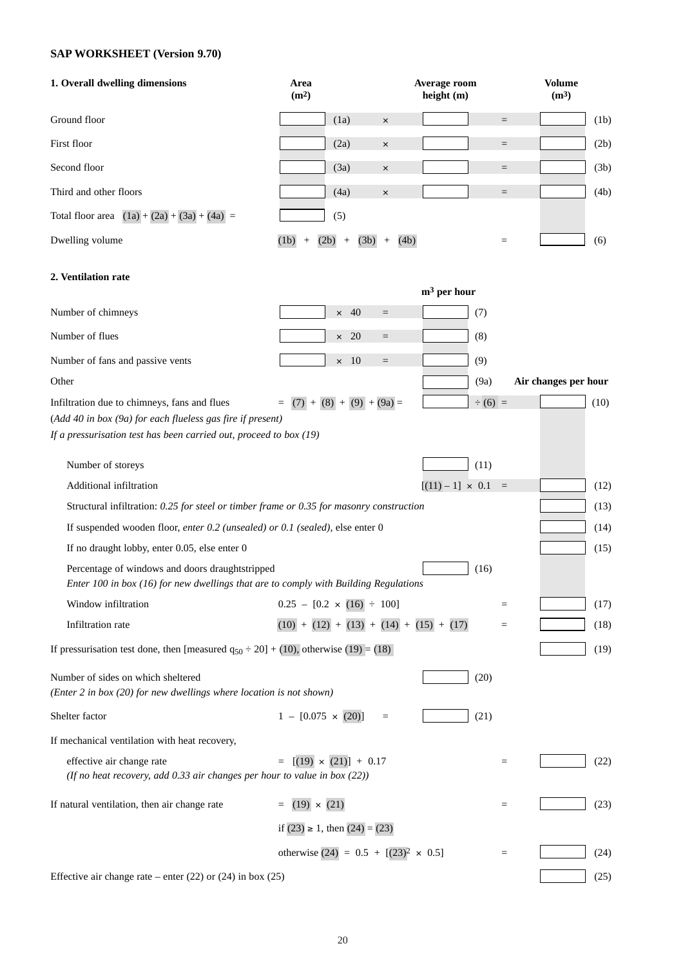## **SAP WORKSHEET (Version 9.70)**

| 1. Overall dwelling dimensions                                                                                                                                                     | Area<br>(m <sup>2</sup> )                               | Average room<br>height (m) | <b>Volume</b><br>(m <sup>3</sup> ) |
|------------------------------------------------------------------------------------------------------------------------------------------------------------------------------------|---------------------------------------------------------|----------------------------|------------------------------------|
| Ground floor                                                                                                                                                                       | (1a)<br>$\times$                                        |                            | (1b)<br>$\qquad \qquad =$          |
| First floor                                                                                                                                                                        | (2a)<br>$\times$                                        |                            | (2b)<br>$\qquad \qquad =$          |
| Second floor                                                                                                                                                                       | (3a)<br>$\times$                                        |                            | (3b)<br>$\qquad \qquad =$          |
| Third and other floors                                                                                                                                                             | (4a)<br>$\times$                                        |                            | (4b)<br>$\qquad \qquad =$          |
| Total floor area $(1a) + (2a) + (3a) + (4a) =$                                                                                                                                     | (5)                                                     |                            |                                    |
| Dwelling volume                                                                                                                                                                    | (4b)<br>(1b)<br>(2b)<br>(3b)<br>$^{+}$<br>$+$<br>$^{+}$ |                            | (6)<br>$=$                         |
| 2. Ventilation rate                                                                                                                                                                |                                                         | $m3$ per hour              |                                    |
| Number of chimneys                                                                                                                                                                 | $\times$ 40<br>$\qquad \qquad =$                        | (7)                        |                                    |
| Number of flues                                                                                                                                                                    | $\times$ 20<br>$\qquad \qquad =$                        | (8)                        |                                    |
| Number of fans and passive vents                                                                                                                                                   | $\times$ 10<br>$\quad \  \  =$                          | (9)                        |                                    |
| Other                                                                                                                                                                              |                                                         | (9a)                       | Air changes per hour               |
| Infiltration due to chimneys, fans and flues<br>(Add 40 in box (9a) for each flueless gas fire if present)<br>If a pressurisation test has been carried out, proceed to box $(19)$ | $=$ (7) + (8) + (9) + (9a) =                            | $\div(6) =$                | (10)                               |
| Number of storeys                                                                                                                                                                  |                                                         | (11)                       |                                    |
| Additional infiltration                                                                                                                                                            |                                                         | $[(11) - 1] \times 0.1 =$  | (12)                               |
| Structural infiltration: 0.25 for steel or timber frame or 0.35 for masonry construction                                                                                           |                                                         |                            | (13)                               |
| If suspended wooden floor, enter 0.2 (unsealed) or 0.1 (sealed), else enter 0                                                                                                      |                                                         |                            | (14)                               |
| If no draught lobby, enter 0.05, else enter 0                                                                                                                                      |                                                         |                            | (15)                               |
| Percentage of windows and doors draughtstripped<br>Enter 100 in box (16) for new dwellings that are to comply with Building Regulations                                            |                                                         | (16)                       |                                    |
| Window infiltration                                                                                                                                                                | $0.25 - [0.2 \times (16) \div 100]$                     |                            | (17)<br>$=$                        |
| Infiltration rate                                                                                                                                                                  | $(10) + (12) + (13) + (14) + (15) + (17)$               |                            | (18)<br>$=$                        |
| If pressurisation test done, then [measured $q_{50} \div 20$ ] + (10), otherwise (19) = (18)                                                                                       |                                                         |                            | (19)                               |
| Number of sides on which sheltered<br>(Enter 2 in box $(20)$ for new dwellings where location is not shown)                                                                        |                                                         | (20)                       |                                    |
| Shelter factor                                                                                                                                                                     | $1 - [0.075 \times (20)]$<br>$\equiv$                   | (21)                       |                                    |
| If mechanical ventilation with heat recovery,                                                                                                                                      |                                                         |                            |                                    |
| effective air change rate<br>(If no heat recovery, add 0.33 air changes per hour to value in box $(22)$ )                                                                          | $[(19) \times (21)] + 0.17$                             |                            | (22)<br>$=$                        |
| If natural ventilation, then air change rate                                                                                                                                       | $(19) \times (21)$<br>$\equiv$                          |                            | (23)<br>$=$                        |
|                                                                                                                                                                                    | if $(23) \ge 1$ , then $(24) = (23)$                    |                            |                                    |
|                                                                                                                                                                                    | otherwise $(24) = 0.5 + [(23)^{2} \times 0.5]$          |                            | (24)<br>$=$                        |
| Effective air change rate – enter $(22)$ or $(24)$ in box $(25)$                                                                                                                   |                                                         |                            | (25)                               |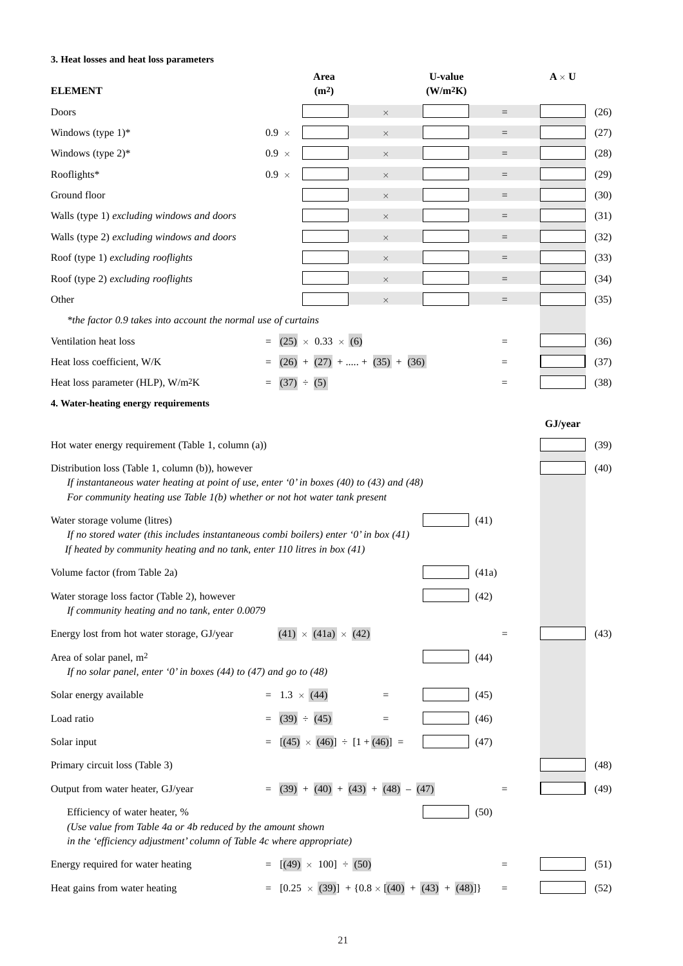## **3. Heat losses and heat loss parameters**

| <b>ELEMENT</b>                                                                                                                                                                                                               |                        | Area<br>(m <sup>2</sup> )                               |                   | <b>U-value</b><br>(W/m <sup>2</sup> K) |                   | $\mathbf{A} \times \mathbf{U}$ |
|------------------------------------------------------------------------------------------------------------------------------------------------------------------------------------------------------------------------------|------------------------|---------------------------------------------------------|-------------------|----------------------------------------|-------------------|--------------------------------|
| Doors                                                                                                                                                                                                                        |                        |                                                         | $\times$          |                                        | $\quad \  \  =$   | (26)                           |
| Windows (type $1$ )*                                                                                                                                                                                                         | $0.9 \times$           |                                                         | $\times$          |                                        | $\quad \  \  =$   | (27)                           |
| Windows (type $2$ )*                                                                                                                                                                                                         | $0.9 \times$           |                                                         | $\times$          |                                        | $\qquad \qquad =$ | (28)                           |
| Rooflights*                                                                                                                                                                                                                  | $0.9 \times$           |                                                         | $\times$          |                                        | $\quad \  \  =$   | (29)                           |
| Ground floor                                                                                                                                                                                                                 |                        |                                                         | $\times$          |                                        | $\quad \  \  =$   | (30)                           |
| Walls (type 1) excluding windows and doors                                                                                                                                                                                   |                        |                                                         | $\times$          |                                        | $\quad \  \  =$   | (31)                           |
| Walls (type 2) excluding windows and doors                                                                                                                                                                                   |                        |                                                         | $\times$          |                                        | $=$               | (32)                           |
| Roof (type 1) excluding rooflights                                                                                                                                                                                           |                        |                                                         | $\times$          |                                        | $\quad \  \  =$   | (33)                           |
| Roof (type 2) excluding rooflights                                                                                                                                                                                           |                        |                                                         | $\times$          |                                        | $=$               | (34)                           |
| Other                                                                                                                                                                                                                        |                        |                                                         | $\times$          |                                        | $=$               | (35)                           |
| *the factor 0.9 takes into account the normal use of curtains                                                                                                                                                                |                        |                                                         |                   |                                        |                   |                                |
| Ventilation heat loss                                                                                                                                                                                                        |                        | $= (25) \times 0.33 \times (6)$                         |                   |                                        | $\equiv$          | (36)                           |
| Heat loss coefficient, W/K                                                                                                                                                                                                   | $=$                    | $(26) + (27) + \dots + (35) + (36)$                     |                   |                                        | $=$               | (37)                           |
| Heat loss parameter (HLP), W/m <sup>2</sup> K                                                                                                                                                                                | $(37) \div (5)$<br>$=$ |                                                         |                   |                                        | $=$               | (38)                           |
| 4. Water-heating energy requirements                                                                                                                                                                                         |                        |                                                         |                   |                                        |                   |                                |
|                                                                                                                                                                                                                              |                        |                                                         |                   |                                        |                   | GJ/year                        |
| Hot water energy requirement (Table 1, column (a))                                                                                                                                                                           |                        |                                                         |                   |                                        |                   | (39)                           |
| Distribution loss (Table 1, column (b)), however<br>If instantaneous water heating at point of use, enter '0' in boxes (40) to (43) and (48)<br>For community heating use Table $I(b)$ whether or not hot water tank present |                        |                                                         |                   |                                        |                   | (40)                           |
| Water storage volume (litres)<br>If no stored water (this includes instantaneous combi boilers) enter '0' in box $(41)$<br>If heated by community heating and no tank, enter $110$ litres in box $(41)$                      |                        |                                                         |                   | (41)                                   |                   |                                |
| Volume factor (from Table 2a)                                                                                                                                                                                                |                        |                                                         |                   | (41a)                                  |                   |                                |
| Water storage loss factor (Table 2), however<br>If community heating and no tank, enter 0.0079                                                                                                                               |                        |                                                         |                   | (42)                                   |                   |                                |
| Energy lost from hot water storage, GJ/year                                                                                                                                                                                  |                        | $(41) \times (41a) \times (42)$                         |                   |                                        | $\qquad \qquad =$ | (43)                           |
| Area of solar panel, m <sup>2</sup><br>If no solar panel, enter '0' in boxes (44) to (47) and go to (48)                                                                                                                     |                        |                                                         |                   | (44)                                   |                   |                                |
| Solar energy available                                                                                                                                                                                                       | $= 1.3 \times (44)$    |                                                         | $\equiv$          | (45)                                   |                   |                                |
| Load ratio                                                                                                                                                                                                                   |                        | $(39) \div (45)$                                        | $\qquad \qquad =$ | (46)                                   |                   |                                |
| Solar input                                                                                                                                                                                                                  |                        | $[(45) \times (46)] \div [1 + (46)] =$                  |                   | (47)                                   |                   |                                |
| Primary circuit loss (Table 3)                                                                                                                                                                                               |                        |                                                         |                   |                                        |                   | (48)                           |
| Output from water heater, GJ/year                                                                                                                                                                                            |                        | $(39) + (40) + (43) + (48) - (47)$                      |                   |                                        | $=$               | (49)                           |
| Efficiency of water heater, %<br>(Use value from Table 4a or 4b reduced by the amount shown<br>in the 'efficiency adjustment' column of Table 4c where appropriate)                                                          |                        |                                                         |                   | (50)                                   |                   |                                |
| Energy required for water heating                                                                                                                                                                                            |                        | $[(49) \times 100] \div (50)$                           |                   |                                        | $\qquad \qquad =$ | (51)                           |
| Heat gains from water heating                                                                                                                                                                                                |                        | $[0.25 \times (39)] + [0.8 \times [(40) + (43) + (48)]$ |                   |                                        | $\qquad \qquad =$ | (52)                           |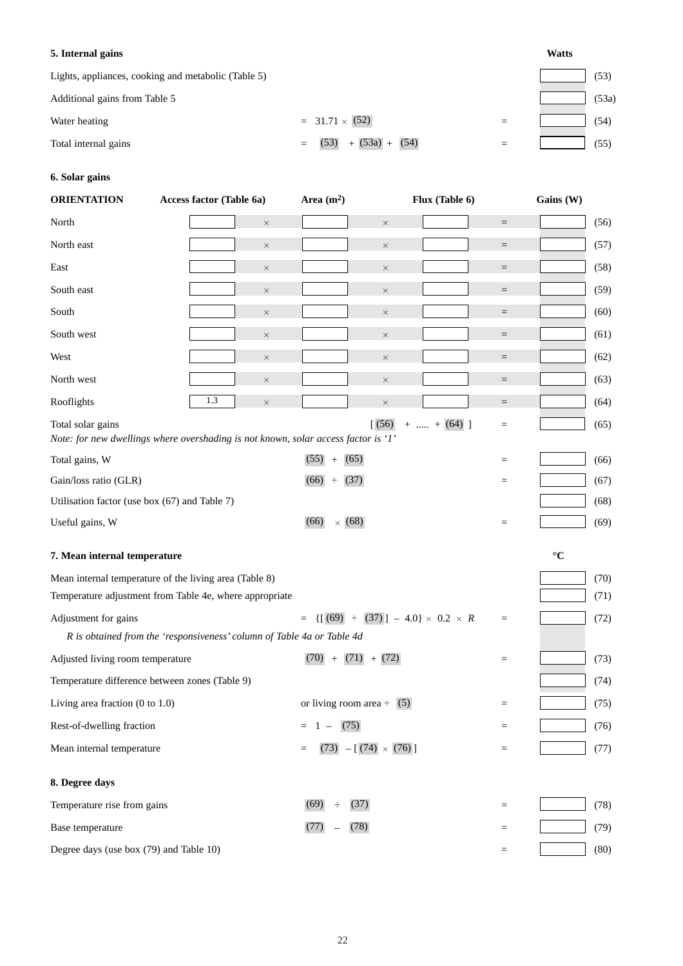| 5. Internal gains                                   |                              |     | <b>Watts</b> |       |
|-----------------------------------------------------|------------------------------|-----|--------------|-------|
| Lights, appliances, cooking and metabolic (Table 5) |                              |     |              | (53)  |
| Additional gains from Table 5                       |                              |     |              | (53a) |
| Water heating                                       | $= 31.71 \times (52)$        |     |              | (54)  |
| Total internal gains                                | $+(53a) + (54)$<br>(53)<br>= | $=$ |              | (55)  |

## **6. Solar gains**

| <b>ORIENTATION</b>                         | Access factor (Table 6a)                                                           |          | Area $(m2)$                                                      |                      | Flux (Table 6)    | Gains (W)       |
|--------------------------------------------|------------------------------------------------------------------------------------|----------|------------------------------------------------------------------|----------------------|-------------------|-----------------|
| North                                      |                                                                                    | $\times$ |                                                                  | $\times$             | $\quad =$         | (56)            |
| North east                                 |                                                                                    | $\times$ |                                                                  | $\times$             | $\quad \  \  =$   | (57)            |
| East                                       |                                                                                    | $\times$ |                                                                  | $\times$             | $\quad \  \  =$   | (58)            |
| South east                                 |                                                                                    | $\times$ |                                                                  | $\times$             | $\quad \  \  =$   | (59)            |
| South                                      |                                                                                    | $\times$ |                                                                  | $\times$             | $\qquad \qquad =$ | (60)            |
| South west                                 |                                                                                    | $\times$ |                                                                  | $\times$             | $\quad =$         | (61)            |
| West                                       |                                                                                    | $\times$ |                                                                  | $\times$             | $\quad \  \  =$   | (62)            |
| North west                                 |                                                                                    | $\times$ |                                                                  | $\times$             | $\quad \  \  =$   | (63)            |
| Rooflights                                 | 1.3                                                                                | $\times$ |                                                                  | $\times$             | $\equiv$          | (64)            |
| Total solar gains                          | Note: for new dwellings where overshading is not known, solar access factor is 'I' |          |                                                                  | (56)<br>$+$ + (64) ] | $\qquad \qquad =$ | (65)            |
| Total gains, W                             |                                                                                    |          | (55)<br>(65)<br>$+$                                              |                      | $=$               | (66)            |
| Gain/loss ratio (GLR)                      |                                                                                    |          | (66)<br>(37)<br>$\div$                                           |                      | $\qquad \qquad =$ | (67)            |
|                                            | Utilisation factor (use box (67) and Table 7)                                      |          |                                                                  |                      |                   | (68)            |
| Useful gains, W                            |                                                                                    |          | $\times$ (68)<br>(66)                                            |                      | $\qquad \qquad =$ | (69)            |
| 7. Mean internal temperature               |                                                                                    |          |                                                                  |                      |                   | $\rm ^{\circ}C$ |
|                                            | Mean internal temperature of the living area (Table 8)                             |          |                                                                  |                      |                   | (70)            |
|                                            | Temperature adjustment from Table 4e, where appropriate                            |          |                                                                  |                      |                   | (71)            |
| Adjustment for gains                       |                                                                                    |          | $= \{ [\overline{(69)} \div (37) ] - 4.0 \} \times 0.2 \times R$ |                      | $\equiv$          | (72)            |
|                                            | R is obtained from the 'responsiveness' column of Table 4a or Table 4d             |          |                                                                  |                      |                   |                 |
| Adjusted living room temperature           |                                                                                    |          | $(70) + (71) + (72)$                                             |                      | $\qquad \qquad =$ | (73)            |
|                                            | Temperature difference between zones (Table 9)                                     |          |                                                                  |                      |                   | (74)            |
| Living area fraction $(0 \text{ to } 1.0)$ |                                                                                    |          | or living room area $\div$ (5)                                   |                      | $=$               | (75)            |
| Rest-of-dwelling fraction                  |                                                                                    |          | (75)<br>$1 -$<br>$=$                                             |                      | $\quad =$         | (76)            |
| Mean internal temperature                  |                                                                                    |          | $(73)$ - [ $(74) \times (76)$ ]<br>$=$                           |                      | $\qquad \qquad =$ | (77)            |
| 8. Degree days                             |                                                                                    |          |                                                                  |                      |                   |                 |
| Temperature rise from gains                |                                                                                    |          | (37)<br>(69)                                                     |                      | $\qquad \qquad =$ | (78)            |
| Base temperature                           |                                                                                    |          | (78)<br>(77)                                                     |                      | $\qquad \qquad =$ | (79)            |
| Degree days (use box (79) and Table 10)    |                                                                                    |          |                                                                  |                      | $\qquad \qquad =$ | (80)            |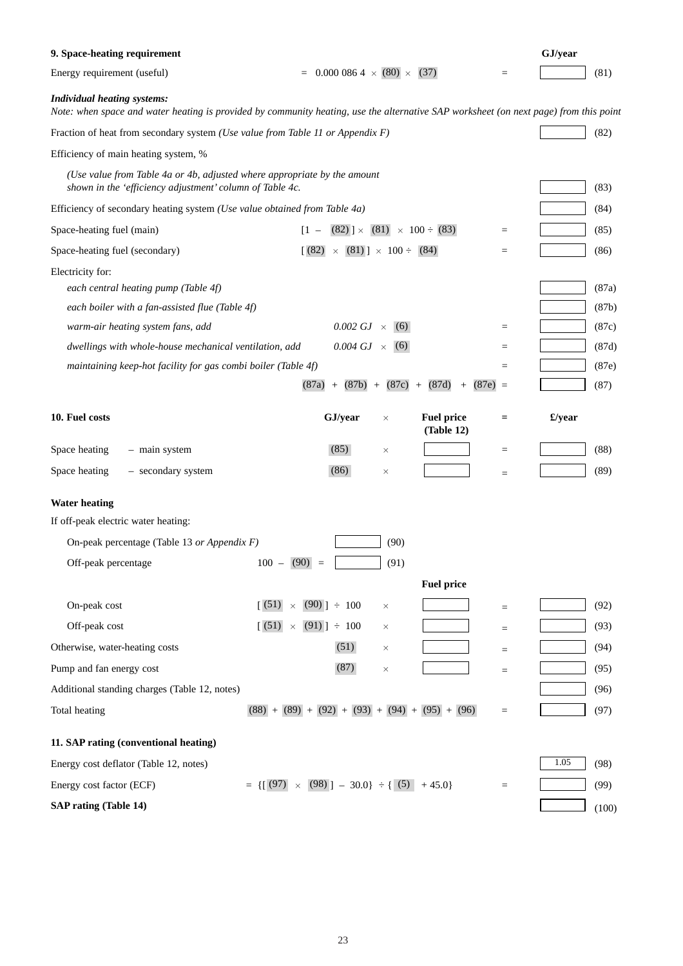| 9. Space-heating requirement                                                                                                         |                                                                                                                                       |                   | GJ/year |       |
|--------------------------------------------------------------------------------------------------------------------------------------|---------------------------------------------------------------------------------------------------------------------------------------|-------------------|---------|-------|
| Energy requirement (useful)                                                                                                          | $0.0000864 \times (80) \times (37)$                                                                                                   | $\qquad \qquad =$ |         | (81)  |
| <b>Individual heating systems:</b>                                                                                                   | Note: when space and water heating is provided by community heating, use the alternative SAP worksheet (on next page) from this point |                   |         |       |
| Fraction of heat from secondary system ( <i>Use value from Table 11 or Appendix F</i> )                                              |                                                                                                                                       |                   |         | (82)  |
| Efficiency of main heating system, %                                                                                                 |                                                                                                                                       |                   |         |       |
| (Use value from Table 4a or 4b, adjusted where appropriate by the amount<br>shown in the 'efficiency adjustment' column of Table 4c. |                                                                                                                                       |                   |         | (83)  |
| Efficiency of secondary heating system ( <i>Use value obtained from Table 4a</i> )                                                   |                                                                                                                                       |                   |         | (84)  |
| Space-heating fuel (main)                                                                                                            | $(82)$ ] × $(81)$ × 100 ÷ (83)<br>$\begin{bmatrix} 1 & - \end{bmatrix}$                                                               | $\quad =$         |         | (85)  |
| Space-heating fuel (secondary)                                                                                                       | (82)<br>$\times$ (81)] $\times$ 100 ÷ (84)                                                                                            | $\qquad \qquad =$ |         | (86)  |
| Electricity for:                                                                                                                     |                                                                                                                                       |                   |         |       |
| each central heating pump (Table 4f)                                                                                                 |                                                                                                                                       |                   |         | (87a) |
| each boiler with a fan-assisted flue (Table 4f)                                                                                      |                                                                                                                                       |                   |         | (87b) |
| warm-air heating system fans, add                                                                                                    | 0.002 GJ $\times$<br>(6)                                                                                                              | $\quad =$         |         | (87c) |
| dwellings with whole-house mechanical ventilation, add                                                                               | 0.004 GJ $\times$<br>(6)                                                                                                              | $=$               |         | (87d) |
| maintaining keep-hot facility for gas combi boiler (Table 4f)                                                                        |                                                                                                                                       | $\equiv$          |         | (87e) |
|                                                                                                                                      | $(87a) +$<br>(87b)<br>(87c)<br>(87d)<br>$(87e) =$<br>$+$<br>$+$<br>$^{+}$                                                             |                   |         | (87)  |
| 10. Fuel costs                                                                                                                       | GJ/year<br><b>Fuel price</b><br>$\times$<br>(Table 12)                                                                                | $\equiv$          | £/year  |       |
| Space heating<br>- main system                                                                                                       | (85)<br>×                                                                                                                             | $=$               |         | (88)  |
| Space heating<br>- secondary system                                                                                                  | (86)<br>$\times$                                                                                                                      | $=$               |         | (89)  |
| <b>Water heating</b>                                                                                                                 |                                                                                                                                       |                   |         |       |
| If off-peak electric water heating:                                                                                                  |                                                                                                                                       |                   |         |       |
| On-peak percentage (Table 13 or Appendix $F$ )                                                                                       | (90)                                                                                                                                  |                   |         |       |
| Off-peak percentage                                                                                                                  | $100 - (90)$<br>(91)                                                                                                                  |                   |         |       |
|                                                                                                                                      | <b>Fuel price</b>                                                                                                                     |                   |         |       |
| On-peak cost                                                                                                                         | (51)<br>$(90)$ ] $\div$ 100<br>$\times$<br>$\times$                                                                                   | $=$               |         | (92)  |
| Off-peak cost                                                                                                                        | $(91)$ = 100<br>(51)<br>$\times$<br>$\times$                                                                                          | $=$               |         | (93)  |
| Otherwise, water-heating costs                                                                                                       | (51)<br>$\times$                                                                                                                      | $=$               |         | (94)  |
| Pump and fan energy cost                                                                                                             | (87)<br>$\times$                                                                                                                      | $=$               |         | (95)  |
| Additional standing charges (Table 12, notes)                                                                                        |                                                                                                                                       |                   |         | (96)  |
| Total heating                                                                                                                        | $(88) + (89) + (92) + (93) + (94) + (95) + (96)$                                                                                      | $\quad =$         |         | (97)  |
| 11. SAP rating (conventional heating)                                                                                                |                                                                                                                                       |                   |         |       |
| Energy cost deflator (Table 12, notes)                                                                                               |                                                                                                                                       |                   | 1.05    | (98)  |
|                                                                                                                                      |                                                                                                                                       |                   |         |       |
| Energy cost factor (ECF)                                                                                                             | $= \{ [ (97) \times (98) ] - 30.0 \} \div \{ (5) + 45.0 \}$                                                                           | $=$               |         | (99)  |
| <b>SAP rating (Table 14)</b>                                                                                                         |                                                                                                                                       |                   |         | (100) |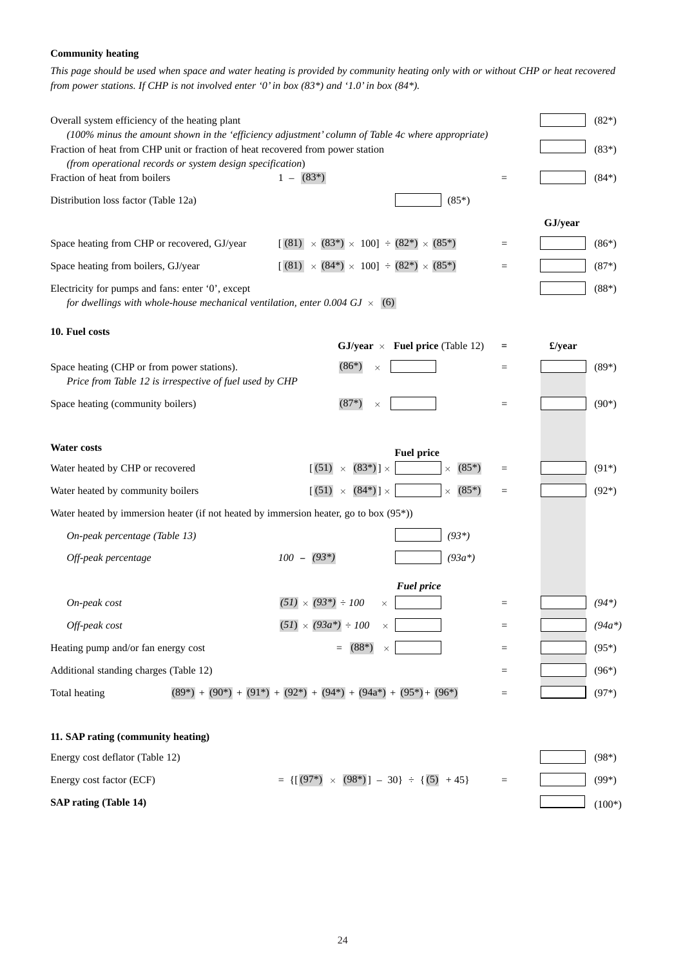## **Community heating**

*This page should be used when space and water heating is provided by community heating only with or without CHP or heat recovered from power stations. If CHP is not involved enter '0' in box (83\*) and '1.0' in box (84\*).*

| Overall system efficiency of the heating plant                                                         |                                                                                                                                                                                      |                   |         | $(82*)$  |
|--------------------------------------------------------------------------------------------------------|--------------------------------------------------------------------------------------------------------------------------------------------------------------------------------------|-------------------|---------|----------|
|                                                                                                        | (100% minus the amount shown in the 'efficiency adjustment' column of Table 4c where appropriate)<br>Fraction of heat from CHP unit or fraction of heat recovered from power station |                   |         | $(83*)$  |
| (from operational records or system design specification)                                              |                                                                                                                                                                                      |                   |         |          |
| Fraction of heat from boilers                                                                          | $1 - (83^*)$                                                                                                                                                                         | $\qquad \qquad =$ |         | $(84*)$  |
| Distribution loss factor (Table 12a)                                                                   | $(85*)$                                                                                                                                                                              |                   |         |          |
|                                                                                                        |                                                                                                                                                                                      |                   | GJ/year |          |
| Space heating from CHP or recovered, GJ/year                                                           | $[(81) \times (83^*) \times 100] \div (82^*) \times (85^*)$                                                                                                                          | $\quad \  \  =$   |         | $(86*)$  |
| Space heating from boilers, GJ/year                                                                    | $[(81) \times (84^*) \times 100] \div (82^*) \times (85^*)$                                                                                                                          | $=$               |         | $(87*)$  |
| Electricity for pumps and fans: enter '0', except                                                      | for dwellings with whole-house mechanical ventilation, enter 0.004 GJ $\times$ (6)                                                                                                   |                   |         | $(88*)$  |
| 10. Fuel costs                                                                                         |                                                                                                                                                                                      |                   |         |          |
|                                                                                                        | GJ/year $\times$ Fuel price (Table 12)                                                                                                                                               | Ξ                 | £/year  |          |
| Space heating (CHP or from power stations).<br>Price from Table 12 is irrespective of fuel used by CHP | $(86*)$<br>$\times$                                                                                                                                                                  | $\qquad \qquad =$ |         | $(89*)$  |
| Space heating (community boilers)                                                                      | $(87*)$<br>$\times$                                                                                                                                                                  | $\quad \  \  =$   |         | $(90*)$  |
| <b>Water costs</b>                                                                                     | <b>Fuel price</b>                                                                                                                                                                    |                   |         |          |
| Water heated by CHP or recovered                                                                       | $(83^*)$ ] $\times$<br>(51)<br>$(85*)$<br>$\times$<br>$\times$                                                                                                                       | $\qquad \qquad =$ |         | $(91*)$  |
| Water heated by community boilers                                                                      | (51)<br>$(84*)$ ] $\times$<br>$(85*)$<br>$\times$<br>$\times$                                                                                                                        | $\qquad \qquad =$ |         | $(92*)$  |
|                                                                                                        | Water heated by immersion heater (if not heated by immersion heater, go to box $(95^*)$ )                                                                                            |                   |         |          |
| On-peak percentage (Table 13)                                                                          | $(93*)$                                                                                                                                                                              |                   |         |          |
| Off-peak percentage                                                                                    | $100 - (93*)$<br>$(93a*)$                                                                                                                                                            |                   |         |          |
|                                                                                                        | <b>Fuel price</b>                                                                                                                                                                    |                   |         |          |
| On-peak cost                                                                                           | $(51) \times (93^*) \div 100$<br>$\times$                                                                                                                                            | $\qquad \qquad =$ |         | $(94*)$  |
| Off-peak cost                                                                                          | $(51) \times (93a^*) \div 100$<br>$\times$                                                                                                                                           | $\equiv$          |         | $(94a*)$ |
| Heating pump and/or fan energy cost                                                                    | $(88*)$<br>$\times$                                                                                                                                                                  | $\equiv$          |         | $(95*)$  |
| Additional standing charges (Table 12)                                                                 |                                                                                                                                                                                      | $=$               |         | $(96*)$  |
| Total heating                                                                                          | $(89^*) + (90^*) + (91^*) + (92^*) + (94^*) + (94^*) + (94^*) + (95^*) + (96^*)$                                                                                                     | $\qquad \qquad =$ |         | $(97*)$  |
| 11. SAP rating (community heating)                                                                     |                                                                                                                                                                                      |                   |         |          |
| Energy cost deflator (Table 12)                                                                        |                                                                                                                                                                                      |                   |         | $(98*)$  |
| Energy cost factor (ECF)                                                                               | $= \{ [(97*) \times (98*)] - 30 \} \div \{ (5) + 45 \}$                                                                                                                              | $\equiv$          |         | $(99*)$  |
| <b>SAP rating (Table 14)</b>                                                                           |                                                                                                                                                                                      |                   |         | $(100*)$ |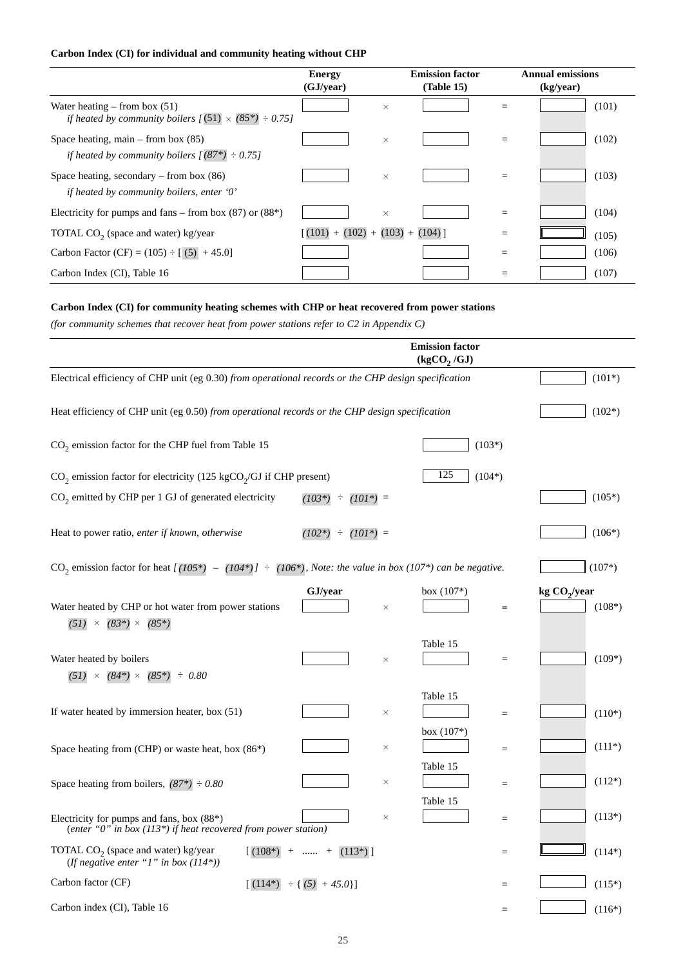## **Carbon Index (CI) for individual and community heating without CHP**

|                                                                                                         | Energy<br>(GJ/year)             | <b>Emission factor</b><br>(Table 15) |     | <b>Annual emissions</b><br>(kg/year) |
|---------------------------------------------------------------------------------------------------------|---------------------------------|--------------------------------------|-----|--------------------------------------|
| Water heating $-$ from box (51)<br>if heated by community boilers $\sqrt{(51)} \times (85^*) \div 0.75$ | $\times$                        |                                      | $=$ | (101)                                |
| Space heating, main $-$ from box (85)<br>if heated by community boilers $\sqrt{(87^*)} \div 0.75$       | $\times$                        |                                      | $=$ | (102)                                |
| Space heating, secondary – from box $(86)$<br>if heated by community boilers, enter $\theta$ '          | $\times$                        |                                      | $=$ | (103)                                |
| Electricity for pumps and fans – from box $(87)$ or $(88*)$                                             | $\times$                        |                                      | $=$ | (104)                                |
| TOTAL $CO2$ (space and water) kg/year                                                                   | $(101) + (102) + (103) + (104)$ |                                      |     | (105)                                |
| Carbon Factor (CF) = $(105) \div [ (5) + 45.0]$                                                         |                                 |                                      | =   | (106)                                |
| Carbon Index (CI), Table 16                                                                             |                                 |                                      | =   | (107)                                |

## **Carbon Index (CI) for community heating schemes with CHP or heat recovered from power stations**

*(for community schemes that recover heat from power stations refer to C2 in Appendix C)*

|                                                                                                                                     |                                           |          | <b>Emission factor</b><br>(kgCO, /GJ) |                   |                 |          |
|-------------------------------------------------------------------------------------------------------------------------------------|-------------------------------------------|----------|---------------------------------------|-------------------|-----------------|----------|
| Electrical efficiency of CHP unit (eg 0.30) from operational records or the CHP design specification                                |                                           |          |                                       |                   |                 | $(101*)$ |
| Heat efficiency of CHP unit (eg 0.50) from operational records or the CHP design specification                                      |                                           |          |                                       |                   |                 | $(102*)$ |
| $CO2$ emission factor for the CHP fuel from Table 15                                                                                |                                           |          |                                       | $(103*)$          |                 |          |
| $CO2$ emission factor for electricity (125 kgCO <sub>2</sub> /GJ if CHP present)                                                    |                                           |          | 125                                   | $(104*)$          |                 |          |
| $CO2$ emitted by CHP per 1 GJ of generated electricity                                                                              | $(103*)$<br>$\div$ (101*) =               |          |                                       |                   |                 | $(105*)$ |
| Heat to power ratio, enter if known, otherwise                                                                                      | $(102*)$<br>÷<br>$(101^*)$ =              |          |                                       |                   |                 | $(106*)$ |
| CO <sub>2</sub> emission factor for heat $[(105*) - (104*)] = [106*)$ , Note: the value in box (107 <sup>*</sup> ) can be negative. |                                           |          |                                       |                   |                 | $(107*)$ |
| Water heated by CHP or hot water from power stations<br>$(51) \times (83^*) \times (85^*)$                                          | GJ/year                                   | $\times$ | box $(107^*)$                         |                   | kg $CO_2$ /year | $(108*)$ |
| Water heated by boilers<br>$(51) \times (84^*) \times (85^*) \div 0.80$                                                             |                                           | $\times$ | Table 15                              | $=$               |                 | $(109*)$ |
| If water heated by immersion heater, box (51)                                                                                       |                                           | $\times$ | Table 15                              | $=$               |                 | $(110*)$ |
| Space heating from (CHP) or waste heat, box (86*)                                                                                   |                                           | $\times$ | box $(107*)$                          | $=$               |                 | $(111*)$ |
| Space heating from boilers, $(87*) \div 0.80$                                                                                       |                                           | $\times$ | Table 15                              | $=$               |                 | $(112*)$ |
| Electricity for pumps and fans, box $(88^*)$<br>(enter "0" in box (113*) if heat recovered from power station)                      |                                           | $\times$ | Table 15                              | $\qquad \qquad =$ |                 | $(113*)$ |
| TOTAL $CO2$ (space and water) kg/year<br>$(108^*)$<br>(If negative enter "1" in box $(114*)$ )                                      | $(113*)$ ]<br>$^{+}$<br>$\ldots \ldots +$ |          |                                       | $=$               |                 | $(114*)$ |
| Carbon factor (CF)<br>$(114*)$                                                                                                      | $\div$ { (5) + 45.0}]                     |          |                                       | $=$               |                 | $(115*)$ |
| Carbon index (CI), Table 16                                                                                                         |                                           |          |                                       | $=$               |                 | $(116*)$ |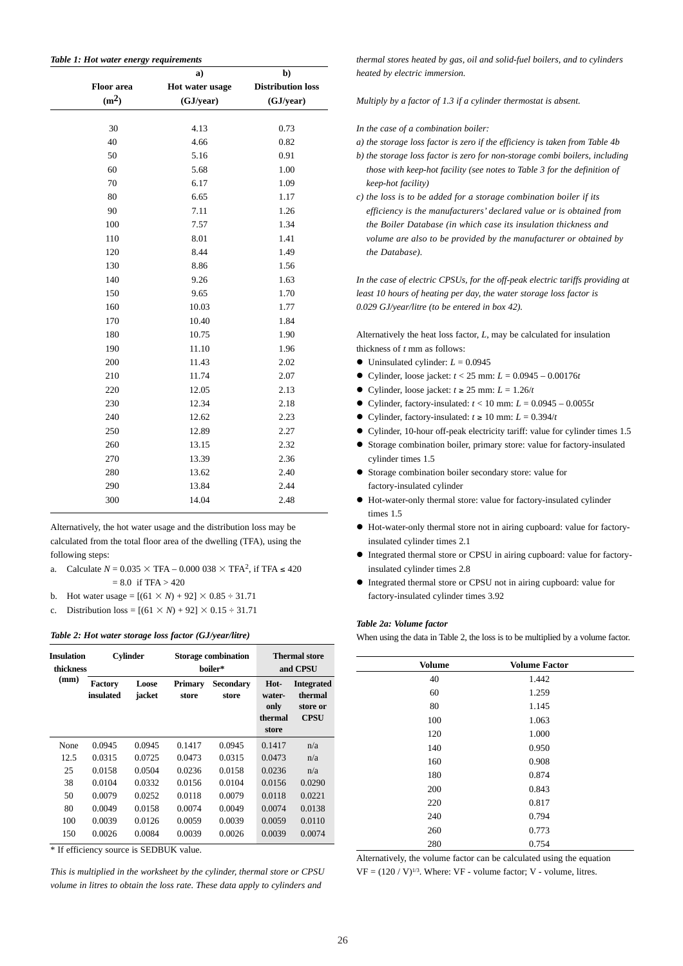|  | Table 1: Hot water energy requirements |
|--|----------------------------------------|
|--|----------------------------------------|

|                   | a)              | b)                       |
|-------------------|-----------------|--------------------------|
| <b>Floor</b> area | Hot water usage | <b>Distribution loss</b> |
| (m <sup>2</sup> ) | (GJ/year)       | (GJ/year)                |
|                   |                 |                          |
| 30                | 4.13            | 0.73                     |
| 40                | 4.66            | 0.82                     |
| 50                | 5.16            | 0.91                     |
| 60                | 5.68            | 1.00                     |
| 70                | 6.17            | 1.09                     |
| 80                | 6.65            | 1.17                     |
| 90                | 7.11            | 1.26                     |
| 100               | 7.57            | 1.34                     |
| 110               | 8.01            | 1.41                     |
| 120               | 8.44            | 1.49                     |
| 130               | 8.86            | 1.56                     |
| 140               | 9.26            | 1.63                     |
| 150               | 9.65            | 1.70                     |
| 160               | 10.03           | 1.77                     |
| 170               | 10.40           | 1.84                     |
| 180               | 10.75           | 1.90                     |
| 190               | 11.10           | 1.96                     |
| 200               | 11.43           | 2.02                     |
| 210               | 11.74           | 2.07                     |
| 220               | 12.05           | 2.13                     |
| 230               | 12.34           | 2.18                     |
| 240               | 12.62           | 2.23                     |
| 250               | 12.89           | 2.27                     |
| 260               | 13.15           | 2.32                     |
| 270               | 13.39           | 2.36                     |
| 280               | 13.62           | 2.40                     |
| 290               | 13.84           | 2.44                     |
| 300               | 14.04           | 2.48                     |
|                   |                 |                          |

Alternatively, the hot water usage and the distribution loss may be calculated from the total floor area of the dwelling (TFA), using the following steps:

- a. Calculate  $N = 0.035 \times \text{TFA} 0.000\,038 \times \text{TFA}^2$ , if TFA  $\leq 420$  $= 8.0$  if TFA  $> 420$
- b. Hot water usage =  $[(61 \times N) + 92] \times 0.85 \div 31.71$
- c. Distribution loss =  $[(61 \times N) + 92] \times 0.15 \div 31.71]$

#### *Table 2: Hot water storage loss factor (GJ/year/litre)*

| <b>Insulation</b><br>thickness |                             | <b>Cylinder</b> |                  | <b>Storage combination</b><br>boiler* |                                            | <b>Thermal store</b><br>and CPSU                 |
|--------------------------------|-----------------------------|-----------------|------------------|---------------------------------------|--------------------------------------------|--------------------------------------------------|
| (mm)                           | <b>Factory</b><br>insulated | Loose<br>jacket | Primary<br>store | <b>Secondary</b><br>store             | Hot-<br>water-<br>only<br>thermal<br>store | <b>Integrated</b><br>thermal<br>store or<br>CPSU |
| None                           | 0.0945                      | 0.0945          | 0.1417           | 0.0945                                | 0.1417                                     | n/a                                              |
| 12.5                           | 0.0315                      | 0.0725          | 0.0473           | 0.0315                                | 0.0473                                     | n/a                                              |
| 25                             | 0.0158                      | 0.0504          | 0.0236           | 0.0158                                | 0.0236                                     | n/a                                              |
| 38                             | 0.0104                      | 0.0332          | 0.0156           | 0.0104                                | 0.0156                                     | 0.0290                                           |
| 50                             | 0.0079                      | 0.0252          | 0.0118           | 0.0079                                | 0.0118                                     | 0.0221                                           |
| 80                             | 0.0049                      | 0.0158          | 0.0074           | 0.0049                                | 0.0074                                     | 0.0138                                           |
| 100                            | 0.0039                      | 0.0126          | 0.0059           | 0.0039                                | 0.0059                                     | 0.0110                                           |
| 150                            | 0.0026                      | 0.0084          | 0.0039           | 0.0026                                | 0.0039                                     | 0.0074                                           |

\* If efficiency source is SEDBUK value.

*This is multiplied in the worksheet by the cylinder, thermal store or CPSU volume in litres to obtain the loss rate. These data apply to cylinders and*

*thermal stores heated by gas, oil and solid-fuel boilers, and to cylinders heated by electric immersion.*

*Multiply by a factor of 1.3 if a cylinder thermostat is absent.* 

- *In the case of a combination boiler:*
- *a) the storage loss factor is zero if the efficiency is taken from Table 4b*
- *b) the storage loss factor is zero for non-storage combi boilers, including those with keep-hot facility (see notes to Table 3 for the definition of keep-hot facility)*
- *c) the loss is to be added for a storage combination boiler if its efficiency is the manufacturers' declared value or is obtained from the Boiler Database (in which case its insulation thickness and volume are also to be provided by the manufacturer or obtained by the Database).*

*In the case of electric CPSUs, for the off-peak electric tariffs providing at least 10 hours of heating per day, the water storage loss factor is 0.029 GJ/year/litre (to be entered in box 42).*

Alternatively the heat loss factor, *L*, may be calculated for insulation thickness of *t* mm as follows:

- $\bullet$  Uninsulated cylinder:  $L = 0.0945$
- $\bullet$  Cylinder, loose jacket:  $t < 25$  mm:  $L = 0.0945 0.00176t$
- $\bullet$  Cylinder, loose jacket:  $t \ge 25$  mm:  $L = 1.26/t$
- $\bullet$  Cylinder, factory-insulated:  $t < 10$  mm:  $L = 0.0945 0.0055t$
- Cylinder, factory-insulated:  $t \ge 10$  mm:  $L = 0.394/t$
- Cylinder, 10-hour off-peak electricity tariff: value for cylinder times 1.5
- Storage combination boiler, primary store: value for factory-insulated cylinder times 1.5
- " Storage combination boiler secondary store: value for factory-insulated cylinder
- " Hot-water-only thermal store: value for factory-insulated cylinder times 1.5
- " Hot-water-only thermal store not in airing cupboard: value for factoryinsulated cylinder times 2.1
- $\bullet$  Integrated thermal store or CPSU in airing cupboard: value for factoryinsulated cylinder times 2.8
- " Integrated thermal store or CPSU not in airing cupboard: value for factory-insulated cylinder times 3.92

#### *Table 2a: Volume factor*

When using the data in Table 2, the loss is to be multiplied by a volume factor.

| <b>Volume</b> | <b>Volume Factor</b> |  |
|---------------|----------------------|--|
| 40            | 1.442                |  |
| 60            | 1.259                |  |
| 80            | 1.145                |  |
| 100           | 1.063                |  |
| 120           | 1.000                |  |
| 140           | 0.950                |  |
| 160           | 0.908                |  |
| 180           | 0.874                |  |
| 200           | 0.843                |  |
| 220           | 0.817                |  |
| 240           | 0.794                |  |
| 260           | 0.773                |  |
| 280           | 0.754                |  |

Alternatively, the volume factor can be calculated using the equation  $VF = (120 / V)^{1/3}$ . Where:  $VF$  - volume factor; V - volume, litres.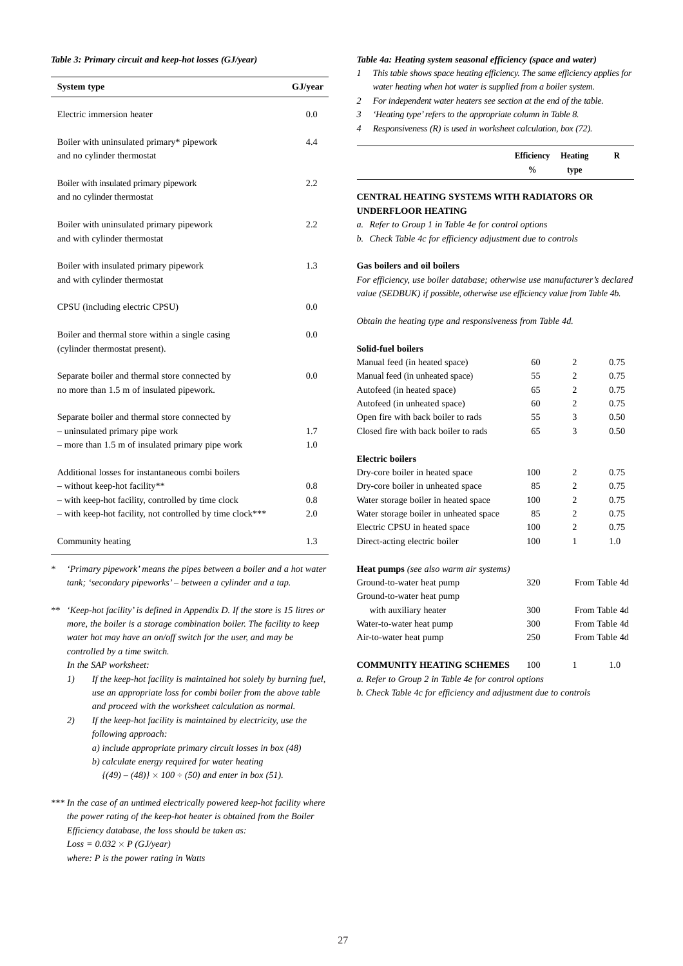#### *Table 3: Primary circuit and keep-hot losses (GJ/year)*

| <b>System type</b>                                                                          | GJ/year |
|---------------------------------------------------------------------------------------------|---------|
| Electric immersion heater                                                                   | 0.0     |
| Boiler with uninsulated primary* pipework<br>and no cylinder thermostat                     | 4.4     |
| Boiler with insulated primary pipework<br>and no cylinder thermostat                        | 2.2     |
| Boiler with uninsulated primary pipework<br>and with cylinder thermostat                    | 2.2     |
| Boiler with insulated primary pipework<br>and with cylinder thermostat                      | 1.3     |
| CPSU (including electric CPSU)                                                              | 0.0     |
| Boiler and thermal store within a single casing<br>(cylinder thermostat present).           | 0.0     |
| Separate boiler and thermal store connected by<br>no more than 1.5 m of insulated pipework. | 0.0     |
| Separate boiler and thermal store connected by                                              |         |
| - uninsulated primary pipe work                                                             | 1.7     |
| - more than 1.5 m of insulated primary pipe work                                            | 1.0     |
| Additional losses for instantaneous combi boilers                                           |         |
| - without keep-hot facility**                                                               | 0.8     |
| - with keep-hot facility, controlled by time clock                                          | 0.8     |
| - with keep-hot facility, not controlled by time clock***                                   | 2.0     |
| Community heating                                                                           | 1.3     |

*\* 'Primary pipework' means the pipes between a boiler and a hot water tank; 'secondary pipeworks' – between a cylinder and a tap.*

- *\*\* 'Keep-hot facility' is defined in Appendix D. If the store is 15 litres or more, the boiler is a storage combination boiler. The facility to keep water hot may have an on/off switch for the user, and may be controlled by a time switch.* 
	- *In the SAP worksheet:*
	- *1) If the keep-hot facility is maintained hot solely by burning fuel, use an appropriate loss for combi boiler from the above table and proceed with the worksheet calculation as normal.*
	- *2) If the keep-hot facility is maintained by electricity, use the following approach: a) include appropriate primary circuit losses in box (48) b) calculate energy required for water heating*  $\{(49)-(48)\}\times 100 \div (50)$  and enter in box (51).
- *\*\*\* In the case of an untimed electrically powered keep-hot facility where the power rating of the keep-hot heater is obtained from the Boiler Efficiency database, the loss should be taken as: Loss = 0.032 P (GJ/year) where: P is the power rating in Watts*

#### *Table 4a: Heating system seasonal efficiency (space and water)*

- *1 This table shows space heating efficiency. The same efficiency applies for water heating when hot water is supplied from a boiler system.*
- *2 For independent water heaters see section at the end of the table.*
- *3 'Heating type'refers to the appropriate column in Table 8.*
- *4 Responsiveness (R) is used in worksheet calculation, box (72).*

| <b>Efficiency Heating</b> |      |  |
|---------------------------|------|--|
| $\frac{0}{0}$             | type |  |

## **CENTRAL HEATING SYSTEMS WITH RADIATORS OR UNDERFLOOR HEATING**

*a. Refer to Group 1 in Table 4e for control options*

*b. Check Table 4c for efficiency adjustment due to controls*

## **Gas boilers and oil boilers**

*For efficiency, use boiler database; otherwise use manufacturer's declared value (SEDBUK) if possible, otherwise use efficiency value from Table 4b.*

*Obtain the heating type and responsiveness from Table 4d.*

#### **Solid-fuel boilers**

| Manual feed (in heated space)                 | 60  | $\overline{c}$ | 0.75          |
|-----------------------------------------------|-----|----------------|---------------|
| Manual feed (in unheated space)               | 55  | $\overline{c}$ | 0.75          |
| Autofeed (in heated space)                    | 65  | $\overline{c}$ | 0.75          |
| Autofeed (in unheated space)                  | 60  | $\overline{c}$ | 0.75          |
| Open fire with back boiler to rads            | 55  | 3              | 0.50          |
| Closed fire with back boiler to rads          | 65  | 3              | 0.50          |
| <b>Electric boilers</b>                       |     |                |               |
| Dry-core boiler in heated space               | 100 | $\overline{c}$ | 0.75          |
| Dry-core boiler in unheated space             | 85  | $\overline{c}$ | 0.75          |
| Water storage boiler in heated space          | 100 | $\overline{c}$ | 0.75          |
| Water storage boiler in unheated space        | 85  | $\overline{c}$ | 0.75          |
| Electric CPSU in heated space                 | 100 | $\overline{c}$ | 0.75          |
| Direct-acting electric boiler                 | 100 | 1              | 1.0           |
| <b>Heat pumps</b> (see also warm air systems) |     |                |               |
| Ground-to-water heat pump                     | 320 |                | From Table 4d |
| Ground-to-water heat pump                     |     |                |               |
| with auxiliary heater                         | 300 |                | From Table 4d |
| Water-to-water heat pump                      | 300 |                | From Table 4d |
| Air-to-water heat pump                        | 250 |                | From Table 4d |
|                                               |     |                |               |

#### **COMMUNITY HEATING SCHEMES** 100 1 1.0

*a. Refer to Group 2 in Table 4e for control options*

*b. Check Table 4c for efficiency and adjustment due to controls*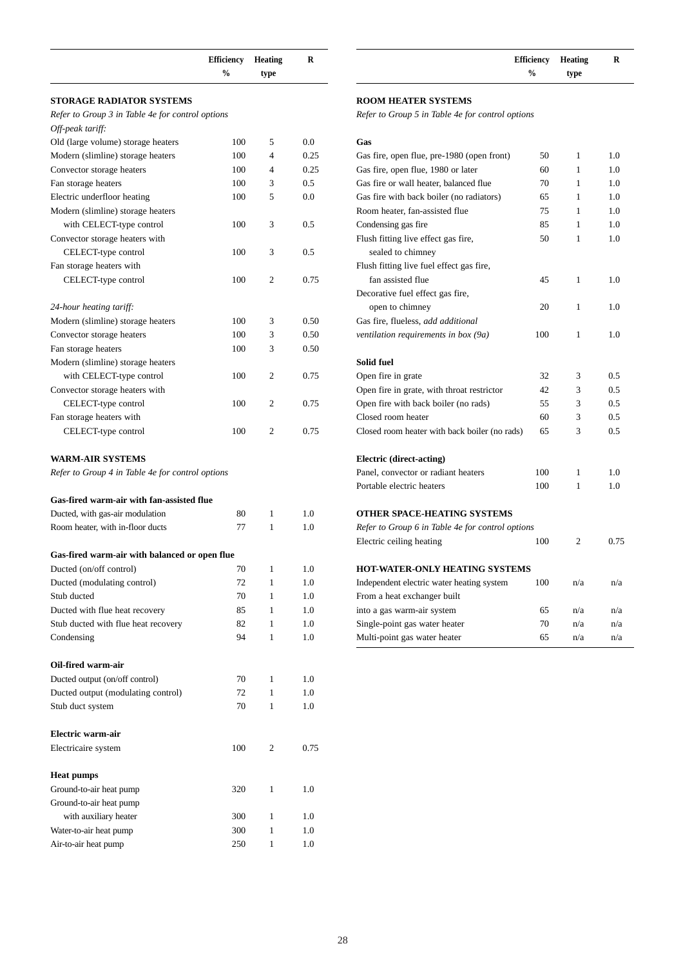|                                                  | <b>Efficiency</b><br>$\frac{0}{0}$ | <b>Heating</b><br>type | R    |
|--------------------------------------------------|------------------------------------|------------------------|------|
|                                                  |                                    |                        |      |
| STORAGE RADIATOR SYSTEMS                         |                                    |                        |      |
| Refer to Group 3 in Table 4e for control options |                                    |                        |      |
| Off-peak tariff:                                 |                                    |                        |      |
| Old (large volume) storage heaters               | 100                                | 5                      | 0.0  |
| Modern (slimline) storage heaters                | 100                                | 4                      | 0.25 |
| Convector storage heaters                        | 100                                | 4                      | 0.25 |
| Fan storage heaters                              | 100                                | 3                      | 0.5  |
| Electric underfloor heating                      | 100                                | 5                      | 0.0  |
| Modern (slimline) storage heaters                |                                    |                        |      |
| with CELECT-type control                         | 100                                | 3                      | 0.5  |
| Convector storage heaters with                   |                                    |                        |      |
| CELECT-type control                              | 100                                | 3                      | 0.5  |
| Fan storage heaters with                         |                                    |                        |      |
| CELECT-type control                              | 100                                | 2                      | 0.75 |
| 24-hour heating tariff:                          |                                    |                        |      |
| Modern (slimline) storage heaters                | 100                                | 3                      | 0.50 |
| Convector storage heaters                        | 100                                | 3                      | 0.50 |
| Fan storage heaters                              | 100                                | 3                      | 0.50 |
| Modern (slimline) storage heaters                |                                    |                        |      |
| with CELECT-type control                         | 100                                | 2                      | 0.75 |
| Convector storage heaters with                   |                                    |                        |      |
| CELECT-type control                              | 100                                | 2                      | 0.75 |
| Fan storage heaters with                         |                                    |                        |      |
| CELECT-type control                              | 100                                | 2                      | 0.75 |
| <b>WARM-AIR SYSTEMS</b>                          |                                    |                        |      |
| Refer to Group 4 in Table 4e for control options |                                    |                        |      |
| Gas-fired warm-air with fan-assisted flue        |                                    |                        |      |
| Ducted, with gas-air modulation                  | 80                                 | 1                      | 1.0  |
| Room heater, with in-floor ducts                 | 77                                 | 1                      | 1.0  |
|                                                  |                                    |                        |      |
| Gas-fired warm-air with balanced or open flue    |                                    |                        |      |
| Ducted (on/off control)                          | 70                                 | 1                      | 1.0  |
| Ducted (modulating control)                      | 72                                 | 1                      | 1.0  |
| Stub ducted                                      | 70                                 | 1                      | 1.0  |
| Ducted with flue heat recovery                   | 85                                 | 1                      | 1.0  |
| Stub ducted with flue heat recovery              | 82                                 | 1                      | 1.0  |
| Condensing                                       | 94                                 | 1                      | 1.0  |
| Oil-fired warm-air                               |                                    |                        |      |
| Ducted output (on/off control)                   | 70                                 | 1                      | 1.0  |
| Ducted output (modulating control)               | 72                                 | 1                      | 1.0  |
| Stub duct system                                 | 70                                 | 1                      | 1.0  |
| Electric warm-air                                |                                    |                        |      |
| Electricaire system                              | 100                                | 2                      | 0.75 |
|                                                  |                                    |                        |      |
| Heat pumps                                       |                                    |                        |      |
| Ground-to-air heat pump                          | 320                                | 1                      | 1.0  |
| Ground-to-air heat pump                          |                                    |                        |      |
| with auxiliary heater                            | 300                                | 1                      | 1.0  |
| Water-to-air heat pump                           | 300                                | 1                      | 1.0  |
| Air-to-air heat pump                             | 250                                | 1                      | 1.0  |

| <b>Efficiency Heating</b> |      |  |
|---------------------------|------|--|
| $\%$                      | type |  |

## **ROOM HEATER SYSTEMS**

*Refer to Group 5 in Table 4e for control options* 

| Gas                                              |     |                |      |
|--------------------------------------------------|-----|----------------|------|
| Gas fire, open flue, pre-1980 (open front)       | 50  | 1              | 1.0  |
| Gas fire, open flue, 1980 or later               | 60  | 1              | 1.0  |
| Gas fire or wall heater, balanced flue           | 70  | 1              | 1.0  |
| Gas fire with back boiler (no radiators)         | 65  | 1              | 1.0  |
| Room heater, fan-assisted flue                   | 75  | 1              | 1.0  |
| Condensing gas fire                              | 85  | 1              | 1.0  |
| Flush fitting live effect gas fire,              | 50  | $\mathbf{1}$   | 1.0  |
| sealed to chimney                                |     |                |      |
| Flush fitting live fuel effect gas fire,         |     |                |      |
| fan assisted flue                                | 45  | 1              | 1.0  |
| Decorative fuel effect gas fire,                 |     |                |      |
| open to chimney                                  | 20  | 1              | 1.0  |
| Gas fire, flueless, add additional               |     |                |      |
| ventilation requirements in box (9a)             | 100 | 1              | 1.0  |
| Solid fuel                                       |     |                |      |
| Open fire in grate                               | 32  | 3              | 0.5  |
| Open fire in grate, with throat restrictor       | 42  | 3              | 0.5  |
| Open fire with back boiler (no rads)             | 55  | 3              | 0.5  |
| Closed room heater                               | 60  | 3              | 0.5  |
| Closed room heater with back boiler (no rads)    | 65  | 3              | 0.5  |
| <b>Electric (direct-acting)</b>                  |     |                |      |
| Panel, convector or radiant heaters              | 100 | 1              | 1.0  |
| Portable electric heaters                        | 100 | 1              | 1.0  |
| <b>OTHER SPACE-HEATING SYSTEMS</b>               |     |                |      |
| Refer to Group 6 in Table 4e for control options |     |                |      |
| Electric ceiling heating                         | 100 | $\overline{2}$ | 0.75 |
| <b>HOT-WATER-ONLY HEATING SYSTEMS</b>            |     |                |      |
| Independent electric water heating system        | 100 | n/a            | n/a  |
| From a heat exchanger built                      |     |                |      |
| into a gas warm-air system                       | 65  | n/a            | n/a  |
| Single-point gas water heater                    | 70  | n/a            | n/a  |
| Multi-point gas water heater                     | 65  | n/a            | n/a  |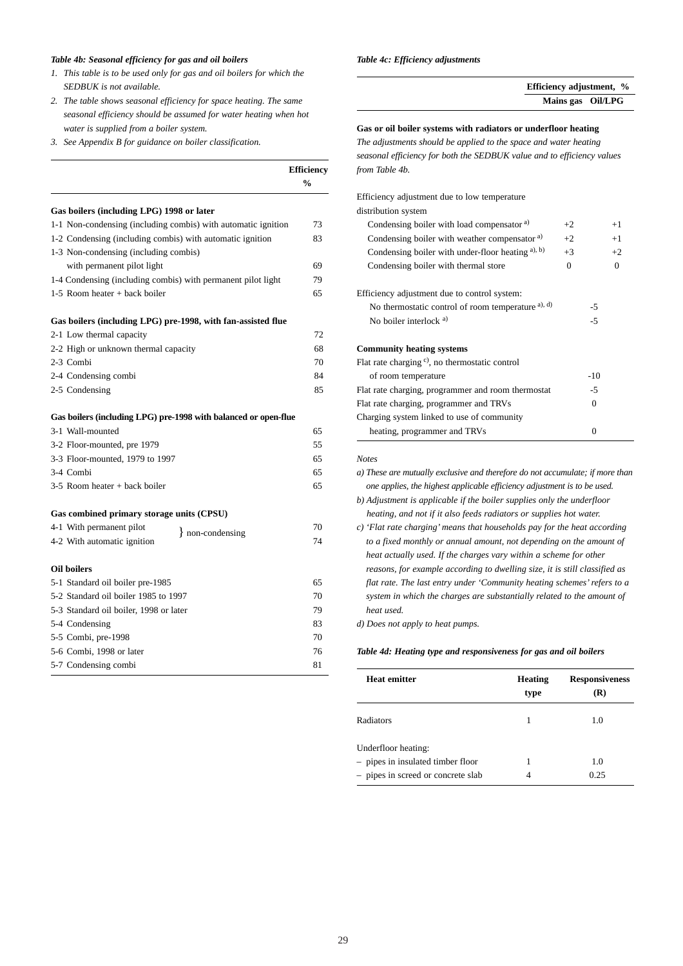#### *Table 4b: Seasonal efficiency for gas and oil boilers*

- *1. This table is to be used only for gas and oil boilers for which the SEDBUK is not available.*
- *2. The table shows seasonal efficiency for space heating. The same seasonal efficiency should be assumed for water heating when hot water is supplied from a boiler system.*
- *3. See Appendix B for guidance on boiler classification.*

|                                                                 | <b>Efficiency</b><br>$\frac{0}{0}$ |
|-----------------------------------------------------------------|------------------------------------|
| Gas boilers (including LPG) 1998 or later                       |                                    |
|                                                                 | 73                                 |
| 1-1 Non-condensing (including combis) with automatic ignition   | 83                                 |
| 1-2 Condensing (including combis) with automatic ignition       |                                    |
| 1-3 Non-condensing (including combis)                           | 69                                 |
| with permanent pilot light                                      | 79                                 |
| 1-4 Condensing (including combis) with permanent pilot light    |                                    |
| 1-5 Room heater + back boiler                                   | 65                                 |
| Gas boilers (including LPG) pre-1998, with fan-assisted flue    |                                    |
| 2-1 Low thermal capacity                                        | 72                                 |
| 2-2 High or unknown thermal capacity                            | 68                                 |
| 2-3 Combi                                                       | 70                                 |
| 2-4 Condensing combi                                            | 84                                 |
| 2-5 Condensing                                                  | 85                                 |
| Gas boilers (including LPG) pre-1998 with balanced or open-flue |                                    |
| 3-1 Wall-mounted                                                | 65                                 |
| 3-2 Floor-mounted, pre 1979                                     | 55                                 |
| 3-3 Floor-mounted, 1979 to 1997                                 | 65                                 |
| 3-4 Combi                                                       | 65                                 |
| $3-5$ Room heater + back boiler                                 | 65                                 |
|                                                                 |                                    |
| Gas combined primary storage units (CPSU)                       |                                    |
| 4-1 With permanent pilot<br>} non-condensing                    | 70                                 |
| 4-2 With automatic ignition                                     | 74                                 |
| <b>Oil boilers</b>                                              |                                    |
| 5-1 Standard oil boiler pre-1985                                | 65                                 |
| 5-2 Standard oil boiler 1985 to 1997                            | 70                                 |
| 5-3 Standard oil boiler, 1998 or later                          | 79                                 |
| 5-4 Condensing                                                  | 83                                 |
| 5-5 Combi, pre-1998                                             | 70                                 |
| 5-6 Combi, 1998 or later                                        | 76                                 |
| 5-7 Condensing combi                                            | 81                                 |

#### *Table 4c: Efficiency adjustments*

| Efficiency adjustment, % |  |
|--------------------------|--|
| Mains gas Oil/LPG        |  |

#### **Gas or oil boiler systems with radiators or underfloor heating**

*The adjustments should be applied to the space and water heating seasonal efficiency for both the SEDBUK value and to efficiency values from Table 4b.*

| Efficiency adjustment due to low temperature               |              |          |
|------------------------------------------------------------|--------------|----------|
| distribution system                                        |              |          |
| Condensing boiler with load compensator <sup>a)</sup>      | $+2$         | $+1$     |
| Condensing boiler with weather compensator <sup>a)</sup>   | $+2$         | $+1$     |
| Condensing boiler with under-floor heating a), b)          | $+3$         | $+2$     |
| Condensing boiler with thermal store                       | $\mathbf{0}$ | $\Omega$ |
| Efficiency adjustment due to control system:               |              |          |
| No thermostatic control of room temperature a), d)         |              | -5       |
| No boiler interlock $a$ )                                  | $-5$         |          |
| <b>Community heating systems</b>                           |              |          |
| Flat rate charging <sup>c)</sup> , no thermostatic control |              |          |
| of room temperature                                        |              | $-10$    |
| Flat rate charging, programmer and room thermostat         |              | -5       |
| Flat rate charging, programmer and TRVs<br>$\Omega$        |              |          |
| Charging system linked to use of community                 |              |          |
| heating, programmer and TRVs                               |              | $\Omega$ |

*Notes*

*a) These are mutually exclusive and therefore do not accumulate; if more than one applies, the highest applicable efficiency adjustment is to be used. b) Adjustment is applicable if the boiler supplies only the underfloor*

*heating, and not if it also feeds radiators or supplies hot water.*

*c) 'Flat rate charging' means that households pay for the heat according to a fixed monthly or annual amount, not depending on the amount of heat actually used. If the charges vary within a scheme for other reasons, for example according to dwelling size, it is still classified as flat rate. The last entry under 'Community heating schemes' refers to a system in which the charges are substantially related to the amount of heat used.*

*d) Does not apply to heat pumps.*

#### *Table 4d: Heating type and responsiveness for gas and oil boilers*

| <b>Heat emitter</b>                | <b>Heating</b> | <b>Responsiveness</b> |
|------------------------------------|----------------|-----------------------|
|                                    | type           | (R)                   |
| Radiators                          |                | 1.0                   |
| Underfloor heating:                |                |                       |
| - pipes in insulated timber floor  |                | 1.0                   |
| - pipes in screed or concrete slab |                | 0.25                  |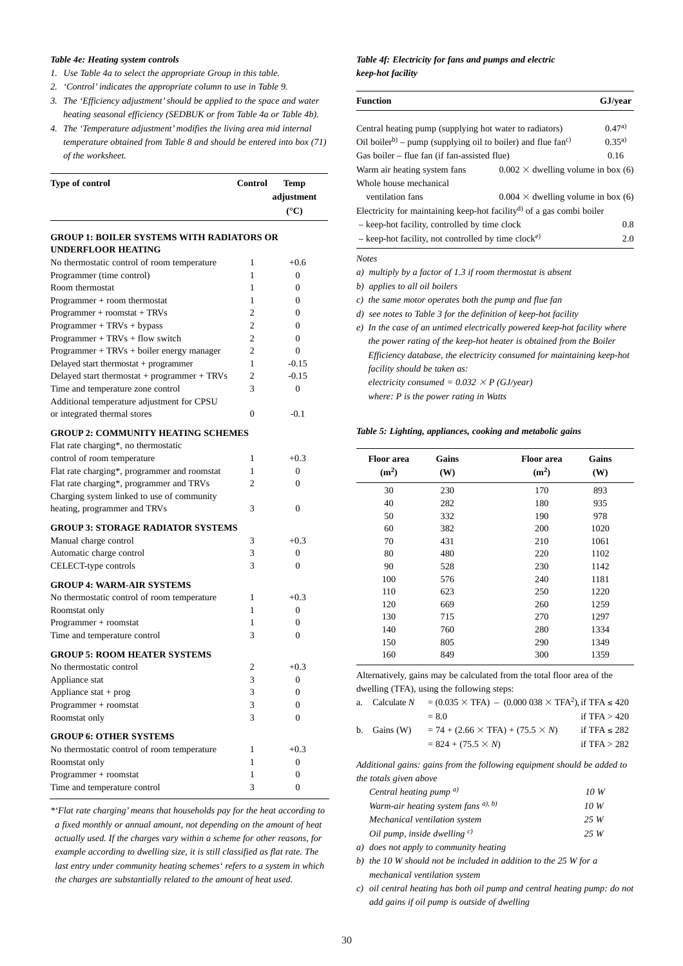#### *Table 4e: Heating system controls*

- *1. Use Table 4a to select the appropriate Group in this table.*
- *2. 'Control' indicates the appropriate column to use in Table 9.*
- *3. The 'Efficiency adjustment' should be applied to the space and water heating seasonal efficiency (SEDBUK or from Table 4a or Table 4b).*
- *4. The 'Temperature adjustment' modifies the living area mid internal temperature obtained from Table 8 and should be entered into box (71) of the worksheet.*

| Type of control | Control Temp  |
|-----------------|---------------|
|                 | adjustment    |
|                 | $(^{\circ}C)$ |

## **GROUP 1: BOILER SYSTEMS WITH RADIATORS OR UNDERFLOOR HEATING**

| No thermostatic control of room temperature  | 1              | $+0.6$         |
|----------------------------------------------|----------------|----------------|
| Programmer (time control)                    | 1              | $\Omega$       |
| Room thermostat                              | 1              | $\Omega$       |
| Programmer + room thermostat                 | 1              | $\Omega$       |
| Programmer + roomstat + TRVs                 | $\overline{c}$ | $\Omega$       |
| $Programmer + TRVs + bypass$                 | $\overline{c}$ | $\overline{0}$ |
| Programmer + $TRVs + flow switch$            | $\overline{c}$ | $\overline{0}$ |
| $Programmer + TRVs + boiler energy manager$  | $\overline{c}$ | $\Omega$       |
| Delayed start thermostat + programmer        | $\mathbf{1}$   | $-0.15$        |
| Delayed start thermostat + programmer + TRVs | $\overline{c}$ | $-0.15$        |
| Time and temperature zone control            | 3              | $\theta$       |
| Additional temperature adjustment for CPSU   |                |                |
| or integrated thermal stores                 | $\Omega$       | $-0.1$         |
| <b>GROUP 2: COMMUNITY HEATING SCHEMES</b>    |                |                |
| Flat rate charging*, no thermostatic         |                |                |
| control of room temperature                  | 1              | $+0.3$         |
| Flat rate charging*, programmer and roomstat | 1              | $\Omega$       |
| Flat rate charging*, programmer and TRVs     | $\overline{c}$ | $\Omega$       |
| Charging system linked to use of community   |                |                |
| heating, programmer and TRVs                 | 3              | $\overline{0}$ |
| <b>GROUP 3: STORAGE RADIATOR SYSTEMS</b>     |                |                |
| Manual charge control                        | 3              | $+0.3$         |
| Automatic charge control                     | 3              | $\Omega$       |
| CELECT-type controls                         | 3              | $\overline{0}$ |
| <b>GROUP 4: WARM-AIR SYSTEMS</b>             |                |                |
| No thermostatic control of room temperature  | 1              | $+0.3$         |
| Roomstat only                                | 1              | $\overline{0}$ |
| Programmer + roomstat                        | 1              | 0              |
| Time and temperature control                 | 3              | $\overline{0}$ |
| <b>GROUP 5: ROOM HEATER SYSTEMS</b>          |                |                |
| No thermostatic control                      | 2              | $+0.3$         |
| Appliance stat                               | 3              | $\Omega$       |
| Appliance $stat + prog$                      | 3              | $\overline{0}$ |
| Programmer + roomstat                        | 3              | $\Omega$       |
| Roomstat only                                | 3              | $\Omega$       |
|                                              |                |                |
| <b>GROUP 6: OTHER SYSTEMS</b>                |                |                |
| No thermostatic control of room temperature  | 1              | $+0.3$         |
| Roomstat only                                | 1              | $\overline{0}$ |
| Programmer + roomstat                        | 1              | $\overline{0}$ |
| Time and temperature control                 | 3              | $\overline{0}$ |

*\*'Flat rate charging' means that households pay for the heat according to a fixed monthly or annual amount, not depending on the amount of heat actually used. If the charges vary within a scheme for other reasons, for example according to dwelling size, it is still classified as flat rate. The last entry under community heating schemes' refers to a system in which the charges are substantially related to the amount of heat used.*

## *Table 4f: Electricity for fans and pumps and electric keep-hot facility*

| Function                                                                             |                                           | GJ/year    |
|--------------------------------------------------------------------------------------|-------------------------------------------|------------|
|                                                                                      |                                           |            |
| Central heating pump (supplying hot water to radiators)                              |                                           | 0.47a)     |
| Oil boiler <sup>b)</sup> – pump (supplying oil to boiler) and flue fan <sup>c)</sup> |                                           | $0.35^{a}$ |
| Gas boiler – flue fan (if fan-assisted flue)                                         |                                           | 0.16       |
| Warm air heating system fans                                                         | $0.002 \times$ dwelling volume in box (6) |            |
| Whole house mechanical                                                               |                                           |            |
| ventilation fans                                                                     | $0.004 \times$ dwelling volume in box (6) |            |
| Electricity for maintaining keep-hot facility <sup>d)</sup> of a gas combi boiler    |                                           |            |
| - keep-hot facility, controlled by time clock                                        |                                           | 0.8        |
| $-$ keep-hot facility, not controlled by time clock <sup>e)</sup>                    |                                           | 2.0        |
| Notes                                                                                |                                           |            |
| a) multiply by a factor of 1.3 if room thermostat is absent                          |                                           |            |
| b) applies to all oil boilers                                                        |                                           |            |
| c) the same motor operates both the pump and flue fan                                |                                           |            |
| d) see notes to Table 3 for the definition of keep-hot facility                      |                                           |            |
| a) In the gase of an untimed electrically powered keep hot facility whome            |                                           |            |

*e) In the case of an untimed electrically powered keep-hot facility where the power rating of the keep-hot heater is obtained from the Boiler Efficiency database, the electricity consumed for maintaining keep-hot facility should be taken as: electricity consumed =*  $0.032 \times P$  *(GJ/year)* 

*where: P is the power rating in Watts*

*Table 5: Lighting, appliances, cooking and metabolic gains*

| <b>Floor</b> area<br>(m <sup>2</sup> ) | Gains<br>(W) | <b>Floor</b> area<br>(m <sup>2</sup> ) | Gains<br>(W) |
|----------------------------------------|--------------|----------------------------------------|--------------|
| 30                                     | 230          | 170                                    | 893          |
| 40                                     | 282          | 180                                    | 935          |
| 50                                     | 332          | 190                                    | 978          |
| 60                                     | 382          | 200                                    | 1020         |
| 70                                     | 431          | 210                                    | 1061         |
| 80                                     | 480          | 220                                    | 1102         |
| 90                                     | 528          | 230                                    | 1142         |
| 100                                    | 576          | 240                                    | 1181         |
| 110                                    | 623          | 250                                    | 1220         |
| 120                                    | 669          | 260                                    | 1259         |
| 130                                    | 715          | 270                                    | 1297         |
| 140                                    | 760          | 280                                    | 1334         |
| 150                                    | 805          | 290                                    | 1349         |
| 160                                    | 849          | 300                                    | 1359         |

Alternatively, gains may be calculated from the total floor area of the dwelling (TFA), using the following steps:

| a. Calculate N | $= (0.035 \times \text{TFA}) - (0.000038 \times \text{TFA}^2)$ , if TFA $\leq 420$ |                   |
|----------------|------------------------------------------------------------------------------------|-------------------|
|                | $= 8.0$                                                                            | if TFA $> 420$    |
| b. Gains (W)   | $= 74 + (2.66 \times \text{TFA}) + (75.5 \times N)$                                | if TFA $\leq$ 282 |
|                | $= 824 + (75.5 \times N)$                                                          | if $TFA > 282$    |

*Additional gains: gains from the following equipment should be added to the totals given above* 

| Central heating pump $a$ )                | 10 W |
|-------------------------------------------|------|
| Warm-air heating system fans $a$ ), $b$ ) | 10 W |
| Mechanical ventilation system             | 25W  |
| Oil pump, inside dwelling $c$ )           | 25W  |
|                                           |      |

*a) does not apply to community heating*

*b) the 10 W should not be included in addition to the 25 W for a mechanical ventilation system*

*c) oil central heating has both oil pump and central heating pump: do not add gains if oil pump is outside of dwelling*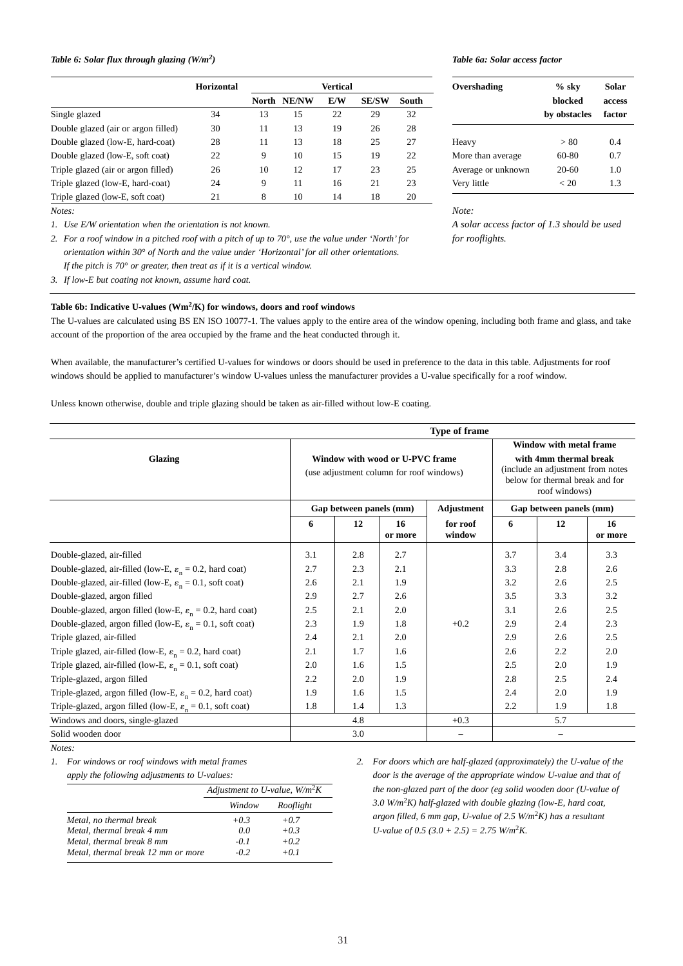## *Table 6: Solar flux through glazing (W/m2)*

|                                     | <b>Horizontal</b> |    |             | Vertical |              |       |
|-------------------------------------|-------------------|----|-------------|----------|--------------|-------|
|                                     |                   |    | North NE/NW | E/W      | <b>SE/SW</b> | South |
| Single glazed                       | 34                | 13 | 15          | 22       | 29           | 32    |
| Double glazed (air or argon filled) | 30                | 11 | 13          | 19       | 26           | 28    |
| Double glazed (low-E, hard-coat)    | 28                | 11 | 13          | 18       | 25           | 27    |
| Double glazed (low-E, soft coat)    | 22                | 9  | 10          | 15       | 19           | 22    |
| Triple glazed (air or argon filled) | 26                | 10 | 12          | 17       | 23           | 25    |
| Triple glazed (low-E, hard-coat)    | 24                | 9  | 11          | 16       | 21           | 23    |
| Triple glazed (low-E, soft coat)    | 21                | 8  | 10          | 14       | 18           | 20    |

*Notes:* 

*1. Use E/W orientation when the orientation is not known.*

*2. For a roof window in a pitched roof with a pitch of up to 70°, use the value under 'North' for orientation within 30° of North and the value under 'Horizontal' for all other orientations. If the pitch is 70° or greater, then treat as if it is a vertical window.*

*3. If low-E but coating not known, assume hard coat.*

## **Table 6b: Indicative U-values (Wm2/K) for windows, doors and roof windows**

The U-values are calculated using BS EN ISO 10077-1. The values apply to the entire area of the window opening, including both frame and glass, and take account of the proportion of the area occupied by the frame and the heat conducted through it.

When available, the manufacturer's certified U-values for windows or doors should be used in preference to the data in this table. Adjustments for roof windows should be applied to manufacturer's window U-values unless the manufacturer provides a U-value specifically for a roof window.

Unless known otherwise, double and triple glazing should be taken as air-filled without low-E coating.

| <b>Type of frame</b>                                                   |     |                               |                                                                             |                        |                                                                                                                                            |                               |         |
|------------------------------------------------------------------------|-----|-------------------------------|-----------------------------------------------------------------------------|------------------------|--------------------------------------------------------------------------------------------------------------------------------------------|-------------------------------|---------|
| Glazing                                                                |     |                               | Window with wood or U-PVC frame<br>(use adjustment column for roof windows) |                        | Window with metal frame<br>with 4mm thermal break<br>(include an adjustment from notes<br>below for thermal break and for<br>roof windows) |                               |         |
|                                                                        | 6   | Gap between panels (mm)<br>12 | 16                                                                          | Adjustment<br>for roof | 6                                                                                                                                          | Gap between panels (mm)<br>12 | 16      |
|                                                                        |     |                               | or more                                                                     | window                 |                                                                                                                                            |                               | or more |
| Double-glazed, air-filled                                              | 3.1 | 2.8                           | 2.7                                                                         |                        | 3.7                                                                                                                                        | 3.4                           | 3.3     |
| Double-glazed, air-filled (low-E, $\varepsilon_n = 0.2$ , hard coat)   | 2.7 | 2.3                           | 2.1                                                                         |                        | 3.3                                                                                                                                        | 2.8                           | 2.6     |
| Double-glazed, air-filled (low-E, $\varepsilon_n = 0.1$ , soft coat)   | 2.6 | 2.1                           | 1.9                                                                         |                        | 3.2                                                                                                                                        | 2.6                           | 2.5     |
| Double-glazed, argon filled                                            | 2.9 | 2.7                           | 2.6                                                                         |                        | 3.5                                                                                                                                        | 3.3                           | 3.2     |
| Double-glazed, argon filled (low-E, $\varepsilon_n = 0.2$ , hard coat) | 2.5 | 2.1                           | 2.0                                                                         |                        | 3.1                                                                                                                                        | 2.6                           | 2.5     |
| Double-glazed, argon filled (low-E, $\varepsilon_n = 0.1$ , soft coat) | 2.3 | 1.9                           | 1.8                                                                         | $+0.2$                 | 2.9                                                                                                                                        | 2.4                           | 2.3     |
| Triple glazed, air-filled                                              | 2.4 | 2.1                           | 2.0                                                                         |                        | 2.9                                                                                                                                        | 2.6                           | 2.5     |
| Triple glazed, air-filled (low-E, $\varepsilon_n = 0.2$ , hard coat)   | 2.1 | 1.7                           | 1.6                                                                         |                        | 2.6                                                                                                                                        | 2.2                           | 2.0     |
| Triple glazed, air-filled (low-E, $\varepsilon_n = 0.1$ , soft coat)   | 2.0 | 1.6                           | 1.5                                                                         |                        | 2.5                                                                                                                                        | 2.0                           | 1.9     |
| Triple-glazed, argon filled                                            | 2.2 | 2.0                           | 1.9                                                                         |                        | 2.8                                                                                                                                        | 2.5                           | 2.4     |
| Triple-glazed, argon filled (low-E, $\varepsilon_n = 0.2$ , hard coat) | 1.9 | 1.6                           | 1.5                                                                         |                        | 2.4                                                                                                                                        | 2.0                           | 1.9     |
| Triple-glazed, argon filled (low-E, $\varepsilon_n = 0.1$ , soft coat) | 1.8 | 1.4                           | 1.3                                                                         |                        | 2.2                                                                                                                                        | 1.9                           | 1.8     |
| Windows and doors, single-glazed                                       |     | 4.8                           |                                                                             | $+0.3$                 |                                                                                                                                            | 5.7                           |         |
| Solid wooden door                                                      |     | 3.0                           |                                                                             | $\qquad \qquad -$      |                                                                                                                                            |                               |         |

*Notes:*

*1. For windows or roof windows with metal frames*

*apply the following adjustments to U-values:*

|                                    | Adjustment to U-value, $W/m^2K$ |           |  |
|------------------------------------|---------------------------------|-----------|--|
|                                    | Window                          | Rooflight |  |
| Metal, no thermal break            | $+0.3$                          | $+0.7$    |  |
| Metal, thermal break 4 mm          | 0.0                             | $+0.3$    |  |
| Metal, thermal break 8 mm          | $-0.1$                          | $+0.2$    |  |
| Metal, thermal break 12 mm or more | $-0.2$                          | $+0.1$    |  |

*2. For doors which are half-glazed (approximately) the U-value of the door is the average of the appropriate window U-value and that of the non-glazed part of the door (eg solid wooden door (U-value of 3.0 W/m*2*K) half-glazed with double glazing (low-E, hard coat, argon filled, 6 mm gap, U-value of 2.5 W/m*2*K) has a resultant U-value of 0.5 (3.0 + 2.5)* = 2.75  $W/m^2K$ .

#### *Table 6a: Solar access factor*

| Overshading        | $%$ sky<br>hlocked<br>by obstacles | Solar<br>access<br>factor |
|--------------------|------------------------------------|---------------------------|
| Heavy              | > 80                               | 0.4                       |
| More than average  | 60-80                              | 0.7                       |
| Average or unknown | $20-60$                            | 1.0                       |
| Very little        | < 20                               | 13                        |

*Note:* 

*A solar access factor of 1.3 should be used for rooflights.*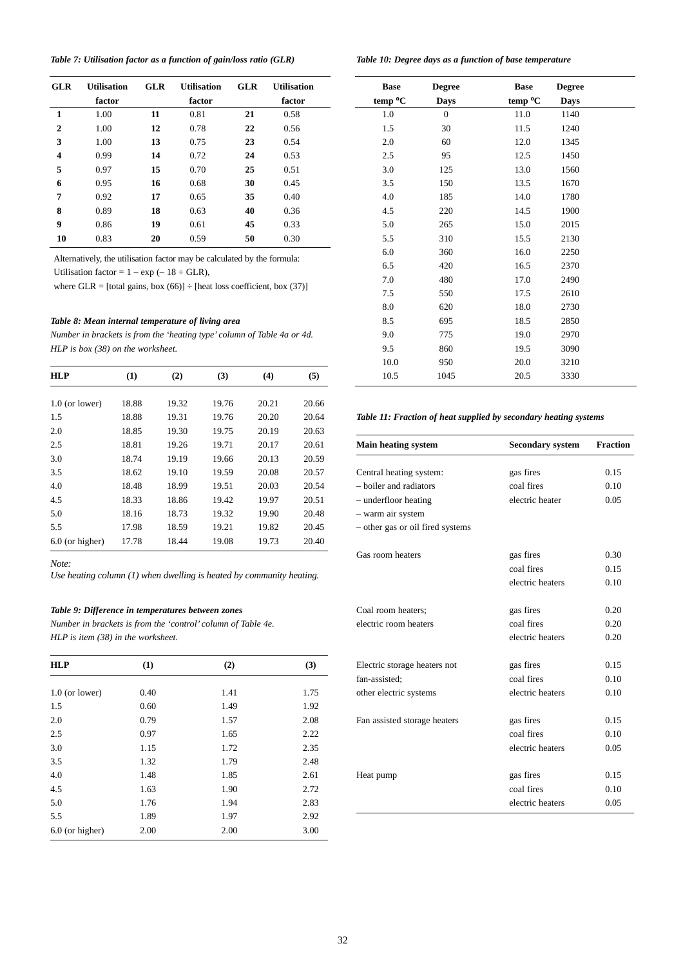|  | Table 7: Utilisation factor as a function of gain/loss ratio (GLR) |  |  |  |  |
|--|--------------------------------------------------------------------|--|--|--|--|
|--|--------------------------------------------------------------------|--|--|--|--|

| <b>GLR</b>   | <b>Utilisation</b><br>factor | <b>GLR</b> | <b>Utilisation</b><br>factor | <b>GLR</b> | <b>Utilisation</b><br>factor |
|--------------|------------------------------|------------|------------------------------|------------|------------------------------|
| $\mathbf{1}$ | 1.00                         | 11         | 0.81                         | 21         | 0.58                         |
| $\mathbf{2}$ | 1.00                         | 12         | 0.78                         | 22         | 0.56                         |
| 3            | 1.00                         | 13         | 0.75                         | 23         | 0.54                         |
| 4            | 0.99                         | 14         | 0.72                         | 24         | 0.53                         |
| 5            | 0.97                         | 15         | 0.70                         | 25         | 0.51                         |
| 6            | 0.95                         | 16         | 0.68                         | 30         | 0.45                         |
| 7            | 0.92                         | 17         | 0.65                         | 35         | 0.40                         |
| 8            | 0.89                         | 18         | 0.63                         | 40         | 0.36                         |
| 9            | 0.86                         | 19         | 0.61                         | 45         | 0.33                         |
| 10           | 0.83                         | 20         | 0.59                         | 50         | 0.30                         |

Alternatively, the utilisation factor may be calculated by the formula: Utilisation factor =  $1 - \exp(-18 \div \text{GLR})$ ,

where GLR = [total gains, box  $(66)$ ] ÷ [heat loss coefficient, box  $(37)$ ]

#### *Table 8: Mean internal temperature of living area*

*Number in brackets is from the 'heating type' column of Table 4a or 4d. HLP is box (38) on the worksheet.* 

| HLP               | (1)   | (2)   | (3)   | (4)   | (5)   |
|-------------------|-------|-------|-------|-------|-------|
|                   |       |       |       |       |       |
| $1.0$ (or lower)  | 18.88 | 19.32 | 19.76 | 20.21 | 20.66 |
| 1.5               | 18.88 | 19.31 | 19.76 | 20.20 | 20.64 |
| 2.0               | 18.85 | 19.30 | 19.75 | 20.19 | 20.63 |
| 2.5               | 18.81 | 19.26 | 19.71 | 20.17 | 20.61 |
| 3.0               | 18.74 | 19.19 | 19.66 | 20.13 | 20.59 |
| 3.5               | 18.62 | 19.10 | 19.59 | 20.08 | 20.57 |
| 4.0               | 18.48 | 18.99 | 19.51 | 20.03 | 20.54 |
| 4.5               | 18.33 | 18.86 | 19.42 | 19.97 | 20.51 |
| 5.0               | 18.16 | 18.73 | 19.32 | 19.90 | 20.48 |
| 5.5               | 17.98 | 18.59 | 19.21 | 19.82 | 20.45 |
| $6.0$ (or higher) | 17.78 | 18.44 | 19.08 | 19.73 | 20.40 |

#### *Note:*

*Use heating column (1) when dwelling is heated by community heating.*

## *Table 9: Difference in temperatures between zones*

*Number in brackets is from the 'control' column of Table 4e. HLP is item (38) in the worksheet.*

| <b>HLP</b>        | (1)  | (2)  | (3)  |
|-------------------|------|------|------|
| $1.0$ (or lower)  | 0.40 | 1.41 | 1.75 |
| 1.5               | 0.60 | 1.49 | 1.92 |
| 2.0               | 0.79 | 1.57 | 2.08 |
| 2.5               | 0.97 | 1.65 | 2.22 |
| 3.0               | 1.15 | 1.72 | 2.35 |
| 3.5               | 1.32 | 1.79 | 2.48 |
| 4.0               | 1.48 | 1.85 | 2.61 |
| 4.5               | 1.63 | 1.90 | 2.72 |
| 5.0               | 1.76 | 1.94 | 2.83 |
| 5.5               | 1.89 | 1.97 | 2.92 |
| $6.0$ (or higher) | 2.00 | 2.00 | 3.00 |

*Table 10: Degree days as a function of base temperature*

| <b>Base</b>         | <b>Degree</b>  | <b>Base</b>         | <b>Degree</b> |  |
|---------------------|----------------|---------------------|---------------|--|
| temp <sup>o</sup> C | <b>Days</b>    | temp <sup>o</sup> C | Days          |  |
| 1.0                 | $\overline{0}$ | 11.0                | 1140          |  |
| 1.5                 | 30             | 11.5                | 1240          |  |
| 2.0                 | 60             | 12.0                | 1345          |  |
| 2.5                 | 95             | 12.5                | 1450          |  |
| 3.0                 | 125            | 13.0                | 1560          |  |
| 3.5                 | 150            | 13.5                | 1670          |  |
| 4.0                 | 185            | 14.0                | 1780          |  |
| 4.5                 | 220            | 14.5                | 1900          |  |
| 5.0                 | 265            | 15.0                | 2015          |  |
| 5.5                 | 310            | 15.5                | 2130          |  |
| 6.0                 | 360            | 16.0                | 2250          |  |
| 6.5                 | 420            | 16.5                | 2370          |  |
| 7.0                 | 480            | 17.0                | 2490          |  |
| 7.5                 | 550            | 17.5                | 2610          |  |
| 8.0                 | 620            | 18.0                | 2730          |  |
| 8.5                 | 695            | 18.5                | 2850          |  |
| 9.0                 | 775            | 19.0                | 2970          |  |
| 9.5                 | 860            | 19.5                | 3090          |  |
| 10.0                | 950            | 20.0                | 3210          |  |
| 10.5                | 1045           | 20.5                | 3330          |  |

#### *Table 11: Fraction of heat supplied by secondary heating systems*

| <b>Main heating system</b>       | <b>Secondary system</b> | <b>Fraction</b> |
|----------------------------------|-------------------------|-----------------|
|                                  |                         |                 |
| Central heating system:          | gas fires               | 0.15            |
| - boiler and radiators           | coal fires              | 0.10            |
| - underfloor heating             | electric heater         | 0.05            |
| - warm air system                |                         |                 |
| - other gas or oil fired systems |                         |                 |
| Gas room heaters                 | gas fires               | 0.30            |
|                                  | coal fires              | 0.15            |
|                                  | electric heaters        | 0.10            |
| Coal room heaters;               | gas fires               | 0.20            |
| electric room heaters            | coal fires              | 0.20            |
|                                  | electric heaters        | 0.20            |
| Electric storage heaters not     | gas fires               | 0.15            |
| fan-assisted;                    | coal fires              | 0.10            |
| other electric systems           | electric heaters        | 0.10            |
| Fan assisted storage heaters     | gas fires               | 0.15            |
|                                  | coal fires              | 0.10            |
|                                  | electric heaters        | 0.05            |
|                                  |                         |                 |
| Heat pump                        | gas fires               | 0.15            |
|                                  | coal fires              | 0.10            |
|                                  | electric heaters        | 0.05            |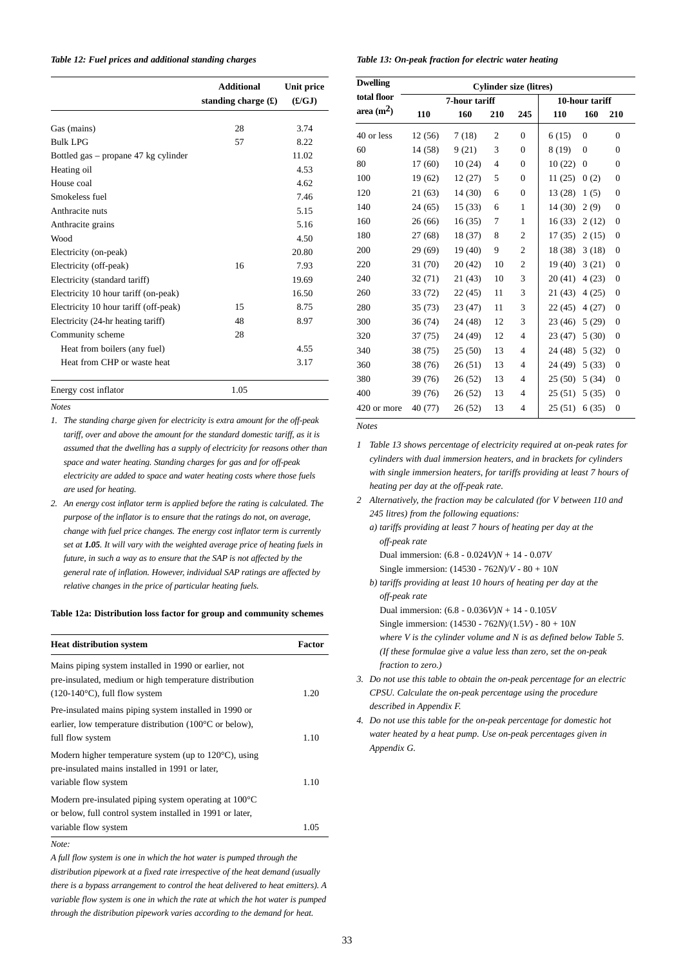#### *Table 12: Fuel prices and additional standing charges*

|                                       | <b>Additional</b><br>standing charge $(\mathbf{\pounds})$ | Unit price<br>(E/GJ) |
|---------------------------------------|-----------------------------------------------------------|----------------------|
| Gas (mains)                           | 28                                                        | 3.74                 |
| <b>Bulk LPG</b>                       | 57                                                        | 8.22                 |
| Bottled gas – propane 47 kg cylinder  |                                                           | 11.02                |
| Heating oil                           |                                                           | 4.53                 |
| House coal                            |                                                           | 4.62                 |
| Smokeless fuel                        |                                                           | 7.46                 |
| Anthracite nuts                       |                                                           | 5.15                 |
| Anthracite grains                     |                                                           | 5.16                 |
| Wood                                  |                                                           | 4.50                 |
| Electricity (on-peak)                 |                                                           | 20.80                |
| Electricity (off-peak)                | 16                                                        | 7.93                 |
| Electricity (standard tariff)         |                                                           | 19.69                |
| Electricity 10 hour tariff (on-peak)  |                                                           | 16.50                |
| Electricity 10 hour tariff (off-peak) | 15                                                        | 8.75                 |
| Electricity (24-hr heating tariff)    | 48                                                        | 8.97                 |
| Community scheme                      | 28                                                        |                      |
| Heat from boilers (any fuel)          |                                                           | 4.55                 |
| Heat from CHP or waste heat           |                                                           | 3.17                 |
| Energy cost inflator                  | 1.05                                                      |                      |

*Notes*

- *1. The standing charge given for electricity is extra amount for the off-peak tariff, over and above the amount for the standard domestic tariff, as it is assumed that the dwelling has a supply of electricity for reasons other than space and water heating. Standing charges for gas and for off-peak electricity are added to space and water heating costs where those fuels are used for heating.*
- *2. An energy cost inflator term is applied before the rating is calculated. The purpose of the inflator is to ensure that the ratings do not, on average, change with fuel price changes. The energy cost inflator term is currently set at 1.05. It will vary with the weighted average price of heating fuels in future, in such a way as to ensure that the SAP is not affected by the general rate of inflation. However, individual SAP ratings are affected by relative changes in the price of particular heating fuels.*

#### **Table 12a: Distribution loss factor for group and community schemes**

| <b>Heat distribution system</b>                                                                                                                            | Factor |
|------------------------------------------------------------------------------------------------------------------------------------------------------------|--------|
| Mains piping system installed in 1990 or earlier, not<br>pre-insulated, medium or high temperature distribution<br>$(120-140\degree C)$ , full flow system | 1.20   |
| Pre-insulated mains piping system installed in 1990 or<br>earlier, low temperature distribution $(100^{\circ}$ C or below),<br>full flow system            | 1.10   |
| Modern higher temperature system (up to $120^{\circ}$ C), using<br>pre-insulated mains installed in 1991 or later,<br>variable flow system                 | 1.10   |
| Modern pre-insulated piping system operating at $100^{\circ}$ C<br>or below, full control system installed in 1991 or later,<br>variable flow system       | 1.05   |

*Note:*

*A full flow system is one in which the hot water is pumped through the distribution pipework at a fixed rate irrespective of the heat demand (usually there is a bypass arrangement to control the heat delivered to heat emitters). A variable flow system is one in which the rate at which the hot water is pumped through the distribution pipework varies according to the demand for heat.*

*Table 13: On-peak fraction for electric water heating* 

| <b>Dwelling</b> | <b>Cylinder size (litres)</b> |         |                |                |         |                  |                  |
|-----------------|-------------------------------|---------|----------------|----------------|---------|------------------|------------------|
| total floor     | 7-hour tariff                 |         |                | 10-hour tariff |         |                  |                  |
| area $(m2)$     | 110                           | 160     | 210            | 245            | 110     | 160              | 210              |
| 40 or less      | 12 (56)                       | 7(18)   | $\overline{2}$ | $\mathbf{0}$   | 6(15)   | $\overline{0}$   | $\overline{0}$   |
| 60              | 14 (58)                       | 9(21)   | 3              | $\mathbf{0}$   | 8 (19)  | $\mathbf{0}$     | $\overline{0}$   |
| 80              | 17(60)                        | 10(24)  | $\overline{4}$ | $\mathbf{0}$   | 10(22)  | $\boldsymbol{0}$ | $\overline{0}$   |
| 100             | 19 (62)                       | 12(27)  | 5              | $\mathbf{0}$   | 11(25)  | 0(2)             | $\overline{0}$   |
| 120             | 21(63)                        | 14 (30) | 6              | $\mathbf{0}$   | 13 (28) | 1(5)             | $\overline{0}$   |
| 140             | 24(65)                        | 15(33)  | 6              | 1              | 14(30)  | 2(9)             | $\overline{0}$   |
| 160             | 26(66)                        | 16(35)  | 7              | 1              | 16(33)  | 2(12)            | $\boldsymbol{0}$ |
| 180             | 27 (68)                       | 18 (37) | 8              | 2              | 17(35)  | 2(15)            | $\boldsymbol{0}$ |
| 200             | 29 (69)                       | 19 (40) | 9              | $\mathfrak{2}$ | 18 (38) | 3(18)            | $\boldsymbol{0}$ |
| 220             | 31 (70)                       | 20(42)  | 10             | $\mathfrak{2}$ | 19(40)  | 3(21)            | $\mathbf{0}$     |
| 240             | 32(71)                        | 21(43)  | 10             | 3              | 20(41)  | 4(23)            | $\boldsymbol{0}$ |
| 260             | 33 (72)                       | 22(45)  | 11             | 3              | 21(43)  | 4(25)            | $\boldsymbol{0}$ |
| 280             | 35(73)                        | 23(47)  | 11             | 3              | 22(45)  | 4(27)            | $\boldsymbol{0}$ |
| 300             | 36(74)                        | 24 (48) | 12             | 3              | 23 (46) | 5(29)            | $\mathbf{0}$     |
| 320             | 37(75)                        | 24 (49) | 12             | $\overline{4}$ | 23(47)  | 5(30)            | $\overline{0}$   |
| 340             | 38 (75)                       | 25(50)  | 13             | $\overline{4}$ | 24 (48) | 5(32)            | $\overline{0}$   |
| 360             | 38 (76)                       | 26(51)  | 13             | $\overline{4}$ | 24 (49) | 5(33)            | $\boldsymbol{0}$ |
| 380             | 39 (76)                       | 26(52)  | 13             | 4              | 25(50)  | 5(34)            | $\overline{0}$   |
| 400             | 39 (76)                       | 26(52)  | 13             | 4              | 25(51)  | 5(35)            | $\overline{0}$   |
| 420 or more     | 40 (77)                       | 26(52)  | 13             | 4              | 25(51)  | 6(35)            | $\boldsymbol{0}$ |

*Notes*

- *1 Table 13 shows percentage of electricity required at on-peak rates for cylinders with dual immersion heaters, and in brackets for cylinders with single immersion heaters, for tariffs providing at least 7 hours of heating per day at the off-peak rate.*
- *2 Alternatively, the fraction may be calculated (for V between 110 and 245 litres) from the following equations:*
	- *a) tariffs providing at least 7 hours of heating per day at the off-peak rate* Dual immersion: (6.8 - 0.024*V*)*N* + 14 - 0.07*V*
		- Single immersion: (14530 762*N*)/*V* 80 + 10*N*
	- *b) tariffs providing at least 10 hours of heating per day at the off-peak rate*

Dual immersion: (6.8 - 0.036*V*)*N* + 14 - 0.105*V* Single immersion: (14530 - 762*N*)/(1.5*V*) - 80 + 10*N where V is the cylinder volume and N is as defined below Table 5. (If these formulae give a value less than zero, set the on-peak fraction to zero.)*

- *3. Do not use this table to obtain the on-peak percentage for an electric CPSU. Calculate the on-peak percentage using the procedure described in Appendix F.*
- *4. Do not use this table for the on-peak percentage for domestic hot water heated by a heat pump. Use on-peak percentages given in Appendix G.*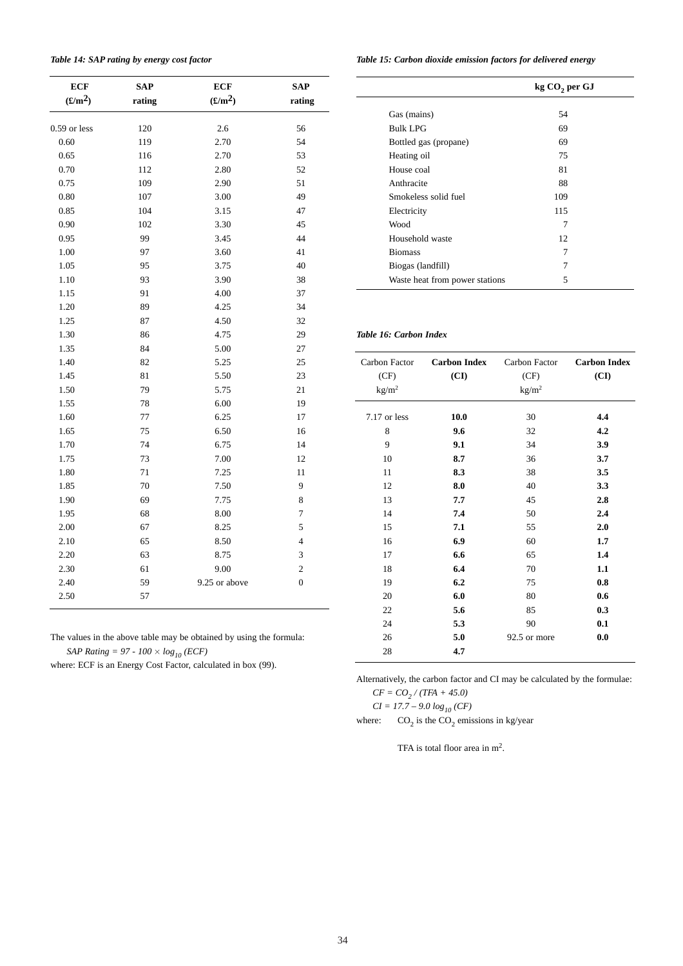| Table 14: SAP rating by energy cost factor |  |  |
|--------------------------------------------|--|--|
|--------------------------------------------|--|--|

| <b>ECF</b>            | <b>SAP</b> | <b>ECF</b>      | <b>SAP</b>              |
|-----------------------|------------|-----------------|-------------------------|
| $(\pmb{\pounds}/m^2)$ | rating     | $(\pounds/m^2)$ | rating                  |
| $0.59$ or less        | 120        | 2.6             | 56                      |
| 0.60                  | 119        | 2.70            | 54                      |
| 0.65                  | 116        | 2.70            | 53                      |
| 0.70                  | 112        | 2.80            | 52                      |
| 0.75                  | 109        | 2.90            | 51                      |
| 0.80                  | 107        | 3.00            | 49                      |
| 0.85                  | 104        | 3.15            | 47                      |
| 0.90                  | 102        | 3.30            | 45                      |
| 0.95                  | 99         | 3.45            | 44                      |
| 1.00                  | 97         | 3.60            | 41                      |
| 1.05                  | 95         | 3.75            | 40                      |
| 1.10                  | 93         | 3.90            | 38                      |
| 1.15                  | 91         | 4.00            | 37                      |
| 1.20                  | 89         | 4.25            | 34                      |
| 1.25                  | 87         | 4.50            | 32                      |
| 1.30                  | 86         | 4.75            | 29                      |
| 1.35                  | 84         | 5.00            | 27                      |
| 1.40                  | 82         | 5.25            | 25                      |
| 1.45                  | 81         | 5.50            | 23                      |
| 1.50                  | 79         | 5.75            | 21                      |
| 1.55                  | 78         | 6.00            | 19                      |
| 1.60                  | 77         | 6.25            | 17                      |
| 1.65                  | 75         | 6.50            | 16                      |
| 1.70                  | 74         | 6.75            | 14                      |
| 1.75                  | 73         | 7.00            | 12                      |
| 1.80                  | 71         | 7.25            | 11                      |
| 1.85                  | 70         | 7.50            | 9                       |
| 1.90                  | 69         | 7.75            | 8                       |
| 1.95                  | 68         | 8.00            | 7                       |
| 2.00                  | 67         | 8.25            | 5                       |
| 2.10                  | 65         | 8.50            | $\overline{4}$          |
| 2.20                  | 63         | 8.75            | 3                       |
| 2.30                  | 61         | 9.00            | $\overline{\mathbf{c}}$ |
| 2.40                  | 59         | 9.25 or above   | $\overline{0}$          |
| 2.50                  | 57         |                 |                         |

The values in the above table may be obtained by using the formula: *SAP Rating = 97 - 100*  $\times$  $log_{10}$  *(ECF)* 

where: ECF is an Energy Cost Factor, calculated in box (99).

*Table 15: Carbon dioxide emission factors for delivered energy*

|                                | kg CO <sub>2</sub> per GJ |
|--------------------------------|---------------------------|
| Gas (mains)                    | 54                        |
| <b>Bulk LPG</b>                | 69                        |
| Bottled gas (propane)          | 69                        |
| Heating oil                    | 75                        |
| House coal                     | 81                        |
| Anthracite                     | 88                        |
| Smokeless solid fuel           | 109                       |
| Electricity                    | 115                       |
| Wood                           | 7                         |
| Household waste                | 12                        |
| <b>Biomass</b>                 | 7                         |
| Biogas (landfill)              | 7                         |
| Waste heat from power stations | 5                         |

## *Table 16: Carbon Index*

 $\overline{\phantom{a}}$ 

| Carbon Factor<br>(CF)<br>kg/m <sup>2</sup> | <b>Carbon Index</b><br>(CI) | Carbon Factor<br>(CF)<br>kg/m <sup>2</sup> | <b>Carbon Index</b><br>(CI) |
|--------------------------------------------|-----------------------------|--------------------------------------------|-----------------------------|
| 7.17 or less                               | 10.0                        | 30                                         | 4.4                         |
| 8                                          | 9.6                         | 32                                         | 4.2                         |
| 9                                          | 9.1                         | 34                                         | 3.9                         |
| 10                                         | 8.7                         | 36                                         | 3.7                         |
| 11                                         | 8.3                         | 38                                         | 3.5                         |
| 12                                         | 8.0                         | 40                                         | 3.3                         |
| 13                                         | 7.7                         | 45                                         | 2.8                         |
| 14                                         | 7.4                         | 50                                         | 2.4                         |
| 15                                         | 7.1                         | 55                                         | 2.0                         |
| 16                                         | 6.9                         | 60                                         | 1.7                         |
| 17                                         | 6.6                         | 65                                         | 1.4                         |
| 18                                         | 6.4                         | 70                                         | 1.1                         |
| 19                                         | 6.2                         | 75                                         | 0.8                         |
| 20                                         | 6.0                         | 80                                         | 0.6                         |
| 22                                         | 5.6                         | 85                                         | 0.3                         |
| 24                                         | 5.3                         | 90                                         | 0.1                         |
| 26                                         | 5.0                         | 92.5 or more                               | 0.0                         |
| 28                                         | 4.7                         |                                            |                             |

Alternatively, the carbon factor and CI may be calculated by the formulae:

 $CF = CO_2 / (TFA + 45.0)$  $CI = 17.7 - 9.0 log_{10} (CF)$ 

where:  $CO_2$  is the  $CO_2$  emissions in kg/year

TFA is total floor area in m<sup>2</sup>.